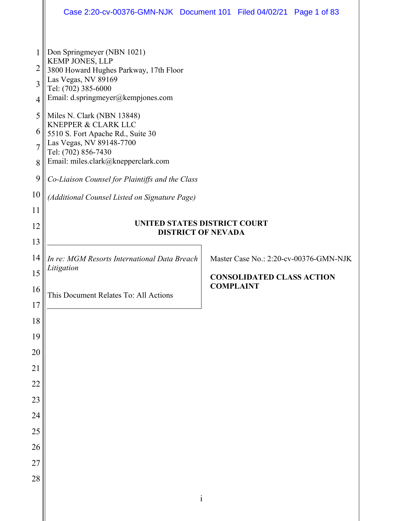| Don Springmeyer (NBN 1021)<br>1<br><b>KEMP JONES, LLP</b><br>$\overline{2}$<br>3800 Howard Hughes Parkway, 17th Floor<br>Las Vegas, NV 89169<br>3<br>Tel: (702) 385-6000<br>Email: d.springmeyer@kempjones.com<br>$\overline{4}$<br>5<br>Miles N. Clark (NBN 13848)<br><b>KNEPPER &amp; CLARK LLC</b><br>6<br>5510 S. Fort Apache Rd., Suite 30<br>Las Vegas, NV 89148-7700<br>$\overline{7}$<br>Tel: (702) 856-7430<br>Email: miles.clark@knepperclark.com<br>8<br>9<br>Co-Liaison Counsel for Plaintiffs and the Class<br>10<br>(Additional Counsel Listed on Signature Page)<br>11<br>UNITED STATES DISTRICT COURT<br>12<br><b>DISTRICT OF NEVADA</b><br>13<br>14<br>In re: MGM Resorts International Data Breach<br>Master Case No.: 2:20-cv-00376-GMN-NJK<br>Litigation<br>15<br><b>CONSOLIDATED CLASS ACTION</b><br><b>COMPLAINT</b><br>16<br>This Document Relates To: All Actions<br>17<br>18<br>19<br>20<br>21<br>22<br>23<br>24 | Case 2:20-cv-00376-GMN-NJK Document 101 Filed 04/02/21 Page 1 of 83 |  |  |  |
|-------------------------------------------------------------------------------------------------------------------------------------------------------------------------------------------------------------------------------------------------------------------------------------------------------------------------------------------------------------------------------------------------------------------------------------------------------------------------------------------------------------------------------------------------------------------------------------------------------------------------------------------------------------------------------------------------------------------------------------------------------------------------------------------------------------------------------------------------------------------------------------------------------------------------------------------|---------------------------------------------------------------------|--|--|--|
|                                                                                                                                                                                                                                                                                                                                                                                                                                                                                                                                                                                                                                                                                                                                                                                                                                                                                                                                           |                                                                     |  |  |  |
|                                                                                                                                                                                                                                                                                                                                                                                                                                                                                                                                                                                                                                                                                                                                                                                                                                                                                                                                           |                                                                     |  |  |  |
|                                                                                                                                                                                                                                                                                                                                                                                                                                                                                                                                                                                                                                                                                                                                                                                                                                                                                                                                           |                                                                     |  |  |  |
|                                                                                                                                                                                                                                                                                                                                                                                                                                                                                                                                                                                                                                                                                                                                                                                                                                                                                                                                           |                                                                     |  |  |  |
|                                                                                                                                                                                                                                                                                                                                                                                                                                                                                                                                                                                                                                                                                                                                                                                                                                                                                                                                           |                                                                     |  |  |  |
|                                                                                                                                                                                                                                                                                                                                                                                                                                                                                                                                                                                                                                                                                                                                                                                                                                                                                                                                           |                                                                     |  |  |  |
|                                                                                                                                                                                                                                                                                                                                                                                                                                                                                                                                                                                                                                                                                                                                                                                                                                                                                                                                           |                                                                     |  |  |  |
|                                                                                                                                                                                                                                                                                                                                                                                                                                                                                                                                                                                                                                                                                                                                                                                                                                                                                                                                           |                                                                     |  |  |  |
|                                                                                                                                                                                                                                                                                                                                                                                                                                                                                                                                                                                                                                                                                                                                                                                                                                                                                                                                           |                                                                     |  |  |  |
|                                                                                                                                                                                                                                                                                                                                                                                                                                                                                                                                                                                                                                                                                                                                                                                                                                                                                                                                           |                                                                     |  |  |  |
|                                                                                                                                                                                                                                                                                                                                                                                                                                                                                                                                                                                                                                                                                                                                                                                                                                                                                                                                           |                                                                     |  |  |  |
| 25                                                                                                                                                                                                                                                                                                                                                                                                                                                                                                                                                                                                                                                                                                                                                                                                                                                                                                                                        |                                                                     |  |  |  |
| 26                                                                                                                                                                                                                                                                                                                                                                                                                                                                                                                                                                                                                                                                                                                                                                                                                                                                                                                                        |                                                                     |  |  |  |
| 27<br>28                                                                                                                                                                                                                                                                                                                                                                                                                                                                                                                                                                                                                                                                                                                                                                                                                                                                                                                                  |                                                                     |  |  |  |
| $\mathbf{i}$                                                                                                                                                                                                                                                                                                                                                                                                                                                                                                                                                                                                                                                                                                                                                                                                                                                                                                                              |                                                                     |  |  |  |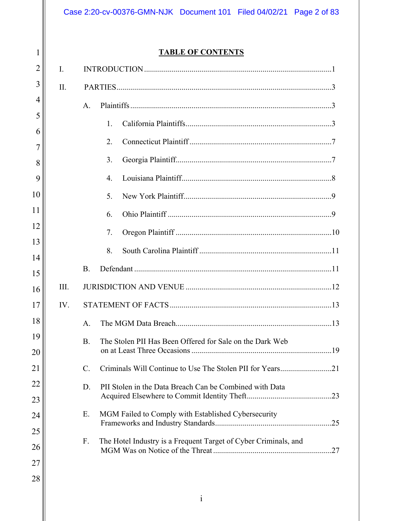26

27

28

# **TABLE OF CONTENTS**

| I.   |                 |                                                                 |
|------|-----------------|-----------------------------------------------------------------|
| II.  |                 |                                                                 |
|      | A.              |                                                                 |
|      |                 | 1.                                                              |
|      |                 | 2.                                                              |
|      |                 | 3.                                                              |
|      |                 | 4.                                                              |
|      |                 | 5.                                                              |
|      |                 | 6.                                                              |
|      |                 | 7.                                                              |
|      |                 | 8.                                                              |
|      | B.              |                                                                 |
| III. |                 |                                                                 |
| IV.  |                 |                                                                 |
|      | A.              |                                                                 |
|      | <b>B.</b>       | The Stolen PII Has Been Offered for Sale on the Dark Web        |
|      | $\mathcal{C}$ . |                                                                 |
|      | D.              | PII Stolen in the Data Breach Can be Combined with Data         |
|      | Ε.              | MGM Failed to Comply with Established Cybersecurity             |
|      | F.              | The Hotel Industry is a Frequent Target of Cyber Criminals, and |
|      |                 |                                                                 |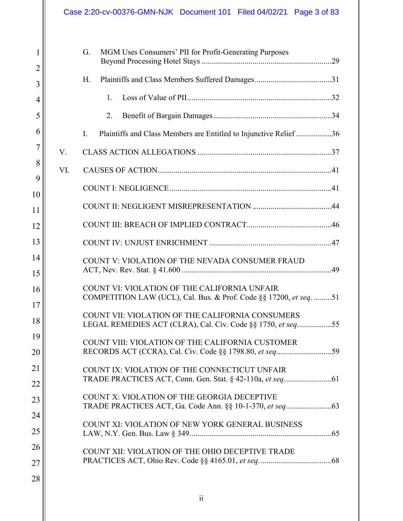|                |     | Case 2:20-cv-00376-GMN-NJK Document 101 Filed 04/02/21 Page 3 of 83                                                |
|----------------|-----|--------------------------------------------------------------------------------------------------------------------|
| 1              |     | G.<br>MGM Uses Consumers' PII for Profit-Generating Purposes                                                       |
| $\overline{2}$ |     |                                                                                                                    |
| 3              |     | H.                                                                                                                 |
| $\overline{4}$ |     | 1.                                                                                                                 |
| 5              |     | 2.                                                                                                                 |
| 6              |     | Plaintiffs and Class Members are Entitled to Injunctive Relief 36<br>L.                                            |
| 7              | V.  |                                                                                                                    |
| 8              | VI. |                                                                                                                    |
| 9              |     |                                                                                                                    |
| 10<br>11       |     |                                                                                                                    |
| 12             |     |                                                                                                                    |
| 13             |     |                                                                                                                    |
| 14             |     | COUNT V: VIOLATION OF THE NEVADA CONSUMER FRAUD                                                                    |
| 15             |     |                                                                                                                    |
| 16             |     | COUNT VI: VIOLATION OF THE CALIFORNIA UNFAIR<br>COMPETITION LAW (UCL), Cal. Bus. & Prof. Code §§ 17200, et seq. 51 |
| 17             |     | COUNT VII: VIOLATION OF THE CALIFORNIA CONSUMERS                                                                   |
| 18<br>19       |     | LEGAL REMEDIES ACT (CLRA), Cal. Civ. Code §§ 1750, et seq55                                                        |
| 20             |     | COUNT VIII: VIOLATION OF THE CALIFORNIA CUSTOMER                                                                   |
| 21             |     | COUNT IX: VIOLATION OF THE CONNECTICUT UNFAIR                                                                      |
| 22             |     |                                                                                                                    |
| 23             |     | COUNT X: VIOLATION OF THE GEORGIA DECEPTIVE                                                                        |
| 24             |     |                                                                                                                    |
| 25             |     | COUNT XI: VIOLATION OF NEW YORK GENERAL BUSINESS                                                                   |
| 26             |     | COUNT XII: VIOLATION OF THE OHIO DECEPTIVE TRADE                                                                   |
| 27             |     |                                                                                                                    |
| 28             |     |                                                                                                                    |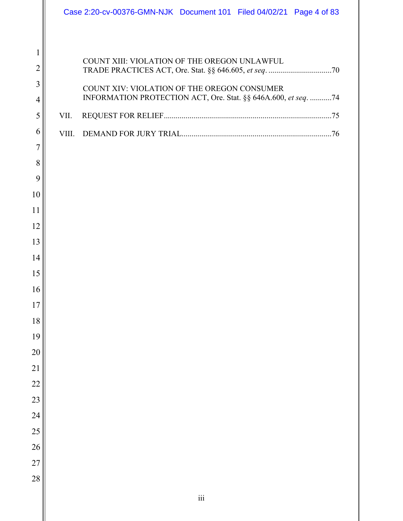|                     |       | Case 2:20-cv-00376-GMN-NJK Document 101 Filed 04/02/21 Page 4 of 83 |  |  |
|---------------------|-------|---------------------------------------------------------------------|--|--|
|                     |       |                                                                     |  |  |
| $\mathbf{1}$        |       |                                                                     |  |  |
| $\overline{2}$      |       | COUNT XIII: VIOLATION OF THE OREGON UNLAWFUL                        |  |  |
| 3                   |       | COUNT XIV: VIOLATION OF THE OREGON CONSUMER                         |  |  |
| 4                   |       | INFORMATION PROTECTION ACT, Ore. Stat. §§ 646A.600, et seq. 74      |  |  |
| 5                   | VII.  |                                                                     |  |  |
| 6                   | VIII. |                                                                     |  |  |
| $\overline{7}$<br>8 |       |                                                                     |  |  |
| 9                   |       |                                                                     |  |  |
| 10                  |       |                                                                     |  |  |
| 11                  |       |                                                                     |  |  |
| 12                  |       |                                                                     |  |  |
| 13                  |       |                                                                     |  |  |
| 14                  |       |                                                                     |  |  |
| 15                  |       |                                                                     |  |  |
| 16                  |       |                                                                     |  |  |
| 17<br>18            |       |                                                                     |  |  |
| 19                  |       |                                                                     |  |  |
| 20                  |       |                                                                     |  |  |
| 21                  |       |                                                                     |  |  |
| 22                  |       |                                                                     |  |  |
| 23                  |       |                                                                     |  |  |
| 24                  |       |                                                                     |  |  |
| 25                  |       |                                                                     |  |  |
| 26                  |       |                                                                     |  |  |
| 27                  |       |                                                                     |  |  |
| 28                  |       |                                                                     |  |  |
|                     |       | $\rm iii$                                                           |  |  |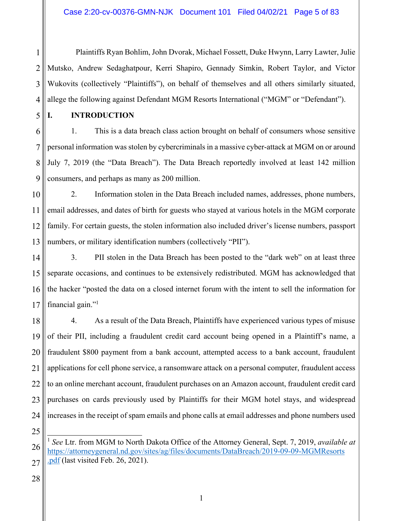2 3 4 Plaintiffs Ryan Bohlim, John Dvorak, Michael Fossett, Duke Hwynn, Larry Lawter, Julie Mutsko, Andrew Sedaghatpour, Kerri Shapiro, Gennady Simkin, Robert Taylor, and Victor Wukovits (collectively "Plaintiffs"), on behalf of themselves and all others similarly situated, allege the following against Defendant MGM Resorts International ("MGM" or "Defendant").

1

5

### **I. INTRODUCTION**

6 7 8 9 1. This is a data breach class action brought on behalf of consumers whose sensitive personal information was stolen by cybercriminals in a massive cyber-attack at MGM on or around July 7, 2019 (the "Data Breach"). The Data Breach reportedly involved at least 142 million consumers, and perhaps as many as 200 million.

10 11 12 13 2. Information stolen in the Data Breach included names, addresses, phone numbers, email addresses, and dates of birth for guests who stayed at various hotels in the MGM corporate family. For certain guests, the stolen information also included driver's license numbers, passport numbers, or military identification numbers (collectively "PII").

14 15 16 17 3. PII stolen in the Data Breach has been posted to the "dark web" on at least three separate occasions, and continues to be extensively redistributed. MGM has acknowledged that the hacker "posted the data on a closed internet forum with the intent to sell the information for financial gain."1

18 19 20 21 22 23 24 4. As a result of the Data Breach, Plaintiffs have experienced various types of misuse of their PII, including a fraudulent credit card account being opened in a Plaintiff's name, a fraudulent \$800 payment from a bank account, attempted access to a bank account, fraudulent applications for cell phone service, a ransomware attack on a personal computer, fraudulent access to an online merchant account, fraudulent purchases on an Amazon account, fraudulent credit card purchases on cards previously used by Plaintiffs for their MGM hotel stays, and widespread increases in the receipt of spam emails and phone calls at email addresses and phone numbers used

28

<sup>26</sup> 27  $\overline{\phantom{a}}$ <sup>1</sup> *See* Ltr. from MGM to North Dakota Office of the Attorney General, Sept. 7, 2019, *available at* https://attorneygeneral.nd.gov/sites/ag/files/documents/DataBreach/2019-09-09-MGMResorts pdf (last visited Feb. 26, 2021).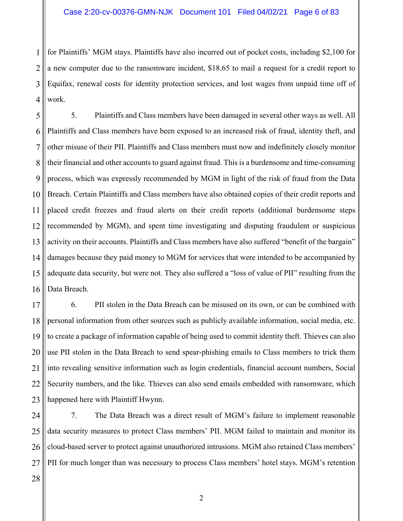1 2 3 4 for Plaintiffs' MGM stays. Plaintiffs have also incurred out of pocket costs, including \$2,100 for a new computer due to the ransomware incident, \$18.65 to mail a request for a credit report to Equifax, renewal costs for identity protection services, and lost wages from unpaid time off of work.

5 6 7 8 9 10 11 12 13 14 15 16 5. Plaintiffs and Class members have been damaged in several other ways as well. All Plaintiffs and Class members have been exposed to an increased risk of fraud, identity theft, and other misuse of their PII. Plaintiffs and Class members must now and indefinitely closely monitor their financial and other accounts to guard against fraud. This is a burdensome and time-consuming process, which was expressly recommended by MGM in light of the risk of fraud from the Data Breach. Certain Plaintiffs and Class members have also obtained copies of their credit reports and placed credit freezes and fraud alerts on their credit reports (additional burdensome steps recommended by MGM), and spent time investigating and disputing fraudulent or suspicious activity on their accounts. Plaintiffs and Class members have also suffered "benefit of the bargain" damages because they paid money to MGM for services that were intended to be accompanied by adequate data security, but were not. They also suffered a "loss of value of PII" resulting from the Data Breach.

17 18 19 20 21 22 23 6. PII stolen in the Data Breach can be misused on its own, or can be combined with personal information from other sources such as publicly available information, social media, etc. to create a package of information capable of being used to commit identity theft. Thieves can also use PII stolen in the Data Breach to send spear-phishing emails to Class members to trick them into revealing sensitive information such as login credentials, financial account numbers, Social Security numbers, and the like. Thieves can also send emails embedded with ransomware, which happened here with Plaintiff Hwynn.

24 25 26 27 7. The Data Breach was a direct result of MGM's failure to implement reasonable data security measures to protect Class members' PII. MGM failed to maintain and monitor its cloud-based server to protect against unauthorized intrusions. MGM also retained Class members' PII for much longer than was necessary to process Class members' hotel stays. MGM's retention

28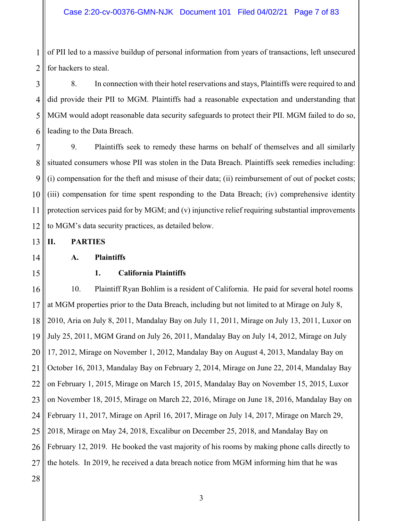1 2 of PII led to a massive buildup of personal information from years of transactions, left unsecured for hackers to steal.

3 4 5 6 8. In connection with their hotel reservations and stays, Plaintiffs were required to and did provide their PII to MGM. Plaintiffs had a reasonable expectation and understanding that MGM would adopt reasonable data security safeguards to protect their PII. MGM failed to do so, leading to the Data Breach.

7 8 9 10 11 12 9. Plaintiffs seek to remedy these harms on behalf of themselves and all similarly situated consumers whose PII was stolen in the Data Breach. Plaintiffs seek remedies including: (i) compensation for the theft and misuse of their data; (ii) reimbursement of out of pocket costs; (iii) compensation for time spent responding to the Data Breach; (iv) comprehensive identity protection services paid for by MGM; and (v) injunctive relief requiring substantial improvements to MGM's data security practices, as detailed below.

**II. PARTIES** 

14

13

### **A. Plaintiffs**

15

### **1. California Plaintiffs**

16 17 18 19 20 21 22 23 24 25 26 27 10. Plaintiff Ryan Bohlim is a resident of California. He paid for several hotel rooms at MGM properties prior to the Data Breach, including but not limited to at Mirage on July 8, 2010, Aria on July 8, 2011, Mandalay Bay on July 11, 2011, Mirage on July 13, 2011, Luxor on July 25, 2011, MGM Grand on July 26, 2011, Mandalay Bay on July 14, 2012, Mirage on July 17, 2012, Mirage on November 1, 2012, Mandalay Bay on August 4, 2013, Mandalay Bay on October 16, 2013, Mandalay Bay on February 2, 2014, Mirage on June 22, 2014, Mandalay Bay on February 1, 2015, Mirage on March 15, 2015, Mandalay Bay on November 15, 2015, Luxor on November 18, 2015, Mirage on March 22, 2016, Mirage on June 18, 2016, Mandalay Bay on February 11, 2017, Mirage on April 16, 2017, Mirage on July 14, 2017, Mirage on March 29, 2018, Mirage on May 24, 2018, Excalibur on December 25, 2018, and Mandalay Bay on February 12, 2019. He booked the vast majority of his rooms by making phone calls directly to the hotels. In 2019, he received a data breach notice from MGM informing him that he was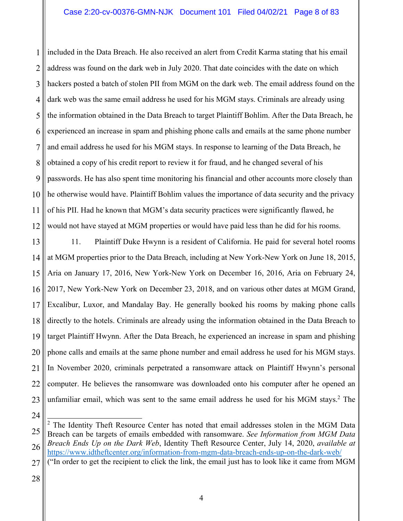### Case 2:20-cv-00376-GMN-NJK Document 101 Filed 04/02/21 Page 8 of 83

1 2 3 4 5 6 7 8 9 10 11 12 included in the Data Breach. He also received an alert from Credit Karma stating that his email address was found on the dark web in July 2020. That date coincides with the date on which hackers posted a batch of stolen PII from MGM on the dark web. The email address found on the dark web was the same email address he used for his MGM stays. Criminals are already using the information obtained in the Data Breach to target Plaintiff Bohlim. After the Data Breach, he experienced an increase in spam and phishing phone calls and emails at the same phone number and email address he used for his MGM stays. In response to learning of the Data Breach, he obtained a copy of his credit report to review it for fraud, and he changed several of his passwords. He has also spent time monitoring his financial and other accounts more closely than he otherwise would have. Plaintiff Bohlim values the importance of data security and the privacy of his PII. Had he known that MGM's data security practices were significantly flawed, he would not have stayed at MGM properties or would have paid less than he did for his rooms.

13 14 15 16 17 18 19 20 21 22 23 11. Plaintiff Duke Hwynn is a resident of California. He paid for several hotel rooms at MGM properties prior to the Data Breach, including at New York-New York on June 18, 2015, Aria on January 17, 2016, New York-New York on December 16, 2016, Aria on February 24, 2017, New York-New York on December 23, 2018, and on various other dates at MGM Grand, Excalibur, Luxor, and Mandalay Bay. He generally booked his rooms by making phone calls directly to the hotels. Criminals are already using the information obtained in the Data Breach to target Plaintiff Hwynn. After the Data Breach, he experienced an increase in spam and phishing phone calls and emails at the same phone number and email address he used for his MGM stays. In November 2020, criminals perpetrated a ransomware attack on Plaintiff Hwynn's personal computer. He believes the ransomware was downloaded onto his computer after he opened an unfamiliar email, which was sent to the same email address he used for his MGM stays.<sup>2</sup> The

- 27 ("In order to get the recipient to click the link, the email just has to look like it came from MGM
- 28

<sup>24</sup>

<sup>25</sup> 26 <sup>2</sup> The Identity Theft Resource Center has noted that email addresses stolen in the MGM Data Breach can be targets of emails embedded with ransomware. *See Information from MGM Data Breach Ends Up on the Dark Web*, Identity Theft Resource Center, July 14, 2020, *available at*  https://www.idtheftcenter.org/information-from-mgm-data-breach-ends-up-on-the-dark-web/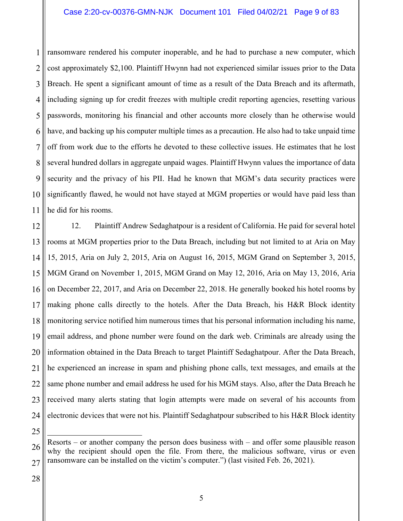1 2 3 4 5 6 7 8 9 10 11 ransomware rendered his computer inoperable, and he had to purchase a new computer, which cost approximately \$2,100. Plaintiff Hwynn had not experienced similar issues prior to the Data Breach. He spent a significant amount of time as a result of the Data Breach and its aftermath, including signing up for credit freezes with multiple credit reporting agencies, resetting various passwords, monitoring his financial and other accounts more closely than he otherwise would have, and backing up his computer multiple times as a precaution. He also had to take unpaid time off from work due to the efforts he devoted to these collective issues. He estimates that he lost several hundred dollars in aggregate unpaid wages. Plaintiff Hwynn values the importance of data security and the privacy of his PII. Had he known that MGM's data security practices were significantly flawed, he would not have stayed at MGM properties or would have paid less than he did for his rooms.

12 13 14 15 16 17 18 19 20 21 22 23 24 12. Plaintiff Andrew Sedaghatpour is a resident of California. He paid for several hotel rooms at MGM properties prior to the Data Breach, including but not limited to at Aria on May 15, 2015, Aria on July 2, 2015, Aria on August 16, 2015, MGM Grand on September 3, 2015, MGM Grand on November 1, 2015, MGM Grand on May 12, 2016, Aria on May 13, 2016, Aria on December 22, 2017, and Aria on December 22, 2018. He generally booked his hotel rooms by making phone calls directly to the hotels. After the Data Breach, his H&R Block identity monitoring service notified him numerous times that his personal information including his name, email address, and phone number were found on the dark web. Criminals are already using the information obtained in the Data Breach to target Plaintiff Sedaghatpour. After the Data Breach, he experienced an increase in spam and phishing phone calls, text messages, and emails at the same phone number and email address he used for his MGM stays. Also, after the Data Breach he received many alerts stating that login attempts were made on several of his accounts from electronic devices that were not his. Plaintiff Sedaghatpour subscribed to his H&R Block identity

28

<sup>26</sup> 27  $\overline{a}$ Resorts – or another company the person does business with – and offer some plausible reason why the recipient should open the file. From there, the malicious software, virus or even ransomware can be installed on the victim's computer.") (last visited Feb. 26, 2021).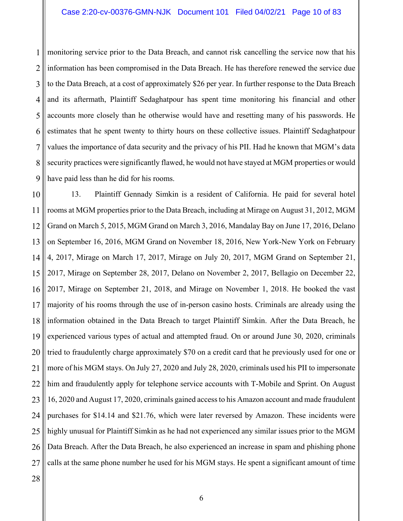1 2 3 4 5 6 7 8 9 monitoring service prior to the Data Breach, and cannot risk cancelling the service now that his information has been compromised in the Data Breach. He has therefore renewed the service due to the Data Breach, at a cost of approximately \$26 per year. In further response to the Data Breach and its aftermath, Plaintiff Sedaghatpour has spent time monitoring his financial and other accounts more closely than he otherwise would have and resetting many of his passwords. He estimates that he spent twenty to thirty hours on these collective issues. Plaintiff Sedaghatpour values the importance of data security and the privacy of his PII. Had he known that MGM's data security practices were significantly flawed, he would not have stayed at MGM properties or would have paid less than he did for his rooms.

10 11 12 13 14 15 16 17 18 19 20 21 22 23 24 25 26 27 13. Plaintiff Gennady Simkin is a resident of California. He paid for several hotel rooms at MGM properties prior to the Data Breach, including at Mirage on August 31, 2012, MGM Grand on March 5, 2015, MGM Grand on March 3, 2016, Mandalay Bay on June 17, 2016, Delano on September 16, 2016, MGM Grand on November 18, 2016, New York-New York on February 4, 2017, Mirage on March 17, 2017, Mirage on July 20, 2017, MGM Grand on September 21, 2017, Mirage on September 28, 2017, Delano on November 2, 2017, Bellagio on December 22, 2017, Mirage on September 21, 2018, and Mirage on November 1, 2018. He booked the vast majority of his rooms through the use of in-person casino hosts. Criminals are already using the information obtained in the Data Breach to target Plaintiff Simkin. After the Data Breach, he experienced various types of actual and attempted fraud. On or around June 30, 2020, criminals tried to fraudulently charge approximately \$70 on a credit card that he previously used for one or more of his MGM stays. On July 27, 2020 and July 28, 2020, criminals used his PII to impersonate him and fraudulently apply for telephone service accounts with T-Mobile and Sprint. On August 16, 2020 and August 17, 2020, criminals gained access to his Amazon account and made fraudulent purchases for \$14.14 and \$21.76, which were later reversed by Amazon. These incidents were highly unusual for Plaintiff Simkin as he had not experienced any similar issues prior to the MGM Data Breach. After the Data Breach, he also experienced an increase in spam and phishing phone calls at the same phone number he used for his MGM stays. He spent a significant amount of time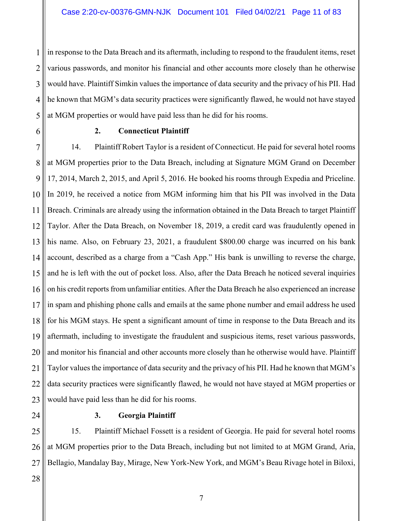1 2 3 4 5 in response to the Data Breach and its aftermath, including to respond to the fraudulent items, reset various passwords, and monitor his financial and other accounts more closely than he otherwise would have. Plaintiff Simkin values the importance of data security and the privacy of his PII. Had he known that MGM's data security practices were significantly flawed, he would not have stayed at MGM properties or would have paid less than he did for his rooms.

6

## **2. Connecticut Plaintiff**

7 8 9 10 11 12 13 14 15 16 17 18 19 20 21 22 23 14. Plaintiff Robert Taylor is a resident of Connecticut. He paid for several hotel rooms at MGM properties prior to the Data Breach, including at Signature MGM Grand on December 17, 2014, March 2, 2015, and April 5, 2016. He booked his rooms through Expedia and Priceline. In 2019, he received a notice from MGM informing him that his PII was involved in the Data Breach. Criminals are already using the information obtained in the Data Breach to target Plaintiff Taylor. After the Data Breach, on November 18, 2019, a credit card was fraudulently opened in his name. Also, on February 23, 2021, a fraudulent \$800.00 charge was incurred on his bank account, described as a charge from a "Cash App." His bank is unwilling to reverse the charge, and he is left with the out of pocket loss. Also, after the Data Breach he noticed several inquiries on his credit reports from unfamiliar entities. After the Data Breach he also experienced an increase in spam and phishing phone calls and emails at the same phone number and email address he used for his MGM stays. He spent a significant amount of time in response to the Data Breach and its aftermath, including to investigate the fraudulent and suspicious items, reset various passwords, and monitor his financial and other accounts more closely than he otherwise would have. Plaintiff Taylor values the importance of data security and the privacy of his PII. Had he known that MGM's data security practices were significantly flawed, he would not have stayed at MGM properties or would have paid less than he did for his rooms.

24

### **3. Georgia Plaintiff**

25 26 27 15. Plaintiff Michael Fossett is a resident of Georgia. He paid for several hotel rooms at MGM properties prior to the Data Breach, including but not limited to at MGM Grand, Aria, Bellagio, Mandalay Bay, Mirage, New York-New York, and MGM's Beau Rivage hotel in Biloxi,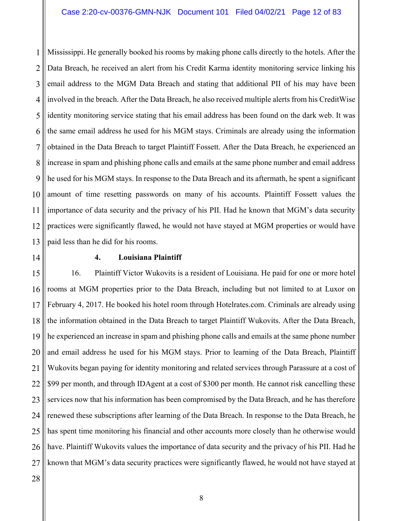1 2 3 4 5 6 7 8 9 10 11 12 13 Mississippi. He generally booked his rooms by making phone calls directly to the hotels. After the Data Breach, he received an alert from his Credit Karma identity monitoring service linking his email address to the MGM Data Breach and stating that additional PII of his may have been involved in the breach. After the Data Breach, he also received multiple alerts from his CreditWise identity monitoring service stating that his email address has been found on the dark web. It was the same email address he used for his MGM stays. Criminals are already using the information obtained in the Data Breach to target Plaintiff Fossett. After the Data Breach, he experienced an increase in spam and phishing phone calls and emails at the same phone number and email address he used for his MGM stays. In response to the Data Breach and its aftermath, he spent a significant amount of time resetting passwords on many of his accounts. Plaintiff Fossett values the importance of data security and the privacy of his PII. Had he known that MGM's data security practices were significantly flawed, he would not have stayed at MGM properties or would have paid less than he did for his rooms.

14

### **4. Louisiana Plaintiff**

15 16 17 18 19 20 21 22 23 24 25 26 27 16. Plaintiff Victor Wukovits is a resident of Louisiana. He paid for one or more hotel rooms at MGM properties prior to the Data Breach, including but not limited to at Luxor on February 4, 2017. He booked his hotel room through Hotelrates.com. Criminals are already using the information obtained in the Data Breach to target Plaintiff Wukovits. After the Data Breach, he experienced an increase in spam and phishing phone calls and emails at the same phone number and email address he used for his MGM stays. Prior to learning of the Data Breach, Plaintiff Wukovits began paying for identity monitoring and related services through Parassure at a cost of \$99 per month, and through IDAgent at a cost of \$300 per month. He cannot risk cancelling these services now that his information has been compromised by the Data Breach, and he has therefore renewed these subscriptions after learning of the Data Breach. In response to the Data Breach, he has spent time monitoring his financial and other accounts more closely than he otherwise would have. Plaintiff Wukovits values the importance of data security and the privacy of his PII. Had he known that MGM's data security practices were significantly flawed, he would not have stayed at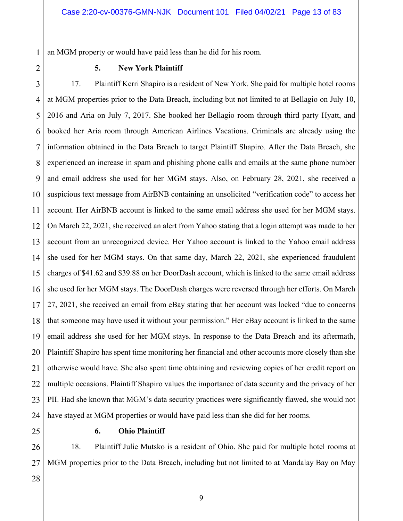1 an MGM property or would have paid less than he did for his room.

2

### **5. New York Plaintiff**

3 4 5 6 7 8 9 10 11 12 13 14 15 16 17 18 19 20 21 22 23 24 17. Plaintiff Kerri Shapiro is a resident of New York. She paid for multiple hotel rooms at MGM properties prior to the Data Breach, including but not limited to at Bellagio on July 10, 2016 and Aria on July 7, 2017. She booked her Bellagio room through third party Hyatt, and booked her Aria room through American Airlines Vacations. Criminals are already using the information obtained in the Data Breach to target Plaintiff Shapiro. After the Data Breach, she experienced an increase in spam and phishing phone calls and emails at the same phone number and email address she used for her MGM stays. Also, on February 28, 2021, she received a suspicious text message from AirBNB containing an unsolicited "verification code" to access her account. Her AirBNB account is linked to the same email address she used for her MGM stays. On March 22, 2021, she received an alert from Yahoo stating that a login attempt was made to her account from an unrecognized device. Her Yahoo account is linked to the Yahoo email address she used for her MGM stays. On that same day, March 22, 2021, she experienced fraudulent charges of \$41.62 and \$39.88 on her DoorDash account, which is linked to the same email address she used for her MGM stays. The DoorDash charges were reversed through her efforts. On March 27, 2021, she received an email from eBay stating that her account was locked "due to concerns that someone may have used it without your permission." Her eBay account is linked to the same email address she used for her MGM stays. In response to the Data Breach and its aftermath, Plaintiff Shapiro has spent time monitoring her financial and other accounts more closely than she otherwise would have. She also spent time obtaining and reviewing copies of her credit report on multiple occasions. Plaintiff Shapiro values the importance of data security and the privacy of her PII. Had she known that MGM's data security practices were significantly flawed, she would not have stayed at MGM properties or would have paid less than she did for her rooms.

25

### **6. Ohio Plaintiff**

26 27 18. Plaintiff Julie Mutsko is a resident of Ohio. She paid for multiple hotel rooms at MGM properties prior to the Data Breach, including but not limited to at Mandalay Bay on May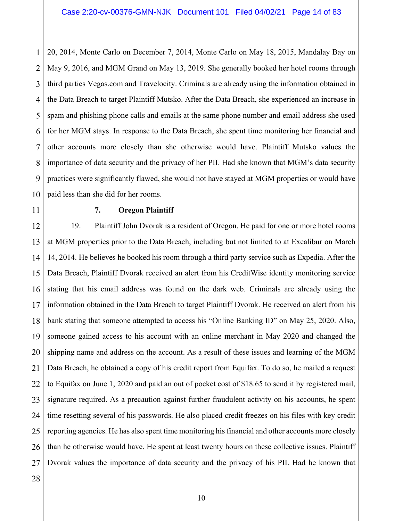1 2 3 4 5 6 7 8 9 10 20, 2014, Monte Carlo on December 7, 2014, Monte Carlo on May 18, 2015, Mandalay Bay on May 9, 2016, and MGM Grand on May 13, 2019. She generally booked her hotel rooms through third parties Vegas.com and Travelocity. Criminals are already using the information obtained in the Data Breach to target Plaintiff Mutsko. After the Data Breach, she experienced an increase in spam and phishing phone calls and emails at the same phone number and email address she used for her MGM stays. In response to the Data Breach, she spent time monitoring her financial and other accounts more closely than she otherwise would have. Plaintiff Mutsko values the importance of data security and the privacy of her PII. Had she known that MGM's data security practices were significantly flawed, she would not have stayed at MGM properties or would have paid less than she did for her rooms.

11

### **7. Oregon Plaintiff**

12 13 14 15 16 17 18 19 20 21 22 23 24 25 26 27 19. Plaintiff John Dvorak is a resident of Oregon. He paid for one or more hotel rooms at MGM properties prior to the Data Breach, including but not limited to at Excalibur on March 14, 2014. He believes he booked his room through a third party service such as Expedia. After the Data Breach, Plaintiff Dvorak received an alert from his CreditWise identity monitoring service stating that his email address was found on the dark web. Criminals are already using the information obtained in the Data Breach to target Plaintiff Dvorak. He received an alert from his bank stating that someone attempted to access his "Online Banking ID" on May 25, 2020. Also, someone gained access to his account with an online merchant in May 2020 and changed the shipping name and address on the account. As a result of these issues and learning of the MGM Data Breach, he obtained a copy of his credit report from Equifax. To do so, he mailed a request to Equifax on June 1, 2020 and paid an out of pocket cost of \$18.65 to send it by registered mail, signature required. As a precaution against further fraudulent activity on his accounts, he spent time resetting several of his passwords. He also placed credit freezes on his files with key credit reporting agencies. He has also spent time monitoring his financial and other accounts more closely than he otherwise would have. He spent at least twenty hours on these collective issues. Plaintiff Dvorak values the importance of data security and the privacy of his PII. Had he known that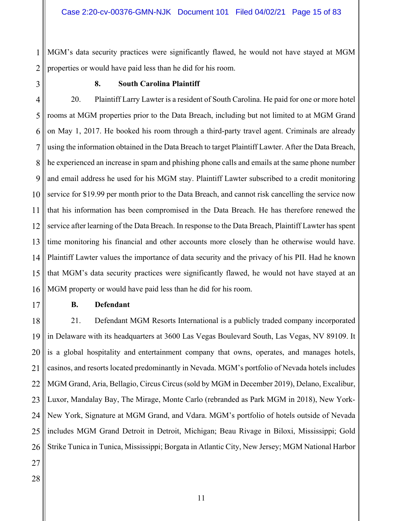1 2 MGM's data security practices were significantly flawed, he would not have stayed at MGM properties or would have paid less than he did for his room.

3

#### **8. South Carolina Plaintiff**

4 5 6 7 8 9 10 11 12 13 14 15 16 20. Plaintiff Larry Lawter is a resident of South Carolina. He paid for one or more hotel rooms at MGM properties prior to the Data Breach, including but not limited to at MGM Grand on May 1, 2017. He booked his room through a third-party travel agent. Criminals are already using the information obtained in the Data Breach to target Plaintiff Lawter. After the Data Breach, he experienced an increase in spam and phishing phone calls and emails at the same phone number and email address he used for his MGM stay. Plaintiff Lawter subscribed to a credit monitoring service for \$19.99 per month prior to the Data Breach, and cannot risk cancelling the service now that his information has been compromised in the Data Breach. He has therefore renewed the service after learning of the Data Breach. In response to the Data Breach, Plaintiff Lawter has spent time monitoring his financial and other accounts more closely than he otherwise would have. Plaintiff Lawter values the importance of data security and the privacy of his PII. Had he known that MGM's data security practices were significantly flawed, he would not have stayed at an MGM property or would have paid less than he did for his room.

17

### **B. Defendant**

18 19 20 21 22 23 24 25 26 21. Defendant MGM Resorts International is a publicly traded company incorporated in Delaware with its headquarters at 3600 Las Vegas Boulevard South, Las Vegas, NV 89109. It is a global hospitality and entertainment company that owns, operates, and manages hotels, casinos, and resorts located predominantly in Nevada. MGM's portfolio of Nevada hotels includes MGM Grand, Aria, Bellagio, Circus Circus (sold by MGM in December 2019), Delano, Excalibur, Luxor, Mandalay Bay, The Mirage, Monte Carlo (rebranded as Park MGM in 2018), New York-New York, Signature at MGM Grand, and Vdara. MGM's portfolio of hotels outside of Nevada includes MGM Grand Detroit in Detroit, Michigan; Beau Rivage in Biloxi, Mississippi; Gold Strike Tunica in Tunica, Mississippi; Borgata in Atlantic City, New Jersey; MGM National Harbor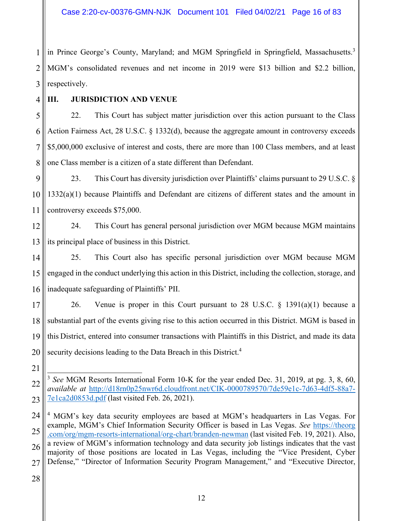1 2 3 in Prince George's County, Maryland; and MGM Springfield in Springfield, Massachusetts.<sup>3</sup> MGM's consolidated revenues and net income in 2019 were \$13 billion and \$2.2 billion, respectively.

4 5

# **III. JURISDICTION AND VENUE**

6 7 8 22. This Court has subject matter jurisdiction over this action pursuant to the Class Action Fairness Act, 28 U.S.C. § 1332(d), because the aggregate amount in controversy exceeds \$5,000,000 exclusive of interest and costs, there are more than 100 Class members, and at least one Class member is a citizen of a state different than Defendant.

- 9 10 11 23. This Court has diversity jurisdiction over Plaintiffs' claims pursuant to 29 U.S.C. § 1332(a)(1) because Plaintiffs and Defendant are citizens of different states and the amount in controversy exceeds \$75,000.
- 12 13 24. This Court has general personal jurisdiction over MGM because MGM maintains its principal place of business in this District.
- 14 15 16 25. This Court also has specific personal jurisdiction over MGM because MGM engaged in the conduct underlying this action in this District, including the collection, storage, and inadequate safeguarding of Plaintiffs' PII.

17 18 19 20 26. Venue is proper in this Court pursuant to 28 U.S.C. § 1391(a)(1) because a substantial part of the events giving rise to this action occurred in this District. MGM is based in this District, entered into consumer transactions with Plaintiffs in this District, and made its data security decisions leading to the Data Breach in this District.<sup>4</sup>

21

<sup>22</sup> 23  $\overline{a}$ <sup>3</sup> *See* MGM Resorts International Form 10-K for the year ended Dec. 31, 2019, at pg. 3, 8, 60, *available at* http://d18rn0p25nwr6d.cloudfront.net/CIK-0000789570/7de59e1c-7d63-4df5-88a7- 7e1ca2d0853d.pdf (last visited Feb. 26, 2021).

<sup>24</sup> 25 26 27 <sup>4</sup> MGM's key data security employees are based at MGM's headquarters in Las Vegas. For example, MGM's Chief Information Security Officer is based in Las Vegas. *See* https://theorg .com/org/mgm-resorts-international/org-chart/branden-newman (last visited Feb. 19, 2021). Also, a review of MGM's information technology and data security job listings indicates that the vast majority of those positions are located in Las Vegas, including the "Vice President, Cyber Defense," "Director of Information Security Program Management," and "Executive Director,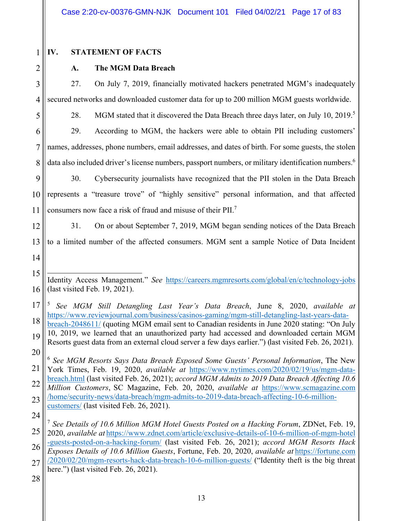2

5

# **IV. STATEMENT OF FACTS**

# **A. The MGM Data Breach**

3 4 27. On July 7, 2019, financially motivated hackers penetrated MGM's inadequately secured networks and downloaded customer data for up to 200 million MGM guests worldwide.

28. MGM stated that it discovered the Data Breach three days later, on July 10, 2019.<sup>5</sup>

6 7 8 29. According to MGM, the hackers were able to obtain PII including customers' names, addresses, phone numbers, email addresses, and dates of birth. For some guests, the stolen data also included driver's license numbers, passport numbers, or military identification numbers.<sup>6</sup>

9 10 11 30. Cybersecurity journalists have recognized that the PII stolen in the Data Breach represents a "treasure trove" of "highly sensitive" personal information, and that affected consumers now face a risk of fraud and misuse of their PII.7

12 13 14 31. On or about September 7, 2019, MGM began sending notices of the Data Breach to a limited number of the affected consumers. MGM sent a sample Notice of Data Incident

17 18 <sup>5</sup> *See MGM Still Detangling Last Year's Data Breach*, June 8, 2020, *available at* https://www.reviewjournal.com/business/casinos-gaming/mgm-still-detangling-last-years-databreach-2048611/ (quoting MGM email sent to Canadian residents in June 2020 stating: "On July

19 20 10, 2019, we learned that an unauthorized party had accessed and downloaded certain MGM Resorts guest data from an external cloud server a few days earlier.") (last visited Feb. 26, 2021).

21 22 23 <sup>6</sup> *See MGM Resorts Says Data Breach Exposed Some Guests' Personal Information*, The New York Times, Feb. 19, 2020, *available at* https://www.nytimes.com/2020/02/19/us/mgm-databreach.html (last visited Feb. 26, 2021); *accord MGM Admits to 2019 Data Breach Affecting 10.6 Million Customers*, SC Magazine, Feb. 20, 2020, *available at* https://www.scmagazine.com /home/security-news/data-breach/mgm-admits-to-2019-data-breach-affecting-10-6-millioncustomers/ (last visited Feb. 26, 2021).

<sup>15</sup> 16  $\overline{a}$ Identity Access Management." *See* https://careers.mgmresorts.com/global/en/c/technology-jobs (last visited Feb. 19, 2021).

<sup>25</sup> 26 27 <sup>7</sup> *See Details of 10.6 Million MGM Hotel Guests Posted on a Hacking Forum*, ZDNet, Feb. 19, 2020, *available at* https://www.zdnet.com/article/exclusive-details-of-10-6-million-of-mgm-hotel -guests-posted-on-a-hacking-forum/ (last visited Feb. 26, 2021); *accord MGM Resorts Hack Exposes Details of 10.6 Million Guests*, Fortune, Feb. 20, 2020, *available at* https://fortune.com /2020/02/20/mgm-resorts-hack-data-breach-10-6-million-guests/ ("Identity theft is the big threat here.") (last visited Feb. 26, 2021).

<sup>28</sup>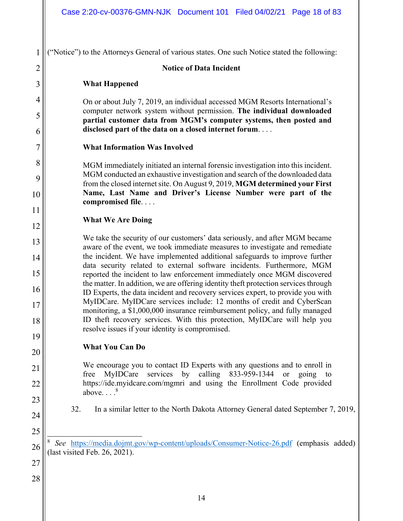("Notice") to the Attorneys General of various states. One such Notice stated the following:

### **Notice of Data Incident**

### **What Happened**

1

2

3

4

5

6

7

8

9

10

11

12

13

14

15

16

17

18

19

20

21

22

23

24

25

On or about July 7, 2019, an individual accessed MGM Resorts International's computer network system without permission. **The individual downloaded partial customer data from MGM's computer systems, then posted and disclosed part of the data on a closed internet forum**. . . .

### **What Information Was Involved**

MGM immediately initiated an internal forensic investigation into this incident. MGM conducted an exhaustive investigation and search of the downloaded data from the closed internet site. On August 9, 2019, **MGM determined your First Name, Last Name and Driver's License Number were part of the compromised file**. . . .

### **What We Are Doing**

We take the security of our customers' data seriously, and after MGM became aware of the event, we took immediate measures to investigate and remediate the incident. We have implemented additional safeguards to improve further data security related to external software incidents. Furthermore, MGM reported the incident to law enforcement immediately once MGM discovered the matter. In addition, we are offering identity theft protection services through ID Experts, the data incident and recovery services expert, to provide you with MyIDCare. MyIDCare services include: 12 months of credit and CyberScan monitoring, a \$1,000,000 insurance reimbursement policy, and fully managed ID theft recovery services. With this protection, MyIDCare will help you resolve issues if your identity is compromised.

# **What You Can Do**

We encourage you to contact ID Experts with any questions and to enroll in free MyIDCare services by calling 833-959-1344 or going to https://ide.myidcare.com/mgmri and using the Enrollment Code provided above.  $8<sup>8</sup>$ 

# 32. In a similar letter to the North Dakota Attorney General dated September 7, 2019,

26  $\overline{a}$ See https://media.dojmt.gov/wp-content/uploads/Consumer-Notice-26.pdf (emphasis added) (last visited Feb. 26, 2021).

27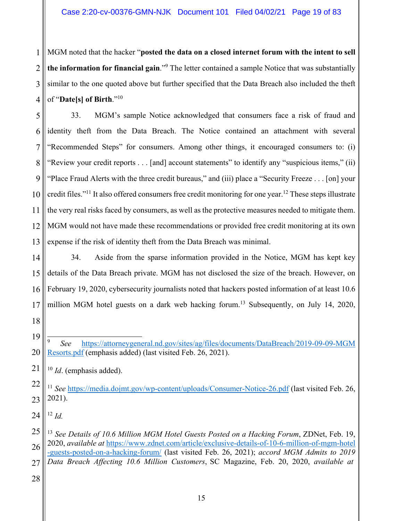1 2 3 4 MGM noted that the hacker "**posted the data on a closed internet forum with the intent to sell the information for financial gain**."9 The letter contained a sample Notice that was substantially similar to the one quoted above but further specified that the Data Breach also included the theft of "**Date[s] of Birth**."10

5 6 7 8 9 10 11 12 13 33. MGM's sample Notice acknowledged that consumers face a risk of fraud and identity theft from the Data Breach. The Notice contained an attachment with several "Recommended Steps" for consumers. Among other things, it encouraged consumers to: (i) "Review your credit reports . . . [and] account statements" to identify any "suspicious items," (ii) "Place Fraud Alerts with the three credit bureaus," and (iii) place a "Security Freeze . . . [on] your credit files."11 It also offered consumers free credit monitoring for one year.12 These steps illustrate the very real risks faced by consumers, as well as the protective measures needed to mitigate them. MGM would not have made these recommendations or provided free credit monitoring at its own expense if the risk of identity theft from the Data Breach was minimal.

14 15 16 17 34. Aside from the sparse information provided in the Notice, MGM has kept key details of the Data Breach private. MGM has not disclosed the size of the breach. However, on February 19, 2020, cybersecurity journalists noted that hackers posted information of at least 10.6 million MGM hotel guests on a dark web hacking forum.<sup>13</sup> Subsequently, on July 14, 2020,

19 20  $\overline{a}$ <sup>9</sup> *See* https://attorneygeneral.nd.gov/sites/ag/files/documents/DataBreach/2019-09-09-MGM Resorts.pdf (emphasis added) (last visited Feb. 26, 2021).

21 <sup>10</sup> *Id*. (emphasis added).

22 23 <sup>11</sup> See https://media.dojmt.gov/wp-content/uploads/Consumer-Notice-26.pdf (last visited Feb. 26, 2021).

24  $12$  *Id.* 

18

25 26 27 <sup>13</sup> *See Details of 10.6 Million MGM Hotel Guests Posted on a Hacking Forum*, ZDNet, Feb. 19, 2020, *available at* https://www.zdnet.com/article/exclusive-details-of-10-6-million-of-mgm-hotel -guests-posted-on-a-hacking-forum/ (last visited Feb. 26, 2021); *accord MGM Admits to 2019 Data Breach Affecting 10.6 Million Customers*, SC Magazine, Feb. 20, 2020, *available at*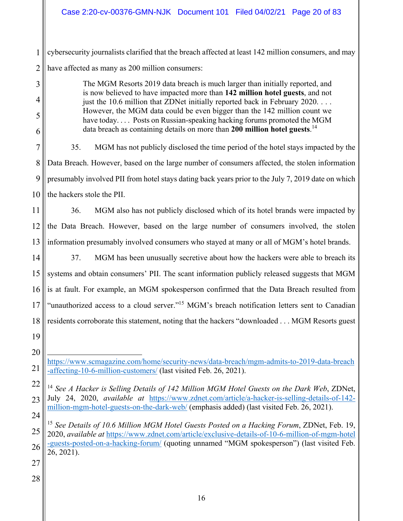1 2 cybersecurity journalists clarified that the breach affected at least 142 million consumers, and may have affected as many as 200 million consumers:

> The MGM Resorts 2019 data breach is much larger than initially reported, and is now believed to have impacted more than **142 million hotel guests**, and not just the 10.6 million that ZDNet initially reported back in February 2020. . . . However, the MGM data could be even bigger than the 142 million count we have today.... Posts on Russian-speaking hacking forums promoted the MGM data breach as containing details on more than **200 million hotel guests**. 14

7 8 9 10 35. MGM has not publicly disclosed the time period of the hotel stays impacted by the Data Breach. However, based on the large number of consumers affected, the stolen information presumably involved PII from hotel stays dating back years prior to the July 7, 2019 date on which the hackers stole the PII.

11 12 13 36. MGM also has not publicly disclosed which of its hotel brands were impacted by the Data Breach. However, based on the large number of consumers involved, the stolen information presumably involved consumers who stayed at many or all of MGM's hotel brands.

14 15 16 17 18 19 37. MGM has been unusually secretive about how the hackers were able to breach its systems and obtain consumers' PII. The scant information publicly released suggests that MGM is at fault. For example, an MGM spokesperson confirmed that the Data Breach resulted from "unauthorized access to a cloud server."<sup>15</sup> MGM's breach notification letters sent to Canadian residents corroborate this statement, noting that the hackers "downloaded . . . MGM Resorts guest

 https://www.scmagazine.com/home/security-news/data-breach/mgm-admits-to-2019-data-breach -affecting-10-6-million-customers/ (last visited Feb. 26, 2021).

22 23 <sup>14</sup> *See A Hacker is Selling Details of 142 Million MGM Hotel Guests on the Dark Web*, ZDNet, July 24, 2020, *available at* https://www.zdnet.com/article/a-hacker-is-selling-details-of-142 million-mgm-hotel-guests-on-the-dark-web/ (emphasis added) (last visited Feb. 26, 2021).

24 25 26 <sup>15</sup> *See Details of 10.6 Million MGM Hotel Guests Posted on a Hacking Forum*, ZDNet, Feb. 19, 2020, *available at* https://www.zdnet.com/article/exclusive-details-of-10-6-million-of-mgm-hotel -guests-posted-on-a-hacking-forum/ (quoting unnamed "MGM spokesperson") (last visited Feb. 26, 2021).

27

20

21

3

4

5

6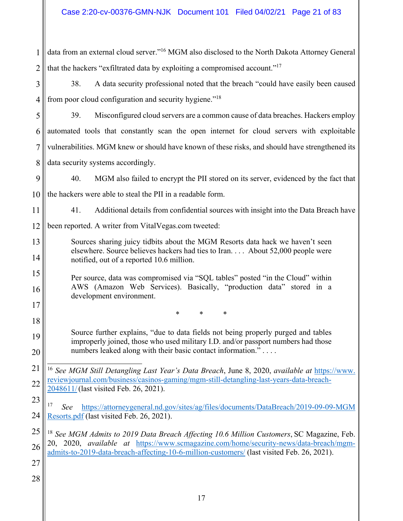| 1              | data from an external cloud server." <sup>16</sup> MGM also disclosed to the North Dakota Attorney General                                                                          |  |  |
|----------------|-------------------------------------------------------------------------------------------------------------------------------------------------------------------------------------|--|--|
| $\overline{2}$ | that the hackers "exfiltrated data by exploiting a compromised account." <sup>17</sup>                                                                                              |  |  |
| 3              | 38.<br>A data security professional noted that the breach "could have easily been caused                                                                                            |  |  |
| $\overline{4}$ | from poor cloud configuration and security hygiene." <sup>18</sup>                                                                                                                  |  |  |
| 5              | 39.<br>Misconfigured cloud servers are a common cause of data breaches. Hackers employ                                                                                              |  |  |
| 6              | automated tools that constantly scan the open internet for cloud servers with exploitable                                                                                           |  |  |
| 7              | vulnerabilities. MGM knew or should have known of these risks, and should have strengthened its                                                                                     |  |  |
| 8              | data security systems accordingly.                                                                                                                                                  |  |  |
| 9              | 40.<br>MGM also failed to encrypt the PII stored on its server, evidenced by the fact that                                                                                          |  |  |
| 10             | the hackers were able to steal the PII in a readable form.                                                                                                                          |  |  |
| 11             | 41.<br>Additional details from confidential sources with insight into the Data Breach have                                                                                          |  |  |
| 12             | been reported. A writer from VitalVegas.com tweeted:                                                                                                                                |  |  |
| 13             | Sources sharing juicy tidbits about the MGM Resorts data hack we haven't seen<br>elsewhere. Source believes hackers had ties to Iran. About 52,000 people were                      |  |  |
| 14             | notified, out of a reported 10.6 million.                                                                                                                                           |  |  |
| 15             | Per source, data was compromised via "SQL tables" posted "in the Cloud" within                                                                                                      |  |  |
| 16             | AWS (Amazon Web Services). Basically, "production data" stored in a<br>development environment.                                                                                     |  |  |
| 17             | *<br>*<br>∗                                                                                                                                                                         |  |  |
| 18             |                                                                                                                                                                                     |  |  |
| 19             | Source further explains, "due to data fields not being properly purged and tables<br>improperly joined, those who used military I.D. and/or passport numbers had those              |  |  |
| 20             | numbers leaked along with their basic contact information."                                                                                                                         |  |  |
| 21             | <sup>16</sup> See MGM Still Detangling Last Year's Data Breach, June 8, 2020, available at https://www.                                                                             |  |  |
| 22             | reviewjournal.com/business/casinos-gaming/mgm-still-detangling-last-years-data-breach-<br>2048611/(last visited Feb. 26, 2021).                                                     |  |  |
| 23             | 17<br>https://attorneygeneral.nd.gov/sites/ag/files/documents/DataBreach/2019-09-09-MGM<br>See                                                                                      |  |  |
| 24             | Resorts.pdf (last visited Feb. 26, 2021).                                                                                                                                           |  |  |
| 25             | <sup>18</sup> See MGM Admits to 2019 Data Breach Affecting 10.6 Million Customers, SC Magazine, Feb.                                                                                |  |  |
| 26             | 20, 2020, available at https://www.scmagazine.com/home/security-news/data-breach/mgm-<br>admits-to-2019-data-breach-affecting-10-6-million-customers/ (last visited Feb. 26, 2021). |  |  |
| 27             |                                                                                                                                                                                     |  |  |
| 28             |                                                                                                                                                                                     |  |  |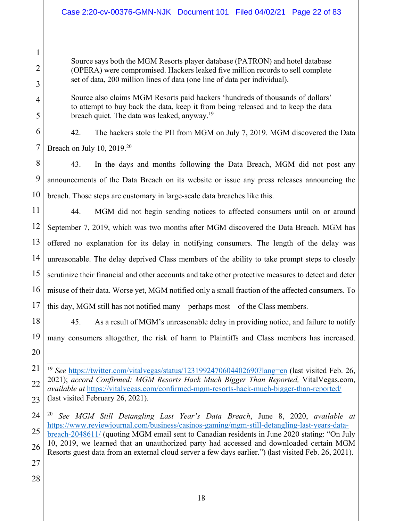Source says both the MGM Resorts player database (PATRON) and hotel database (OPERA) were compromised. Hackers leaked five million records to sell complete set of data, 200 million lines of data (one line of data per individual).

Source also claims MGM Resorts paid hackers 'hundreds of thousands of dollars' to attempt to buy back the data, keep it from being released and to keep the data breach quiet. The data was leaked, anyway.<sup>19</sup>

1

2

3

4

5

6

7

42. The hackers stole the PII from MGM on July 7, 2019. MGM discovered the Data Breach on July 10,  $2019<sup>20</sup>$ 

8 9 10 43. In the days and months following the Data Breach, MGM did not post any announcements of the Data Breach on its website or issue any press releases announcing the breach. Those steps are customary in large-scale data breaches like this.

11 12 13 14 15 16 17 44. MGM did not begin sending notices to affected consumers until on or around September 7, 2019, which was two months after MGM discovered the Data Breach. MGM has offered no explanation for its delay in notifying consumers. The length of the delay was unreasonable. The delay deprived Class members of the ability to take prompt steps to closely scrutinize their financial and other accounts and take other protective measures to detect and deter misuse of their data. Worse yet, MGM notified only a small fraction of the affected consumers. To this day, MGM still has not notified many – perhaps most – of the Class members.

18 19 20 45. As a result of MGM's unreasonable delay in providing notice, and failure to notify many consumers altogether, the risk of harm to Plaintiffs and Class members has increased.

21 22 23  $\overline{a}$ <sup>19</sup> See https://twitter.com/vitalvegas/status/1231992470604402690?lang=en (last visited Feb. 26, 2021); *accord Confirmed: MGM Resorts Hack Much Bigger Than Reported,* VitalVegas.com, *available at* https://vitalvegas.com/confirmed-mgm-resorts-hack-much-bigger-than-reported/ (last visited February 26, 2021).

24 25 26 <sup>20</sup> *See MGM Still Detangling Last Year's Data Breach*, June 8, 2020, *available at* https://www.reviewjournal.com/business/casinos-gaming/mgm-still-detangling-last-years-databreach-2048611/ (quoting MGM email sent to Canadian residents in June 2020 stating: "On July 10, 2019, we learned that an unauthorized party had accessed and downloaded certain MGM Resorts guest data from an external cloud server a few days earlier.") (last visited Feb. 26, 2021).

- 27
- 28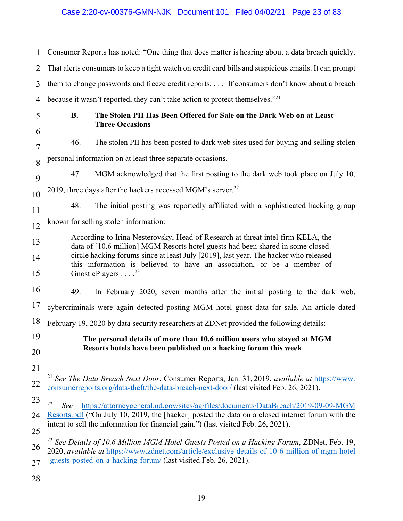1 2 3 4 Consumer Reports has noted: "One thing that does matter is hearing about a data breach quickly. That alerts consumers to keep a tight watch on credit card bills and suspicious emails. It can prompt them to change passwords and freeze credit reports. . . . If consumers don't know about a breach because it wasn't reported, they can't take action to protect themselves."<sup>21</sup>

5

6

7

### **B. The Stolen PII Has Been Offered for Sale on the Dark Web on at Least Three Occasions**

46. The stolen PII has been posted to dark web sites used for buying and selling stolen

8 personal information on at least three separate occasions.

9 10 47. MGM acknowledged that the first posting to the dark web took place on July 10, 2019, three days after the hackers accessed MGM's server.<sup>22</sup>

11

13

14

15

48. The initial posting was reportedly affiliated with a sophisticated hacking group

12 known for selling stolen information:

- According to Irina Nesterovsky, Head of Research at threat intel firm KELA, the data of [10.6 million] MGM Resorts hotel guests had been shared in some closedcircle hacking forums since at least July [2019], last year. The hacker who released this information is believed to have an association, or be a member of GnosticPlayers . . . . <sup>23</sup>
- 16 49. In February 2020, seven months after the initial posting to the dark web,

17 cybercriminals were again detected posting MGM hotel guest data for sale. An article dated

18 February 19, 2020 by data security researchers at ZDNet provided the following details:

19 20

21

**The personal details of more than 10.6 million users who stayed at MGM Resorts hotels have been published on a hacking forum this week**.

23 24 25 <sup>22</sup> *See* https://attorneygeneral.nd.gov/sites/ag/files/documents/DataBreach/2019-09-09-MGM Resorts.pdf ("On July 10, 2019, the [hacker] posted the data on a closed internet forum with the intent to sell the information for financial gain.") (last visited Feb. 26, 2021).

26 27 <sup>23</sup> *See Details of 10.6 Million MGM Hotel Guests Posted on a Hacking Forum*, ZDNet, Feb. 19, 2020, *available at* https://www.zdnet.com/article/exclusive-details-of-10-6-million-of-mgm-hotel -guests-posted-on-a-hacking-forum/ (last visited Feb. 26, 2021).

<sup>22</sup>  $\overline{a}$ <sup>21</sup> *See The Data Breach Next Door*, Consumer Reports, Jan. 31, 2019, *available at* https://www. consumerreports.org/data-theft/the-data-breach-next-door/ (last visited Feb. 26, 2021).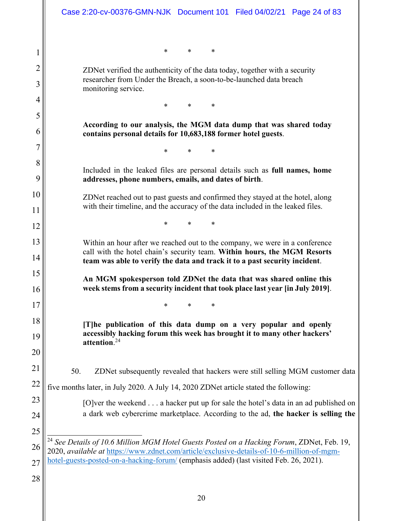|                     | Case 2:20-cv-00376-GMN-NJK Document 101 Filed 04/02/21 Page 24 of 83                                                                                                                                                                  |
|---------------------|---------------------------------------------------------------------------------------------------------------------------------------------------------------------------------------------------------------------------------------|
| 1                   | *<br>∗<br>$\ast$                                                                                                                                                                                                                      |
| $\overline{2}$<br>3 | ZDNet verified the authenticity of the data today, together with a security<br>researcher from Under the Breach, a soon-to-be-launched data breach<br>monitoring service.                                                             |
| 4                   | $\ast$<br>∗<br>$\ast$                                                                                                                                                                                                                 |
| 5<br>6              | According to our analysis, the MGM data dump that was shared today<br>contains personal details for 10,683,188 former hotel guests.                                                                                                   |
| 7                   | *<br>*                                                                                                                                                                                                                                |
| 8<br>9              | Included in the leaked files are personal details such as full names, home<br>addresses, phone numbers, emails, and dates of birth.                                                                                                   |
| 10<br>11            | ZDNet reached out to past guests and confirmed they stayed at the hotel, along<br>with their timeline, and the accuracy of the data included in the leaked files.                                                                     |
| 12                  | *<br>*                                                                                                                                                                                                                                |
| 13<br>14            | Within an hour after we reached out to the company, we were in a conference<br>call with the hotel chain's security team. Within hours, the MGM Resorts<br>team was able to verify the data and track it to a past security incident. |
| 15<br>16            | An MGM spokesperson told ZDNet the data that was shared online this<br>week stems from a security incident that took place last year [in July 2019].                                                                                  |
| 17                  | *<br>*                                                                                                                                                                                                                                |
| 18                  | [T]he publication of this data dump on a very popular and openly                                                                                                                                                                      |
| 19<br>20            | accessibly hacking forum this week has brought it to many other hackers'<br>attention. $24$                                                                                                                                           |
| 21                  | 50.<br>ZDNet subsequently revealed that hackers were still selling MGM customer data                                                                                                                                                  |
| 22                  | five months later, in July 2020. A July 14, 2020 ZDNet article stated the following:                                                                                                                                                  |
| 23                  | [O]ver the weekend $\dots$ a hacker put up for sale the hotel's data in an ad published on                                                                                                                                            |
| 24                  | a dark web cybercrime marketplace. According to the ad, the hacker is selling the                                                                                                                                                     |
| 25                  | <sup>24</sup> See Details of 10.6 Million MGM Hotel Guests Posted on a Hacking Forum, ZDNet, Feb. 19,                                                                                                                                 |
| 26<br>27            | 2020, available at https://www.zdnet.com/article/exclusive-details-of-10-6-million-of-mgm-<br>hotel-guests-posted-on-a-hacking-forum/ (emphasis added) (last visited Feb. 26, 2021).                                                  |
| 28                  |                                                                                                                                                                                                                                       |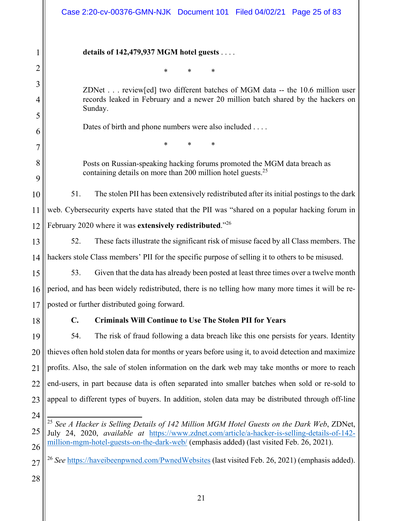|                | Case 2:20-cv-00376-GMN-NJK Document 101 Filed 04/02/21 Page 25 of 83                                                                                                                                   |  |  |
|----------------|--------------------------------------------------------------------------------------------------------------------------------------------------------------------------------------------------------|--|--|
| 1              | details of $142,479,937$ MGM hotel guests                                                                                                                                                              |  |  |
| $\overline{2}$ | *<br>*                                                                                                                                                                                                 |  |  |
| 3              | ZDNet review[ed] two different batches of MGM data -- the 10.6 million user                                                                                                                            |  |  |
| 4              | records leaked in February and a newer 20 million batch shared by the hackers on                                                                                                                       |  |  |
| 5              | Sunday.                                                                                                                                                                                                |  |  |
| 6              | Dates of birth and phone numbers were also included                                                                                                                                                    |  |  |
| 7              | *                                                                                                                                                                                                      |  |  |
| 8              | Posts on Russian-speaking hacking forums promoted the MGM data breach as                                                                                                                               |  |  |
| 9              | containing details on more than 200 million hotel guests. <sup>25</sup>                                                                                                                                |  |  |
| 10             | 51.<br>The stolen PII has been extensively redistributed after its initial postings to the dark                                                                                                        |  |  |
| 11             | web. Cybersecurity experts have stated that the PII was "shared on a popular hacking forum in                                                                                                          |  |  |
| 12             | February 2020 where it was extensively redistributed." <sup>26</sup>                                                                                                                                   |  |  |
| 13             | These facts illustrate the significant risk of misuse faced by all Class members. The<br>52.                                                                                                           |  |  |
| 14             | hackers stole Class members' PII for the specific purpose of selling it to others to be misused.                                                                                                       |  |  |
| 15             | 53.<br>Given that the data has already been posted at least three times over a twelve month                                                                                                            |  |  |
| 16             | period, and has been widely redistributed, there is no telling how many more times it will be re-                                                                                                      |  |  |
| 17             | posted or further distributed going forward.                                                                                                                                                           |  |  |
| 18             | <b>Criminals Will Continue to Use The Stolen PII for Years</b><br>$\mathbf{C}$ .                                                                                                                       |  |  |
| 19             | 54.<br>The risk of fraud following a data breach like this one persists for years. Identity                                                                                                            |  |  |
| 20             | thieves often hold stolen data for months or years before using it, to avoid detection and maximize                                                                                                    |  |  |
| 21             | profits. Also, the sale of stolen information on the dark web may take months or more to reach                                                                                                         |  |  |
| 22             | end-users, in part because data is often separated into smaller batches when sold or re-sold to                                                                                                        |  |  |
| 23             | appeal to different types of buyers. In addition, stolen data may be distributed through off-line                                                                                                      |  |  |
| 24             |                                                                                                                                                                                                        |  |  |
| 25             | <sup>25</sup> See A Hacker is Selling Details of 142 Million MGM Hotel Guests on the Dark Web, ZDNet,<br>July 24, 2020, available at https://www.zdnet.com/article/a-hacker-is-selling-details-of-142- |  |  |
| 26             | million-mgm-hotel-guests-on-the-dark-web/ (emphasis added) (last visited Feb. 26, 2021).                                                                                                               |  |  |
| 27             | <sup>26</sup> See https://haveibeenpwned.com/PwnedWebsites (last visited Feb. 26, 2021) (emphasis added).                                                                                              |  |  |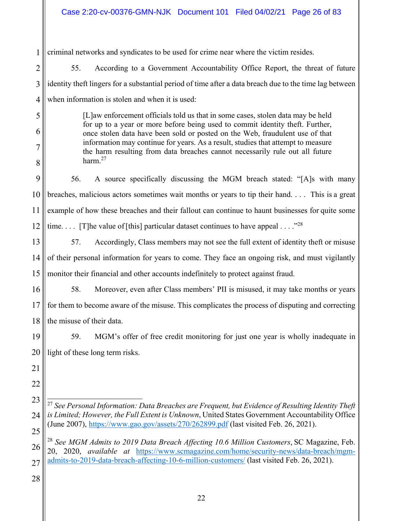1 criminal networks and syndicates to be used for crime near where the victim resides.

55. According to a Government Accountability Office Report, the threat of future identity theft lingers for a substantial period of time after a data breach due to the time lag between when information is stolen and when it is used:

> [L]aw enforcement officials told us that in some cases, stolen data may be held for up to a year or more before being used to commit identity theft. Further, once stolen data have been sold or posted on the Web, fraudulent use of that information may continue for years. As a result, studies that attempt to measure the harm resulting from data breaches cannot necessarily rule out all future harm.<sup>27</sup>

9 10 11 12 56. A source specifically discussing the MGM breach stated: "[A]s with many breaches, malicious actors sometimes wait months or years to tip their hand. . . . This is a great example of how these breaches and their fallout can continue to haunt businesses for quite some time.... [T]he value of [this] particular dataset continues to have appeal ...."<sup>28</sup>

13 14 15 57. Accordingly, Class members may not see the full extent of identity theft or misuse of their personal information for years to come. They face an ongoing risk, and must vigilantly monitor their financial and other accounts indefinitely to protect against fraud.

16 17 18 58. Moreover, even after Class members' PII is misused, it may take months or years for them to become aware of the misuse. This complicates the process of disputing and correcting the misuse of their data.

19 20 59. MGM's offer of free credit monitoring for just one year is wholly inadequate in light of these long term risks.

21 22

2

3

4

5

6

7

8

23 24 25  $\overline{\phantom{a}}$ <sup>27</sup> *See Personal Information: Data Breaches are Frequent, but Evidence of Resulting Identity Theft is Limited; However, the Full Extent is Unknown*, United States Government Accountability Office (June 2007), https://www.gao.gov/assets/270/262899.pdf (last visited Feb. 26, 2021).

26 27 <sup>28</sup> *See MGM Admits to 2019 Data Breach Affecting 10.6 Million Customers*, SC Magazine, Feb. 20, 2020, *available at* https://www.scmagazine.com/home/security-news/data-breach/mgmadmits-to-2019-data-breach-affecting-10-6-million-customers/ (last visited Feb. 26, 2021).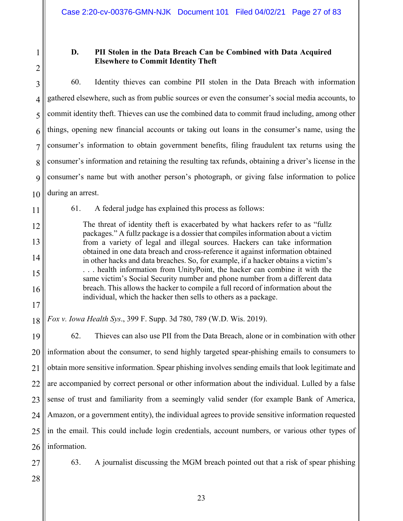# **D. PII Stolen in the Data Breach Can be Combined with Data Acquired Elsewhere to Commit Identity Theft**

4 5 6 7 8 9 10 60. Identity thieves can combine PII stolen in the Data Breach with information gathered elsewhere, such as from public sources or even the consumer's social media accounts, to commit identity theft. Thieves can use the combined data to commit fraud including, among other things, opening new financial accounts or taking out loans in the consumer's name, using the consumer's information to obtain government benefits, filing fraudulent tax returns using the consumer's information and retaining the resulting tax refunds, obtaining a driver's license in the consumer's name but with another person's photograph, or giving false information to police during an arrest.

11

12

13

14

15

16

17

61. A federal judge has explained this process as follows:

The threat of identity theft is exacerbated by what hackers refer to as "fullz packages." A fullz package is a dossier that compiles information about a victim from a variety of legal and illegal sources. Hackers can take information obtained in one data breach and cross-reference it against information obtained in other hacks and data breaches. So, for example, if a hacker obtains a victim's . . . health information from UnityPoint, the hacker can combine it with the same victim's Social Security number and phone number from a different data breach. This allows the hacker to compile a full record of information about the individual, which the hacker then sells to others as a package.

18 *Fox v. Iowa Health Sys*., 399 F. Supp. 3d 780, 789 (W.D. Wis. 2019).

19 20 21 22 23 24 25 26 62. Thieves can also use PII from the Data Breach, alone or in combination with other information about the consumer, to send highly targeted spear-phishing emails to consumers to obtain more sensitive information. Spear phishing involves sending emails that look legitimate and are accompanied by correct personal or other information about the individual. Lulled by a false sense of trust and familiarity from a seemingly valid sender (for example Bank of America, Amazon, or a government entity), the individual agrees to provide sensitive information requested in the email. This could include login credentials, account numbers, or various other types of information.

27

63. A journalist discussing the MGM breach pointed out that a risk of spear phishing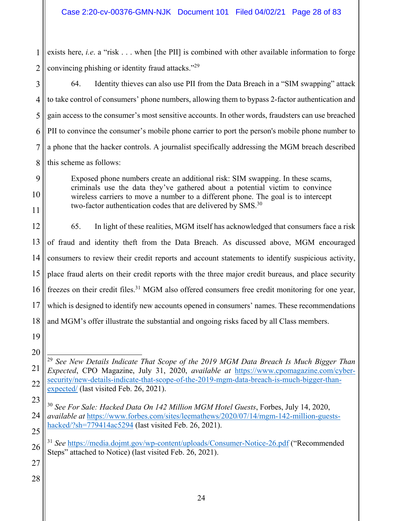1 2 exists here, *i.e.* a "risk . . . when [the PII] is combined with other available information to forge convincing phishing or identity fraud attacks."29

64. Identity thieves can also use PII from the Data Breach in a "SIM swapping" attack to take control of consumers' phone numbers, allowing them to bypass 2-factor authentication and gain access to the consumer's most sensitive accounts. In other words, fraudsters can use breached PII to convince the consumer's mobile phone carrier to port the person's mobile phone number to a phone that the hacker controls. A journalist specifically addressing the MGM breach described this scheme as follows:

Exposed phone numbers create an additional risk: SIM swapping. In these scams, criminals use the data they've gathered about a potential victim to convince wireless carriers to move a number to a different phone. The goal is to intercept two-factor authentication codes that are delivered by  $\text{SMS}^{30}$ 

12 13 14 15 16 17 18 65. In light of these realities, MGM itself has acknowledged that consumers face a risk of fraud and identity theft from the Data Breach. As discussed above, MGM encouraged consumers to review their credit reports and account statements to identify suspicious activity, place fraud alerts on their credit reports with the three major credit bureaus, and place security freezes on their credit files.<sup>31</sup> MGM also offered consumers free credit monitoring for one year, which is designed to identify new accounts opened in consumers' names. These recommendations and MGM's offer illustrate the substantial and ongoing risks faced by all Class members.

19 20

21

22

3

4

5

6

7

8

9

10

11

27

 $\overline{a}$ <sup>29</sup> *See New Details Indicate That Scope of the 2019 MGM Data Breach Is Much Bigger Than Expected*, CPO Magazine, July 31, 2020, *available at* https://www.cpomagazine.com/cybersecurity/new-details-indicate-that-scope-of-the-2019-mgm-data-breach-is-much-bigger-thanexpected/ (last visited Feb. 26, 2021).

<sup>23</sup> 24 25 <sup>30</sup> *See For Sale: Hacked Data On 142 Million MGM Hotel Guests*, Forbes, July 14, 2020, *available at* https://www.forbes.com/sites/leemathews/2020/07/14/mgm-142-million-guestshacked/?sh=779414ac5294 (last visited Feb. 26, 2021).

<sup>26</sup> <sup>31</sup> *See* https://media.dojmt.gov/wp-content/uploads/Consumer-Notice-26.pdf ("Recommended Steps" attached to Notice) (last visited Feb. 26, 2021).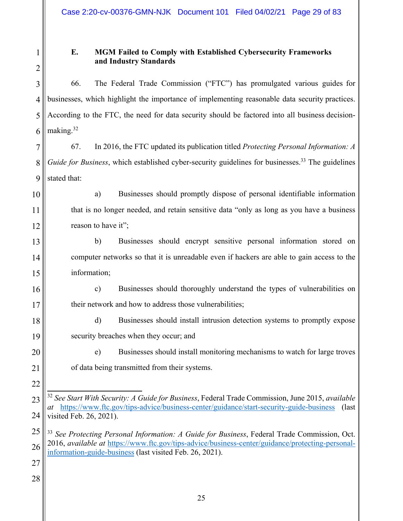**E. MGM Failed to Comply with Established Cybersecurity Frameworks and Industry Standards** 

66. The Federal Trade Commission ("FTC") has promulgated various guides for businesses, which highlight the importance of implementing reasonable data security practices. According to the FTC, the need for data security should be factored into all business decisionmaking.<sup>32</sup>

67. In 2016, the FTC updated its publication titled *Protecting Personal Information: A Guide for Business*, which established cyber-security guidelines for businesses.<sup>33</sup> The guidelines stated that:

a) Businesses should promptly dispose of personal identifiable information that is no longer needed, and retain sensitive data "only as long as you have a business reason to have it";

b) Businesses should encrypt sensitive personal information stored on computer networks so that it is unreadable even if hackers are able to gain access to the information;

c) Businesses should thoroughly understand the types of vulnerabilities on their network and how to address those vulnerabilities;

d) Businesses should install intrusion detection systems to promptly expose security breaches when they occur; and

e) Businesses should install monitoring mechanisms to watch for large troves of data being transmitted from their systems.

<sup>33</sup> *See Protecting Personal Information: A Guide for Business*, Federal Trade Commission, Oct. 2016, *available at* https://www.ftc.gov/tips-advice/business-center/guidance/protecting-personalinformation-guide-business (last visited Feb. 26, 2021).

27

 $\overline{\phantom{a}}$ <sup>32</sup> *See Start With Security: A Guide for Business*, Federal Trade Commission, June 2015, *available at* https://www.ftc.gov/tips-advice/business-center/guidance/start-security-guide-business (last visited Feb. 26, 2021).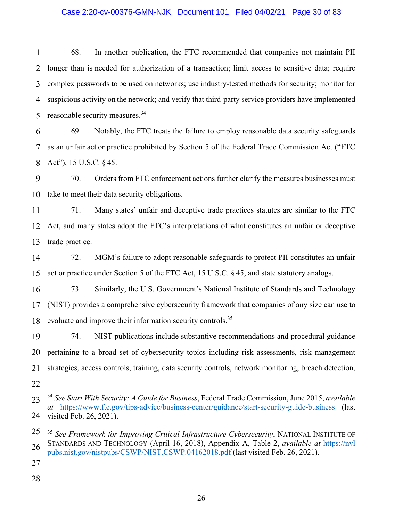1 2 3 4 5 68. In another publication, the FTC recommended that companies not maintain PII longer than is needed for authorization of a transaction; limit access to sensitive data; require complex passwords to be used on networks; use industry-tested methods for security; monitor for suspicious activity on the network; and verify that third-party service providers have implemented reasonable security measures.34

6 7 8 69. Notably, the FTC treats the failure to employ reasonable data security safeguards as an unfair act or practice prohibited by Section 5 of the Federal Trade Commission Act ("FTC Act"), 15 U.S.C. § 45.

9 10 70. Orders from FTC enforcement actions further clarify the measures businesses must take to meet their data security obligations.

11 12 13 71. Many states' unfair and deceptive trade practices statutes are similar to the FTC Act, and many states adopt the FTC's interpretations of what constitutes an unfair or deceptive trade practice.

14 15 72. MGM's failure to adopt reasonable safeguards to protect PII constitutes an unfair act or practice under Section 5 of the FTC Act, 15 U.S.C. § 45, and state statutory analogs.

16 17 18 73. Similarly, the U.S. Government's National Institute of Standards and Technology (NIST) provides a comprehensive cybersecurity framework that companies of any size can use to evaluate and improve their information security controls.<sup>35</sup>

19 20 21 22 74. NIST publications include substantive recommendations and procedural guidance pertaining to a broad set of cybersecurity topics including risk assessments, risk management strategies, access controls, training, data security controls, network monitoring, breach detection,

27

<sup>23</sup> 24  $\overline{\phantom{a}}$ <sup>34</sup> *See Start With Security: A Guide for Business*, Federal Trade Commission, June 2015, *available at* https://www.ftc.gov/tips-advice/business-center/guidance/start-security-guide-business (last visited Feb. 26, 2021).

<sup>25</sup> 26 <sup>35</sup> *See Framework for Improving Critical Infrastructure Cybersecurity*, NATIONAL INSTITUTE OF STANDARDS AND TECHNOLOGY (April 16, 2018), Appendix A, Table 2, *available at* https://nvl pubs.nist.gov/nistpubs/CSWP/NIST.CSWP.04162018.pdf (last visited Feb. 26, 2021).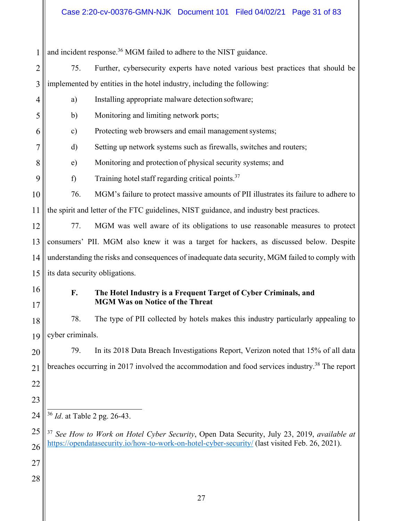|                |                                                                                                 | and incident response. <sup>36</sup> MGM failed to adhere to the NIST guidance.                            |  |
|----------------|-------------------------------------------------------------------------------------------------|------------------------------------------------------------------------------------------------------------|--|
| $\overline{2}$ | 75.                                                                                             | Further, cybersecurity experts have noted various best practices that should be                            |  |
| 3              |                                                                                                 | implemented by entities in the hotel industry, including the following:                                    |  |
| $\overline{4}$ | a)                                                                                              | Installing appropriate malware detection software;                                                         |  |
| 5              | $\mathbf{b}$                                                                                    | Monitoring and limiting network ports;                                                                     |  |
| 6              | c)                                                                                              | Protecting web browsers and email management systems;                                                      |  |
| 7              | d)                                                                                              | Setting up network systems such as firewalls, switches and routers;                                        |  |
| 8              | $\epsilon$ )                                                                                    | Monitoring and protection of physical security systems; and                                                |  |
| 9              | f)                                                                                              | Training hotel staff regarding critical points. <sup>37</sup>                                              |  |
| 10             | 76.                                                                                             | MGM's failure to protect massive amounts of PII illustrates its failure to adhere to                       |  |
| 11             |                                                                                                 | the spirit and letter of the FTC guidelines, NIST guidance, and industry best practices.                   |  |
| 12             | 77.                                                                                             | MGM was well aware of its obligations to use reasonable measures to protect                                |  |
| 13             |                                                                                                 | consumers' PII. MGM also knew it was a target for hackers, as discussed below. Despite                     |  |
| 14             | understanding the risks and consequences of inadequate data security, MGM failed to comply with |                                                                                                            |  |
| 15             | its data security obligations.                                                                  |                                                                                                            |  |
| 16             | F.                                                                                              | The Hotel Industry is a Frequent Target of Cyber Criminals, and                                            |  |
| 17             |                                                                                                 | <b>MGM Was on Notice of the Threat</b>                                                                     |  |
| 18             | 78.                                                                                             | The type of PII collected by hotels makes this industry particularly appealing to                          |  |
| 19             | cyber criminals.                                                                                |                                                                                                            |  |
| 20             | 79.                                                                                             | In its 2018 Data Breach Investigations Report, Verizon noted that 15% of all data                          |  |
| 21             |                                                                                                 | breaches occurring in 2017 involved the accommodation and food services industry. <sup>38</sup> The report |  |
| 22             |                                                                                                 |                                                                                                            |  |
| 23             |                                                                                                 |                                                                                                            |  |
| 24             | <sup>36</sup> <i>Id.</i> at Table 2 pg. 26-43.                                                  |                                                                                                            |  |
| 25             |                                                                                                 | <sup>37</sup> See How to Work on Hotel Cyber Security, Open Data Security, July 23, 2019, available at     |  |
| 26             |                                                                                                 | https://opendatasecurity.io/how-to-work-on-hotel-cyber-security/ (last visited Feb. 26, 2021).             |  |
| 27             |                                                                                                 |                                                                                                            |  |
| 28             |                                                                                                 |                                                                                                            |  |
|                |                                                                                                 |                                                                                                            |  |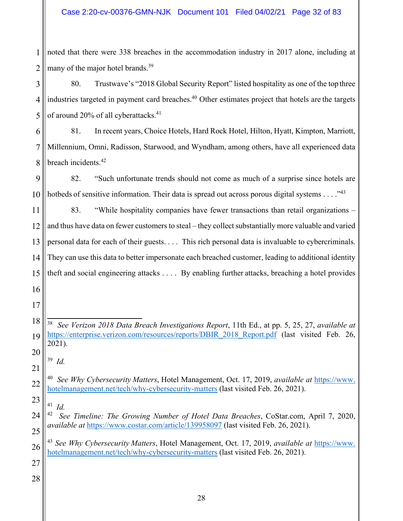noted that there were 338 breaches in the accommodation industry in 2017 alone, including at many of the major hotel brands.<sup>39</sup>

 80. Trustwave's "2018 Global Security Report" listed hospitality as one of the top three industries targeted in payment card breaches.<sup>40</sup> Other estimates project that hotels are the targets of around 20% of all cyberattacks.<sup>41</sup>

 81. In recent years, Choice Hotels, Hard Rock Hotel, Hilton, Hyatt, Kimpton, Marriott, Millennium, Omni, Radisson, Starwood, and Wyndham, among others, have all experienced data breach incidents.42

 82. "Such unfortunate trends should not come as much of a surprise since hotels are hotbeds of sensitive information. Their data is spread out across porous digital systems  $\dots$ ."<sup>43</sup>

 83. "While hospitality companies have fewer transactions than retail organizations – and thus have data on fewer customers to steal – they collect substantially more valuable and varied personal data for each of their guests. . . . This rich personal data is invaluable to cybercriminals. They can use this data to better impersonate each breached customer, leading to additional identity theft and social engineering attacks . . . . By enabling further attacks, breaching a hotel provides

 *Id.* 

 *Id.*

  $\overline{a}$ *See Verizon 2018 Data Breach Investigations Report*, 11th Ed., at pp. 5, 25, 27, *available at* https://enterprise.verizon.com/resources/reports/DBIR 2018 Report.pdf (last visited Feb. 26, 2021).

 *See Why Cybersecurity Matters*, Hotel Management, Oct. 17, 2019, *available at* https://www. hotelmanagement.net/tech/why-cybersecurity-matters (last visited Feb. 26, 2021).

 *See Timeline: The Growing Number of Hotel Data Breaches*, CoStar.com, April 7, 2020, *available at* https://www.costar.com/article/139958097 (last visited Feb. 26, 2021).

 *See Why Cybersecurity Matters*, Hotel Management, Oct. 17, 2019, *available at* https://www. hotelmanagement.net/tech/why-cybersecurity-matters (last visited Feb. 26, 2021).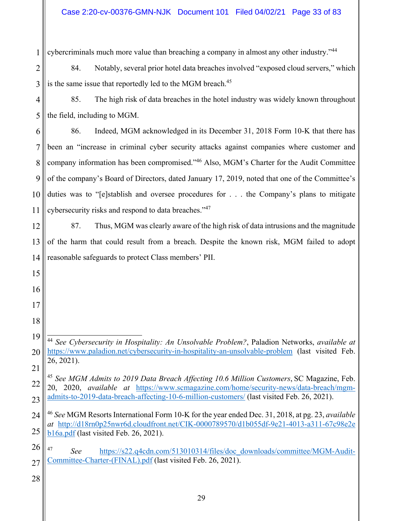1 cybercriminals much more value than breaching a company in almost any other industry."<sup>44</sup>

2 3 84. Notably, several prior hotel data breaches involved "exposed cloud servers," which is the same issue that reportedly led to the MGM breach.<sup>45</sup>

4 5 85. The high risk of data breaches in the hotel industry was widely known throughout the field, including to MGM.

6 7 8 9 10 11 86. Indeed, MGM acknowledged in its December 31, 2018 Form 10-K that there has been an "increase in criminal cyber security attacks against companies where customer and company information has been compromised."46 Also, MGM's Charter for the Audit Committee of the company's Board of Directors, dated January 17, 2019, noted that one of the Committee's duties was to "[e]stablish and oversee procedures for . . . the Company's plans to mitigate cybersecurity risks and respond to data breaches."<sup>47</sup>

12 13 14 87. Thus, MGM was clearly aware of the high risk of data intrusions and the magnitude of the harm that could result from a breach. Despite the known risk, MGM failed to adopt reasonable safeguards to protect Class members' PII.

19 20 21  $\overline{\phantom{a}}$ <sup>44</sup> *See Cybersecurity in Hospitality: An Unsolvable Problem?*, Paladion Networks, *available at* https://www.paladion.net/cybersecurity-in-hospitality-an-unsolvable-problem (last visited Feb. 26, 2021).

28

15

16

17

<sup>22</sup> 23 <sup>45</sup> *See MGM Admits to 2019 Data Breach Affecting 10.6 Million Customers*, SC Magazine, Feb. 20, 2020, *available at* https://www.scmagazine.com/home/security-news/data-breach/mgmadmits-to-2019-data-breach-affecting-10-6-million-customers/ (last visited Feb. 26, 2021).

<sup>24</sup> 25 <sup>46</sup> *See* MGM Resorts International Form 10-K for the year ended Dec. 31, 2018, at pg. 23, *available at* http://d18rn0p25nwr6d.cloudfront.net/CIK-0000789570/d1b055df-9e21-4013-a311-67c98e2e b16a.pdf (last visited Feb. 26, 2021).

<sup>26</sup> 27 <sup>47</sup> *See* https://s22.q4cdn.com/513010314/files/doc\_downloads/committee/MGM-Audit-Committee-Charter-(FINAL).pdf (last visited Feb. 26, 2021).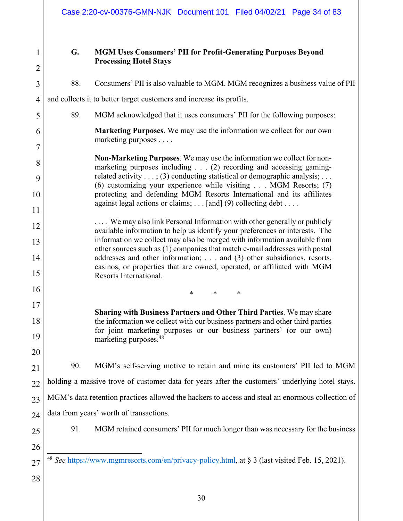# **G. MGM Uses Consumers' PII for Profit-Generating Purposes Beyond Processing Hotel Stays**

88. Consumers' PII is also valuable to MGM. MGM recognizes a business value of PII

and collects it to better target customers and increase its profits. 89. MGM acknowledged that it uses consumers' PII for the following purposes: **Marketing Purposes**. We may use the information we collect for our own marketing purposes . . . . **Non-Marketing Purposes**. We may use the information we collect for nonmarketing purposes including . . . (2) recording and accessing gamingrelated activity  $\dots$ ; (3) conducting statistical or demographic analysis;  $\dots$ (6) customizing your experience while visiting . . . MGM Resorts; (7) protecting and defending MGM Resorts International and its affiliates against legal actions or claims;  $\ldots$  [and] (9) collecting debt  $\ldots$ . .... We may also link Personal Information with other generally or publicly available information to help us identify your preferences or interests. The information we collect may also be merged with information available from other sources such as (1) companies that match e-mail addresses with postal addresses and other information; . . . and (3) other subsidiaries, resorts, casinos, or properties that are owned, operated, or affiliated with MGM Resorts International.  $*$  \* \* \* **Sharing with Business Partners and Other Third Parties**. We may share the information we collect with our business partners and other third parties for joint marketing purposes or our business partners' (or our own) marketing purposes.48 90. MGM's self-serving motive to retain and mine its customers' PII led to MGM holding a massive trove of customer data for years after the customers' underlying hotel stays. MGM's data retention practices allowed the hackers to access and steal an enormous collection of data from years' worth of transactions. 91. MGM retained consumers' PII for much longer than was necessary for the business  $\overline{a}$ <sup>48</sup> *See* https://www.mgmresorts.com/en/privacy-policy.html, at § 3 (last visited Feb. 15, 2021).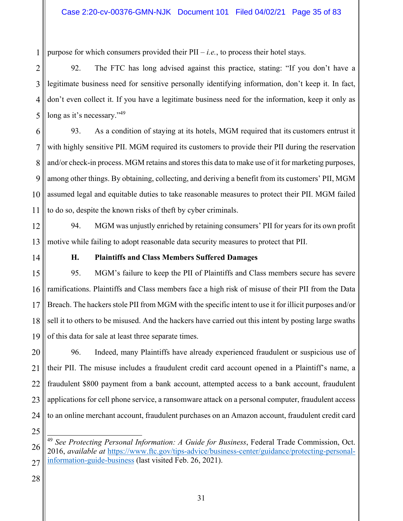1 purpose for which consumers provided their PII – *i.e.*, to process their hotel stays.

2 3 4 5 92. The FTC has long advised against this practice, stating: "If you don't have a legitimate business need for sensitive personally identifying information, don't keep it. In fact, don't even collect it. If you have a legitimate business need for the information, keep it only as long as it's necessary."<sup>49</sup>

6 7 8 9 10 11 93. As a condition of staying at its hotels, MGM required that its customers entrust it with highly sensitive PII. MGM required its customers to provide their PII during the reservation and/or check-in process. MGM retains and stores this data to make use of it for marketing purposes, among other things. By obtaining, collecting, and deriving a benefit from its customers' PII, MGM assumed legal and equitable duties to take reasonable measures to protect their PII. MGM failed to do so, despite the known risks of theft by cyber criminals.

12 13 94. MGM was unjustly enriched by retaining consumers' PII for years for its own profit motive while failing to adopt reasonable data security measures to protect that PII.

14

# **H. Plaintiffs and Class Members Suffered Damages**

15 16 17 18 19 95. MGM's failure to keep the PII of Plaintiffs and Class members secure has severe ramifications. Plaintiffs and Class members face a high risk of misuse of their PII from the Data Breach. The hackers stole PII from MGM with the specific intent to use it for illicit purposes and/or sell it to others to be misused. And the hackers have carried out this intent by posting large swaths of this data for sale at least three separate times.

20 21 22 23 24 96. Indeed, many Plaintiffs have already experienced fraudulent or suspicious use of their PII. The misuse includes a fraudulent credit card account opened in a Plaintiff's name, a fraudulent \$800 payment from a bank account, attempted access to a bank account, fraudulent applications for cell phone service, a ransomware attack on a personal computer, fraudulent access to an online merchant account, fraudulent purchases on an Amazon account, fraudulent credit card

25

<sup>26</sup> 27  $\overline{\phantom{a}}$ <sup>49</sup> *See Protecting Personal Information: A Guide for Business*, Federal Trade Commission, Oct. 2016, *available at* https://www.ftc.gov/tips-advice/business-center/guidance/protecting-personalinformation-guide-business (last visited Feb. 26, 2021).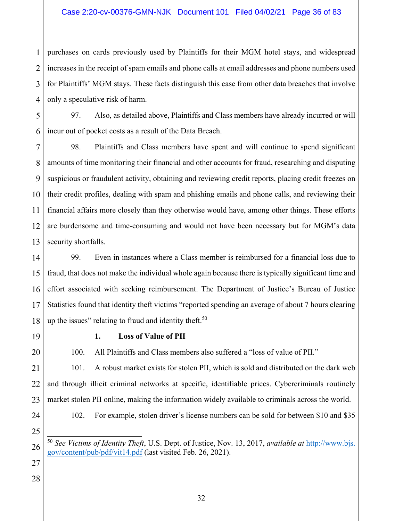1 2 3 4 purchases on cards previously used by Plaintiffs for their MGM hotel stays, and widespread increases in the receipt of spam emails and phone calls at email addresses and phone numbers used for Plaintiffs' MGM stays. These facts distinguish this case from other data breaches that involve only a speculative risk of harm.

5 6 97. Also, as detailed above, Plaintiffs and Class members have already incurred or will incur out of pocket costs as a result of the Data Breach.

7 8 9 10 11 12 13 98. Plaintiffs and Class members have spent and will continue to spend significant amounts of time monitoring their financial and other accounts for fraud, researching and disputing suspicious or fraudulent activity, obtaining and reviewing credit reports, placing credit freezes on their credit profiles, dealing with spam and phishing emails and phone calls, and reviewing their financial affairs more closely than they otherwise would have, among other things. These efforts are burdensome and time-consuming and would not have been necessary but for MGM's data security shortfalls.

14 15 16 17 18 99. Even in instances where a Class member is reimbursed for a financial loss due to fraud, that does not make the individual whole again because there is typically significant time and effort associated with seeking reimbursement. The Department of Justice's Bureau of Justice Statistics found that identity theft victims "reported spending an average of about 7 hours clearing up the issues" relating to fraud and identity theft.<sup>50</sup>

19

20

# **1. Loss of Value of PII**

100. All Plaintiffs and Class members also suffered a "loss of value of PII."

21 22 23 101. A robust market exists for stolen PII, which is sold and distributed on the dark web and through illicit criminal networks at specific, identifiable prices. Cybercriminals routinely market stolen PII online, making the information widely available to criminals across the world.

24 25

102. For example, stolen driver's license numbers can be sold for between \$10 and \$35

27

<sup>26</sup>  $\overline{\phantom{a}}$ <sup>50</sup> *See Victims of Identity Theft*, U.S. Dept. of Justice, Nov. 13, 2017, *available at* http://www.bjs. gov/content/pub/pdf/vit14.pdf (last visited Feb. 26, 2021).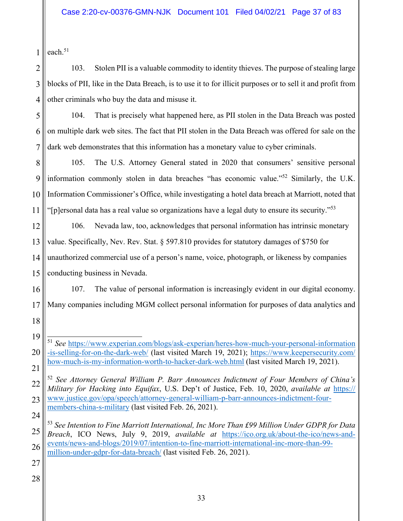1 each. $51$ 

2 3 4 103. Stolen PII is a valuable commodity to identity thieves. The purpose of stealing large blocks of PII, like in the Data Breach, is to use it to for illicit purposes or to sell it and profit from other criminals who buy the data and misuse it.

5 6 7 104. That is precisely what happened here, as PII stolen in the Data Breach was posted on multiple dark web sites. The fact that PII stolen in the Data Breach was offered for sale on the dark web demonstrates that this information has a monetary value to cyber criminals.

8 9 10 11 105. The U.S. Attorney General stated in 2020 that consumers' sensitive personal information commonly stolen in data breaches "has economic value."52 Similarly, the U.K. Information Commissioner's Office, while investigating a hotel data breach at Marriott, noted that "[p]ersonal data has a real value so organizations have a legal duty to ensure its security."<sup>53</sup>

12 13 14 15 106. Nevada law, too, acknowledges that personal information has intrinsic monetary value. Specifically, Nev. Rev. Stat. § 597.810 provides for statutory damages of \$750 for unauthorized commercial use of a person's name, voice, photograph, or likeness by companies conducting business in Nevada.

16 17 107. The value of personal information is increasingly evident in our digital economy. Many companies including MGM collect personal information for purposes of data analytics and

19 20 21  $\overline{\phantom{a}}$ <sup>51</sup> *See* https://www.experian.com/blogs/ask-experian/heres-how-much-your-personal-information -is-selling-for-on-the-dark-web/ (last visited March 19, 2021); https://www.keepersecurity.com/ how-much-is-my-information-worth-to-hacker-dark-web.html (last visited March 19, 2021).

- 22 23 24 <sup>52</sup> *See Attorney General William P. Barr Announces Indictment of Four Members of China's Military for Hacking into Equifax*, U.S. Dep't of Justice, Feb. 10, 2020, *available at* https:// www.justice.gov/opa/speech/attorney-general-william-p-barr-announces-indictment-fourmembers-china-s-military (last visited Feb. 26, 2021).
- 25 26 <sup>53</sup> *See Intention to Fine Marriott International, Inc More Than £99 Million Under GDPR for Data Breach*, ICO News, July 9, 2019, *available at* https://ico.org.uk/about-the-ico/news-andevents/news-and-blogs/2019/07/intention-to-fine-marriott-international-inc-more-than-99 million-under-gdpr-for-data-breach/ (last visited Feb. 26, 2021).
- 27

18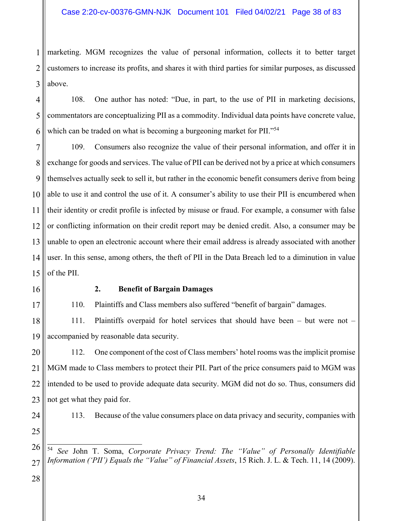1 2 3 marketing. MGM recognizes the value of personal information, collects it to better target customers to increase its profits, and shares it with third parties for similar purposes, as discussed above.

4 5 6 108. One author has noted: "Due, in part, to the use of PII in marketing decisions, commentators are conceptualizing PII as a commodity. Individual data points have concrete value, which can be traded on what is becoming a burgeoning market for PII."<sup>54</sup>

7 8 9 10 11 12 13 14 15 109. Consumers also recognize the value of their personal information, and offer it in exchange for goods and services. The value of PII can be derived not by a price at which consumers themselves actually seek to sell it, but rather in the economic benefit consumers derive from being able to use it and control the use of it. A consumer's ability to use their PII is encumbered when their identity or credit profile is infected by misuse or fraud. For example, a consumer with false or conflicting information on their credit report may be denied credit. Also, a consumer may be unable to open an electronic account where their email address is already associated with another user. In this sense, among others, the theft of PII in the Data Breach led to a diminution in value of the PII.

16

17

# **2. Benefit of Bargain Damages**

110. Plaintiffs and Class members also suffered "benefit of bargain" damages.

18 19 111. Plaintiffs overpaid for hotel services that should have been – but were not – accompanied by reasonable data security.

20 21 22 23 112. One component of the cost of Class members' hotel rooms was the implicit promise MGM made to Class members to protect their PII. Part of the price consumers paid to MGM was intended to be used to provide adequate data security. MGM did not do so. Thus, consumers did not get what they paid for.

24

25

113. Because of the value consumers place on data privacy and security, companies with

26 27  $\overline{\phantom{a}}$ <sup>54</sup> *See* John T. Soma, *Corporate Privacy Trend: The "Value" of Personally Identifiable Information ('PII') Equals the "Value" of Financial Assets*, 15 Rich. J. L. & Tech. 11, 14 (2009).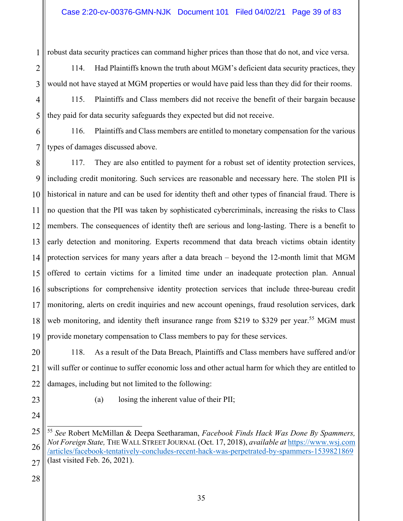robust data security practices can command higher prices than those that do not, and vice versa.

114. Had Plaintiffs known the truth about MGM's deficient data security practices, they would not have stayed at MGM properties or would have paid less than they did for their rooms.

115. Plaintiffs and Class members did not receive the benefit of their bargain because they paid for data security safeguards they expected but did not receive.

6 7 116. Plaintiffs and Class members are entitled to monetary compensation for the various types of damages discussed above.

8 9 10 11 12 13 14 15 16 17 18 19 117. They are also entitled to payment for a robust set of identity protection services, including credit monitoring. Such services are reasonable and necessary here. The stolen PII is historical in nature and can be used for identity theft and other types of financial fraud. There is no question that the PII was taken by sophisticated cybercriminals, increasing the risks to Class members. The consequences of identity theft are serious and long-lasting. There is a benefit to early detection and monitoring. Experts recommend that data breach victims obtain identity protection services for many years after a data breach – beyond the 12-month limit that MGM offered to certain victims for a limited time under an inadequate protection plan. Annual subscriptions for comprehensive identity protection services that include three-bureau credit monitoring, alerts on credit inquiries and new account openings, fraud resolution services, dark web monitoring, and identity theft insurance range from \$219 to \$329 per year.<sup>55</sup> MGM must provide monetary compensation to Class members to pay for these services.

20 21 22 118. As a result of the Data Breach, Plaintiffs and Class members have suffered and/or will suffer or continue to suffer economic loss and other actual harm for which they are entitled to damages, including but not limited to the following:

23

24

1

2

3

4

5

(a) losing the inherent value of their PII;

<sup>25</sup> 26 27  $\overline{a}$ <sup>55</sup> *See* Robert McMillan & Deepa Seetharaman, *Facebook Finds Hack Was Done By Spammers, Not Foreign State,* THE WALL STREET JOURNAL (Oct. 17, 2018), *available at* https://www.wsj.com /articles/facebook-tentatively-concludes-recent-hack-was-perpetrated-by-spammers-1539821869 (last visited Feb. 26, 2021).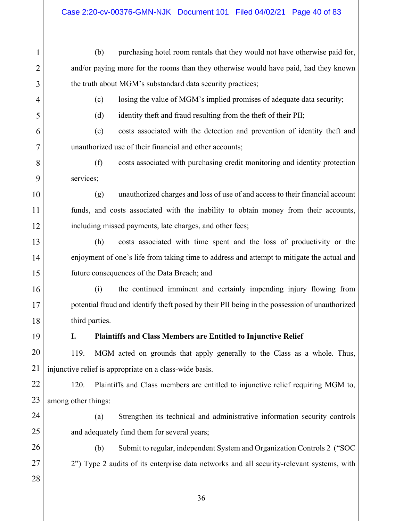(b) purchasing hotel room rentals that they would not have otherwise paid for, and/or paying more for the rooms than they otherwise would have paid, had they known the truth about MGM's substandard data security practices;

(c) losing the value of MGM's implied promises of adequate data security;

(d) identity theft and fraud resulting from the theft of their PII;

(e) costs associated with the detection and prevention of identity theft and unauthorized use of their financial and other accounts;

(f) costs associated with purchasing credit monitoring and identity protection services;

(g) unauthorized charges and loss of use of and access to their financial account funds, and costs associated with the inability to obtain money from their accounts, including missed payments, late charges, and other fees;

(h) costs associated with time spent and the loss of productivity or the enjoyment of one's life from taking time to address and attempt to mitigate the actual and future consequences of the Data Breach; and

(i) the continued imminent and certainly impending injury flowing from potential fraud and identify theft posed by their PII being in the possession of unauthorized third parties.

1

2

3

4

5

6

7

8

9

10

11

12

13

14

15

16

17

18

19

# **I. Plaintiffs and Class Members are Entitled to Injunctive Relief**

20 21 119. MGM acted on grounds that apply generally to the Class as a whole. Thus, injunctive relief is appropriate on a class-wide basis.

22 23 120. Plaintiffs and Class members are entitled to injunctive relief requiring MGM to, among other things:

and adequately fund them for several years;

24 25

26

27

28

(b) Submit to regular, independent System and Organization Controls 2 ("SOC 2") Type 2 audits of its enterprise data networks and all security-relevant systems, with

(a) Strengthen its technical and administrative information security controls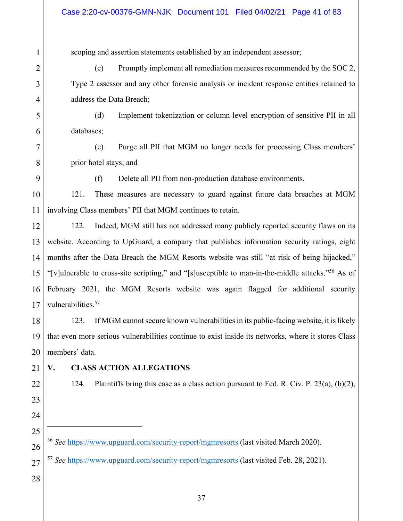scoping and assertion statements established by an independent assessor;

(c) Promptly implement all remediation measures recommended by the SOC 2, Type 2 assessor and any other forensic analysis or incident response entities retained to address the Data Breach;

(d) Implement tokenization or column-level encryption of sensitive PII in all databases;

(e) Purge all PII that MGM no longer needs for processing Class members' prior hotel stays; and

(f) Delete all PII from non-production database environments.

121. These measures are necessary to guard against future data breaches at MGM involving Class members' PII that MGM continues to retain.

122. Indeed, MGM still has not addressed many publicly reported security flaws on its website. According to UpGuard, a company that publishes information security ratings, eight months after the Data Breach the MGM Resorts website was still "at risk of being hijacked," "[v]ulnerable to cross-site scripting," and "[s]usceptible to man-in-the-middle attacks."56 As of February 2021, the MGM Resorts website was again flagged for additional security vulnerabilities.<sup>57</sup>

123. If MGM cannot secure known vulnerabilities in its public-facing website, it is likely that even more serious vulnerabilities continue to exist inside its networks, where it stores Class members' data.

 $\overline{a}$ 

# **V. CLASS ACTION ALLEGATIONS**

124. Plaintiffs bring this case as a class action pursuant to Fed. R. Civ. P. 23(a),  $(b)(2)$ ,

- <sup>56</sup> *See* https://www.upguard.com/security-report/mgmresorts (last visited March 2020).
- 27 <sup>57</sup> *See* https://www.upguard.com/security-report/mgmresorts (last visited Feb. 28, 2021).
- 28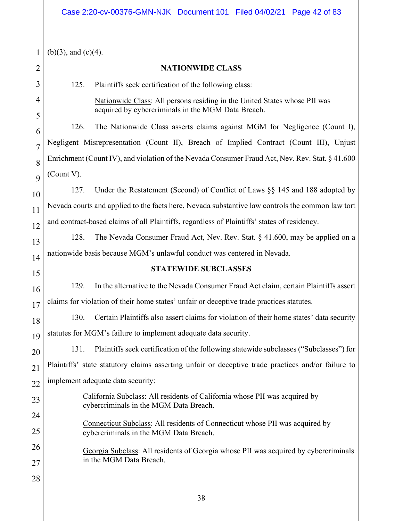| 1               |
|-----------------|
| 2               |
|                 |
| 4               |
| 5               |
| 6               |
| $\overline{7}$  |
| 8               |
| 9               |
| 10              |
| 11              |
| 12              |
| 13              |
| 14              |
| 15              |
| 16              |
| 17              |
| 18              |
| $\mathbf{1}$    |
| 20              |
| $\overline{21}$ |
| 22              |
| 23              |
| 24              |
| 25              |
| 26              |
| 27              |

28

 $(b)(3)$ , and  $(c)(4)$ .

# **NATIONWIDE CLASS**

125. Plaintiffs seek certification of the following class:

Nationwide Class: All persons residing in the United States whose PII was acquired by cybercriminals in the MGM Data Breach.

126. The Nationwide Class asserts claims against MGM for Negligence (Count I), Negligent Misrepresentation (Count II), Breach of Implied Contract (Count III), Unjust Enrichment (Count IV), and violation of the Nevada Consumer Fraud Act, Nev. Rev. Stat. § 41.600 (Count V).

127. Under the Restatement (Second) of Conflict of Laws §§ 145 and 188 adopted by Nevada courts and applied to the facts here, Nevada substantive law controls the common law tort and contract-based claims of all Plaintiffs, regardless of Plaintiffs' states of residency.

128. The Nevada Consumer Fraud Act, Nev. Rev. Stat. § 41.600, may be applied on a nationwide basis because MGM's unlawful conduct was centered in Nevada.

# **STATEWIDE SUBCLASSES**

129. In the alternative to the Nevada Consumer Fraud Act claim, certain Plaintiffs assert claims for violation of their home states' unfair or deceptive trade practices statutes.

130. Certain Plaintiffs also assert claims for violation of their home states' data security statutes for MGM's failure to implement adequate data security.

131. Plaintiffs seek certification of the following statewide subclasses ("Subclasses") for Plaintiffs' state statutory claims asserting unfair or deceptive trade practices and/or failure to implement adequate data security:

> California Subclass: All residents of California whose PII was acquired by cybercriminals in the MGM Data Breach.

Connecticut Subclass: All residents of Connecticut whose PII was acquired by cybercriminals in the MGM Data Breach.

Georgia Subclass: All residents of Georgia whose PII was acquired by cybercriminals in the MGM Data Breach.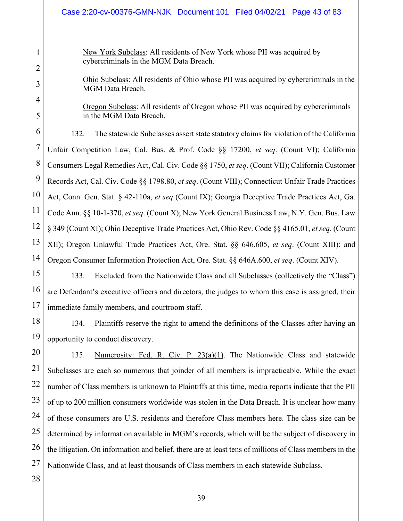New York Subclass: All residents of New York whose PII was acquired by cybercriminals in the MGM Data Breach.

Ohio Subclass: All residents of Ohio whose PII was acquired by cybercriminals in the MGM Data Breach.

Oregon Subclass: All residents of Oregon whose PII was acquired by cybercriminals in the MGM Data Breach.

6 14 132. The statewide Subclasses assert state statutory claims for violation of the California Unfair Competition Law, Cal. Bus. & Prof. Code §§ 17200, *et seq*. (Count VI); California Consumers Legal Remedies Act, Cal. Civ. Code §§ 1750, *et seq*. (Count VII); California Customer Records Act, Cal. Civ. Code §§ 1798.80, *et seq*. (Count VIII); Connecticut Unfair Trade Practices Act, Conn. Gen. Stat. § 42-110a, *et seq* (Count IX); Georgia Deceptive Trade Practices Act, Ga. Code Ann. §§ 10-1-370, *et seq*. (Count X); New York General Business Law, N.Y. Gen. Bus. Law § 349 (Count XI); Ohio Deceptive Trade Practices Act, Ohio Rev. Code §§ 4165.01, *et seq*. (Count XII); Oregon Unlawful Trade Practices Act, Ore. Stat. §§ 646.605, *et seq*. (Count XIII); and Oregon Consumer Information Protection Act, Ore. Stat. §§ 646A.600, *et seq*. (Count XIV).

15 16 17 133. Excluded from the Nationwide Class and all Subclasses (collectively the "Class") are Defendant's executive officers and directors, the judges to whom this case is assigned, their immediate family members, and courtroom staff.

18 19 134. Plaintiffs reserve the right to amend the definitions of the Classes after having an opportunity to conduct discovery.

20 21 22 23 24 25 26 27 135. Numerosity: Fed. R. Civ. P. 23(a)(1). The Nationwide Class and statewide Subclasses are each so numerous that joinder of all members is impracticable. While the exact number of Class members is unknown to Plaintiffs at this time, media reports indicate that the PII of up to 200 million consumers worldwide was stolen in the Data Breach. It is unclear how many of those consumers are U.S. residents and therefore Class members here. The class size can be determined by information available in MGM's records, which will be the subject of discovery in the litigation. On information and belief, there are at least tens of millions of Class members in the Nationwide Class, and at least thousands of Class members in each statewide Subclass.

28

1

2

3

4

5

7

8

9

10

11

12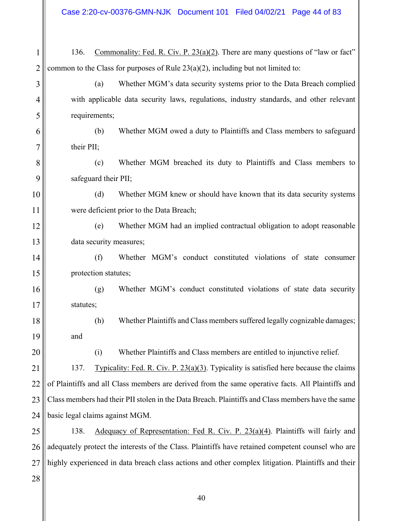Case 2:20-cv-00376-GMN-NJK Document 101 Filed 04/02/21 Page 44 of 83

| 1              | Commonality: Fed. R. Civ. P. $23(a)(2)$ . There are many questions of "law or fact"<br>136.        |
|----------------|----------------------------------------------------------------------------------------------------|
| $\overline{2}$ | common to the Class for purposes of Rule $23(a)(2)$ , including but not limited to:                |
| 3              | (a)<br>Whether MGM's data security systems prior to the Data Breach complied                       |
| 4              | with applicable data security laws, regulations, industry standards, and other relevant            |
| 5              | requirements;                                                                                      |
| 6              | Whether MGM owed a duty to Plaintiffs and Class members to safeguard<br>(b)                        |
| 7              | their PII;                                                                                         |
| 8              | Whether MGM breached its duty to Plaintiffs and Class members to<br>(c)                            |
| 9              | safeguard their PII;                                                                               |
| 10             | (d)<br>Whether MGM knew or should have known that its data security systems                        |
| 11             | were deficient prior to the Data Breach;                                                           |
| 12             | Whether MGM had an implied contractual obligation to adopt reasonable<br>(e)                       |
| 13             | data security measures;                                                                            |
| 14             | (f)<br>Whether MGM's conduct constituted violations of state consumer                              |
| 15             | protection statutes;                                                                               |
| 16             | Whether MGM's conduct constituted violations of state data security<br>(g)                         |
| 17             | statutes;                                                                                          |
| 18             | Whether Plaintiffs and Class members suffered legally cognizable damages;<br>(h)                   |
| 19             | and                                                                                                |
| 20             | Whether Plaintiffs and Class members are entitled to injunctive relief.<br>(i)                     |
| 21             | 137.<br>Typicality: Fed. R. Civ. P. $23(a)(3)$ . Typicality is satisfied here because the claims   |
| 22             | of Plaintiffs and all Class members are derived from the same operative facts. All Plaintiffs and  |
| 23             | Class members had their PII stolen in the Data Breach. Plaintiffs and Class members have the same  |
| 24             | basic legal claims against MGM.                                                                    |
| 25             | Adequacy of Representation: Fed R. Civ. P. 23(a)(4). Plaintiffs will fairly and<br>138.            |
| 26             | adequately protect the interests of the Class. Plaintiffs have retained competent counsel who are  |
| 27             | highly experienced in data breach class actions and other complex litigation. Plaintiffs and their |
| 28             |                                                                                                    |
|                |                                                                                                    |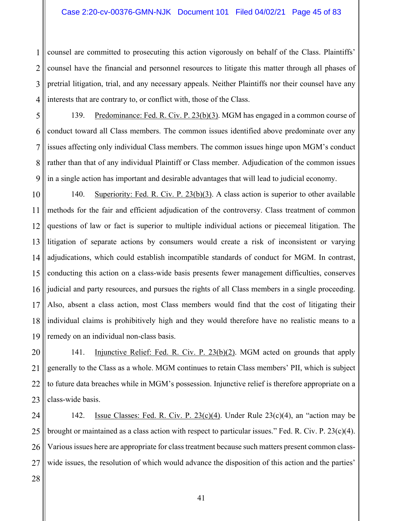#### Case 2:20-cv-00376-GMN-NJK Document 101 Filed 04/02/21 Page 45 of 83

1 2 3 4 counsel are committed to prosecuting this action vigorously on behalf of the Class. Plaintiffs' counsel have the financial and personnel resources to litigate this matter through all phases of pretrial litigation, trial, and any necessary appeals. Neither Plaintiffs nor their counsel have any interests that are contrary to, or conflict with, those of the Class.

5 6 7 8 9 139. Predominance: Fed. R. Civ. P. 23(b)(3). MGM has engaged in a common course of conduct toward all Class members. The common issues identified above predominate over any issues affecting only individual Class members. The common issues hinge upon MGM's conduct rather than that of any individual Plaintiff or Class member. Adjudication of the common issues in a single action has important and desirable advantages that will lead to judicial economy.

10 11 12 13 14 15 16 17 18 19 140. Superiority: Fed. R. Civ. P. 23(b)(3). A class action is superior to other available methods for the fair and efficient adjudication of the controversy. Class treatment of common questions of law or fact is superior to multiple individual actions or piecemeal litigation. The litigation of separate actions by consumers would create a risk of inconsistent or varying adjudications, which could establish incompatible standards of conduct for MGM. In contrast, conducting this action on a class-wide basis presents fewer management difficulties, conserves judicial and party resources, and pursues the rights of all Class members in a single proceeding. Also, absent a class action, most Class members would find that the cost of litigating their individual claims is prohibitively high and they would therefore have no realistic means to a remedy on an individual non-class basis.

20 21 22 23 141. Injunctive Relief: Fed. R. Civ. P. 23(b)(2). MGM acted on grounds that apply generally to the Class as a whole. MGM continues to retain Class members' PII, which is subject to future data breaches while in MGM's possession. Injunctive relief is therefore appropriate on a class-wide basis.

24 25 26 27 142. Issue Classes: Fed. R. Civ. P. 23(c)(4). Under Rule 23(c)(4), an "action may be brought or maintained as a class action with respect to particular issues." Fed. R. Civ. P.  $23(c)(4)$ . Various issues here are appropriate for class treatment because such matters present common classwide issues, the resolution of which would advance the disposition of this action and the parties'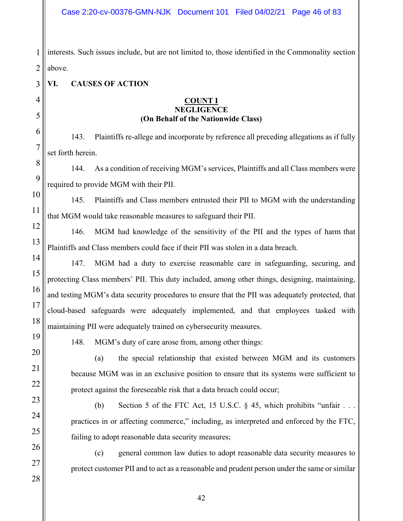1 2 interests. Such issues include, but are not limited to, those identified in the Commonality section above.

# **VI. CAUSES OF ACTION**

#### **COUNT I NEGLIGENCE (On Behalf of the Nationwide Class)**

143. Plaintiffs re-allege and incorporate by reference all preceding allegations as if fully set forth herein.

144. As a condition of receiving MGM's services, Plaintiffs and all Class members were required to provide MGM with their PII.

10 145. Plaintiffs and Class members entrusted their PII to MGM with the understanding that MGM would take reasonable measures to safeguard their PII.

146. MGM had knowledge of the sensitivity of the PII and the types of harm that Plaintiffs and Class members could face if their PII was stolen in a data breach.

147. MGM had a duty to exercise reasonable care in safeguarding, securing, and protecting Class members' PII. This duty included, among other things, designing, maintaining, and testing MGM's data security procedures to ensure that the PII was adequately protected, that cloud-based safeguards were adequately implemented, and that employees tasked with maintaining PII were adequately trained on cybersecurity measures.

19 20

21

22

23

24

25

26

27

28

3

4

5

6

7

8

9

11

12

13

14

15

16

17

18

148. MGM's duty of care arose from, among other things:

(a) the special relationship that existed between MGM and its customers because MGM was in an exclusive position to ensure that its systems were sufficient to protect against the foreseeable risk that a data breach could occur;

(b) Section 5 of the FTC Act, 15 U.S.C.  $\S$  45, which prohibits "unfair . . . practices in or affecting commerce," including, as interpreted and enforced by the FTC, failing to adopt reasonable data security measures;

(c) general common law duties to adopt reasonable data security measures to protect customer PII and to act as a reasonable and prudent person under the same or similar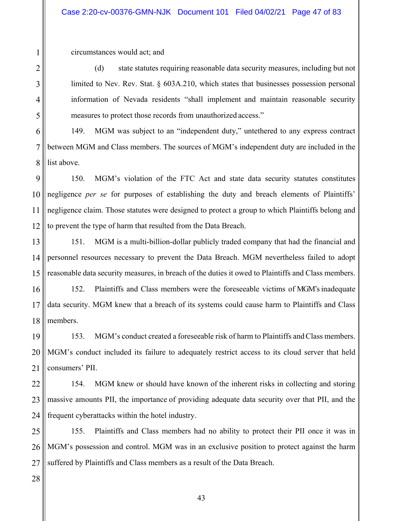circumstances would act; and

1

2

3

4

5

(d) state statutes requiring reasonable data security measures, including but not limited to Nev. Rev. Stat. § 603A.210, which states that businesses possession personal information of Nevada residents "shall implement and maintain reasonable security measures to protect those records from unauthorized access."

6 7 8 149. MGM was subject to an "independent duty," untethered to any express contract between MGM and Class members. The sources of MGM's independent duty are included in the list above.

9 10 11 12 150. MGM's violation of the FTC Act and state data security statutes constitutes negligence *per se* for purposes of establishing the duty and breach elements of Plaintiffs' negligence claim. Those statutes were designed to protect a group to which Plaintiffs belong and to prevent the type of harm that resulted from the Data Breach.

13 14 15 151. MGM is a multi-billion-dollar publicly traded company that had the financial and personnel resources necessary to prevent the Data Breach. MGM nevertheless failed to adopt reasonable data security measures, in breach of the duties it owed to Plaintiffs and Class members.

16 17 18 152. Plaintiffs and Class members were the foreseeable victims of MGM's inadequate data security. MGM knew that a breach of its systems could cause harm to Plaintiffs and Class members.

19 20 21 153. MGM's conduct created a foreseeable risk of harm to Plaintiffs and Class members. MGM's conduct included its failure to adequately restrict access to its cloud server that held consumers' PII.

22 23 24 154. MGM knew or should have known of the inherent risks in collecting and storing massive amounts PII, the importance of providing adequate data security over that PII, and the frequent cyberattacks within the hotel industry.

25 26 27 155. Plaintiffs and Class members had no ability to protect their PII once it was in MGM's possession and control. MGM was in an exclusive position to protect against the harm suffered by Plaintiffs and Class members as a result of the Data Breach.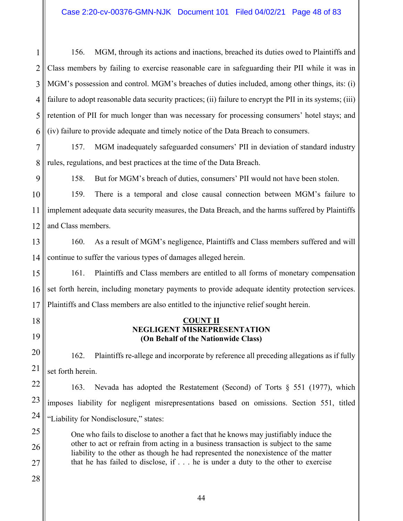1 2 3 4 5 6 156. MGM, through its actions and inactions, breached its duties owed to Plaintiffs and Class members by failing to exercise reasonable care in safeguarding their PII while it was in MGM's possession and control. MGM's breaches of duties included, among other things, its: (i) failure to adopt reasonable data security practices; (ii) failure to encrypt the PII in its systems; (iii) retention of PII for much longer than was necessary for processing consumers' hotel stays; and (iv) failure to provide adequate and timely notice of the Data Breach to consumers.

7 8 157. MGM inadequately safeguarded consumers' PII in deviation of standard industry rules, regulations, and best practices at the time of the Data Breach.

9

18

19

158. But for MGM's breach of duties, consumers' PII would not have been stolen.

10 11 12 159. There is a temporal and close causal connection between MGM's failure to implement adequate data security measures, the Data Breach, and the harms suffered by Plaintiffs and Class members.

13 14 160. As a result of MGM's negligence, Plaintiffs and Class members suffered and will continue to suffer the various types of damages alleged herein.

15 16 17 161. Plaintiffs and Class members are entitled to all forms of monetary compensation set forth herein, including monetary payments to provide adequate identity protection services. Plaintiffs and Class members are also entitled to the injunctive relief sought herein.

# **COUNT II NEGLIGENT MISREPRESENTATION (On Behalf of the Nationwide Class)**

20 21 162. Plaintiffs re-allege and incorporate by reference all preceding allegations as if fully set forth herein.

22 23 24 163. Nevada has adopted the Restatement (Second) of Torts § 551 (1977), which imposes liability for negligent misrepresentations based on omissions. Section 551, titled "Liability for Nondisclosure," states:

25 26 27 One who fails to disclose to another a fact that he knows may justifiably induce the other to act or refrain from acting in a business transaction is subject to the same liability to the other as though he had represented the nonexistence of the matter that he has failed to disclose, if . . . he is under a duty to the other to exercise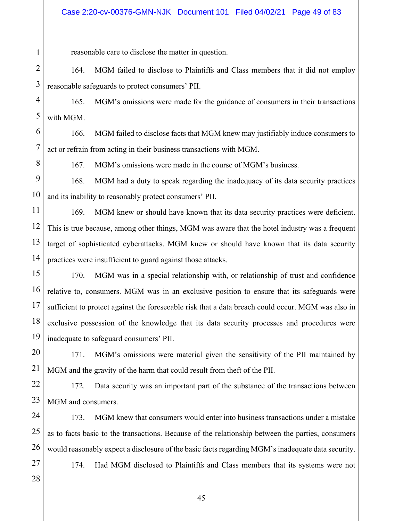reasonable care to disclose the matter in question.

2 3 164. MGM failed to disclose to Plaintiffs and Class members that it did not employ reasonable safeguards to protect consumers' PII.

4 5 165. MGM's omissions were made for the guidance of consumers in their transactions with MGM.

6 7 166. MGM failed to disclose facts that MGM knew may justifiably induce consumers to act or refrain from acting in their business transactions with MGM.

8

1

167. MGM's omissions were made in the course of MGM's business.

9 10 168. MGM had a duty to speak regarding the inadequacy of its data security practices and its inability to reasonably protect consumers' PII.

11 12 13 14 169. MGM knew or should have known that its data security practices were deficient. This is true because, among other things, MGM was aware that the hotel industry was a frequent target of sophisticated cyberattacks. MGM knew or should have known that its data security practices were insufficient to guard against those attacks.

15 16 17 18 19 170. MGM was in a special relationship with, or relationship of trust and confidence relative to, consumers. MGM was in an exclusive position to ensure that its safeguards were sufficient to protect against the foreseeable risk that a data breach could occur. MGM was also in exclusive possession of the knowledge that its data security processes and procedures were inadequate to safeguard consumers' PII.

20 21 171. MGM's omissions were material given the sensitivity of the PII maintained by MGM and the gravity of the harm that could result from theft of the PII.

22 23 172. Data security was an important part of the substance of the transactions between MGM and consumers.

24 25 26 173. MGM knew that consumers would enter into business transactions under a mistake as to facts basic to the transactions. Because of the relationship between the parties, consumers would reasonably expect a disclosure of the basic facts regarding MGM's inadequate data security.

27 28

174. Had MGM disclosed to Plaintiffs and Class members that its systems were not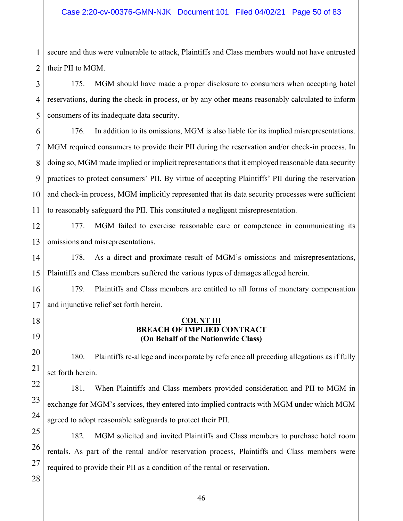1 2 secure and thus were vulnerable to attack, Plaintiffs and Class members would not have entrusted their PII to MGM.

3 4 5 175. MGM should have made a proper disclosure to consumers when accepting hotel reservations, during the check-in process, or by any other means reasonably calculated to inform consumers of its inadequate data security.

6 7 8 9 10 11 176. In addition to its omissions, MGM is also liable for its implied misrepresentations. MGM required consumers to provide their PII during the reservation and/or check-in process. In doing so, MGM made implied or implicit representations that it employed reasonable data security practices to protect consumers' PII. By virtue of accepting Plaintiffs' PII during the reservation and check-in process, MGM implicitly represented that its data security processes were sufficient to reasonably safeguard the PII. This constituted a negligent misrepresentation.

12 13 177. MGM failed to exercise reasonable care or competence in communicating its omissions and misrepresentations.

14 15 178. As a direct and proximate result of MGM's omissions and misrepresentations, Plaintiffs and Class members suffered the various types of damages alleged herein.

16 17 179. Plaintiffs and Class members are entitled to all forms of monetary compensation and injunctive relief set forth herein.

# **COUNT III BREACH OF IMPLIED CONTRACT (On Behalf of the Nationwide Class)**

180. Plaintiffs re-allege and incorporate by reference all preceding allegations as if fully set forth herein.

181. When Plaintiffs and Class members provided consideration and PII to MGM in exchange for MGM's services, they entered into implied contracts with MGM under which MGM agreed to adopt reasonable safeguards to protect their PII.

25 26 27 182. MGM solicited and invited Plaintiffs and Class members to purchase hotel room rentals. As part of the rental and/or reservation process, Plaintiffs and Class members were required to provide their PII as a condition of the rental or reservation.

28

18

19

20

21

22

23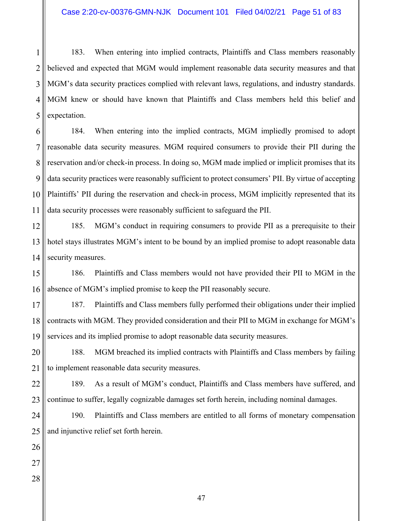1 2 3 4 5 183. When entering into implied contracts, Plaintiffs and Class members reasonably believed and expected that MGM would implement reasonable data security measures and that MGM's data security practices complied with relevant laws, regulations, and industry standards. MGM knew or should have known that Plaintiffs and Class members held this belief and expectation.

6 7 8 9 10 11 184. When entering into the implied contracts, MGM impliedly promised to adopt reasonable data security measures. MGM required consumers to provide their PII during the reservation and/or check-in process. In doing so, MGM made implied or implicit promises that its data security practices were reasonably sufficient to protect consumers' PII. By virtue of accepting Plaintiffs' PII during the reservation and check-in process, MGM implicitly represented that its data security processes were reasonably sufficient to safeguard the PII.

12 13 14 185. MGM's conduct in requiring consumers to provide PII as a prerequisite to their hotel stays illustrates MGM's intent to be bound by an implied promise to adopt reasonable data security measures.

15 16 186. Plaintiffs and Class members would not have provided their PII to MGM in the absence of MGM's implied promise to keep the PII reasonably secure.

17 18 19 187. Plaintiffs and Class members fully performed their obligations under their implied contracts with MGM. They provided consideration and their PII to MGM in exchange for MGM's services and its implied promise to adopt reasonable data security measures.

20 21 188. MGM breached its implied contracts with Plaintiffs and Class members by failing to implement reasonable data security measures.

22 23 189. As a result of MGM's conduct, Plaintiffs and Class members have suffered, and continue to suffer, legally cognizable damages set forth herein, including nominal damages.

24 25 190. Plaintiffs and Class members are entitled to all forms of monetary compensation and injunctive relief set forth herein.

26 27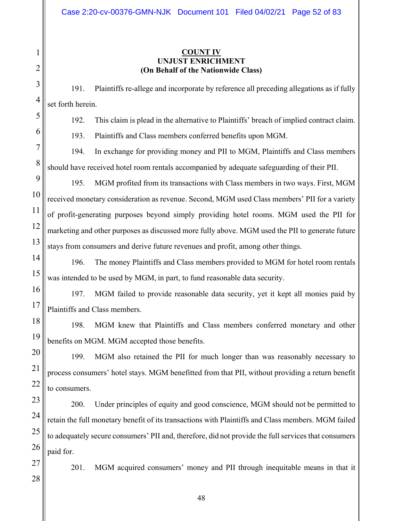# **COUNT IV UNJUST ENRICHMENT (On Behalf of the Nationwide Class)**

191. Plaintiffs re-allege and incorporate by reference all preceding allegations as if fully set forth herein.

192. This claim is plead in the alternative to Plaintiffs' breach of implied contract claim.

193. Plaintiffs and Class members conferred benefits upon MGM.

194. In exchange for providing money and PII to MGM, Plaintiffs and Class members should have received hotel room rentals accompanied by adequate safeguarding of their PII.

195. MGM profited from its transactions with Class members in two ways. First, MGM received monetary consideration as revenue. Second, MGM used Class members' PII for a variety of profit-generating purposes beyond simply providing hotel rooms. MGM used the PII for marketing and other purposes as discussed more fully above. MGM used the PII to generate future stays from consumers and derive future revenues and profit, among other things.

196. The money Plaintiffs and Class members provided to MGM for hotel room rentals was intended to be used by MGM, in part, to fund reasonable data security.

197. MGM failed to provide reasonable data security, yet it kept all monies paid by Plaintiffs and Class members.

198. MGM knew that Plaintiffs and Class members conferred monetary and other benefits on MGM. MGM accepted those benefits.

199. MGM also retained the PII for much longer than was reasonably necessary to process consumers' hotel stays. MGM benefitted from that PII, without providing a return benefit to consumers.

200. Under principles of equity and good conscience, MGM should not be permitted to retain the full monetary benefit of its transactions with Plaintiffs and Class members. MGM failed to adequately secure consumers' PII and, therefore, did not provide the full services that consumers paid for.

201. MGM acquired consumers' money and PII through inequitable means in that it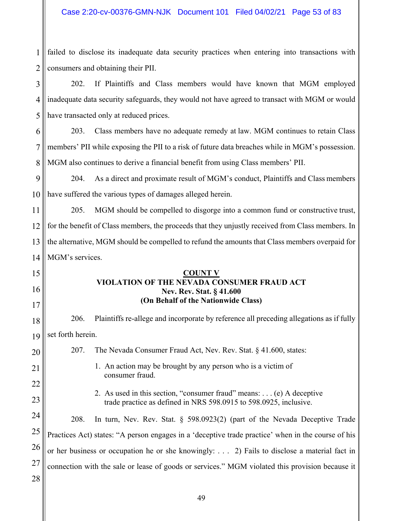1 2 failed to disclose its inadequate data security practices when entering into transactions with consumers and obtaining their PII.

#### 3 4 5 202. If Plaintiffs and Class members would have known that MGM employed inadequate data security safeguards, they would not have agreed to transact with MGM or would have transacted only at reduced prices.

6 7 8 203. Class members have no adequate remedy at law. MGM continues to retain Class members' PII while exposing the PII to a risk of future data breaches while in MGM's possession. MGM also continues to derive a financial benefit from using Class members' PII.

9 10 204. As a direct and proximate result of MGM's conduct, Plaintiffs and Class members have suffered the various types of damages alleged herein.

11 12 13 14 205. MGM should be compelled to disgorge into a common fund or constructive trust, for the benefit of Class members, the proceeds that they unjustly received from Class members. In the alternative, MGM should be compelled to refund the amounts that Class members overpaid for MGM's services.

# **COUNT V VIOLATION OF THE NEVADA CONSUMER FRAUD ACT Nev. Rev. Stat. § 41.600 (On Behalf of the Nationwide Class)**

18 19 206. Plaintiffs re-allege and incorporate by reference all preceding allegations as if fully set forth herein.

207. The Nevada Consumer Fraud Act, Nev. Rev. Stat. § 41.600, states:

15

16

17

20

21

22

23

- 1. An action may be brought by any person who is a victim of consumer fraud.
- 2. As used in this section, "consumer fraud" means: . . . (e) A deceptive trade practice as defined in NRS 598.0915 to 598.0925, inclusive.

24 25 26 27 28 208. In turn, Nev. Rev. Stat. § 598.0923(2) (part of the Nevada Deceptive Trade Practices Act) states: "A person engages in a 'deceptive trade practice' when in the course of his or her business or occupation he or she knowingly: . . . 2) Fails to disclose a material fact in connection with the sale or lease of goods or services." MGM violated this provision because it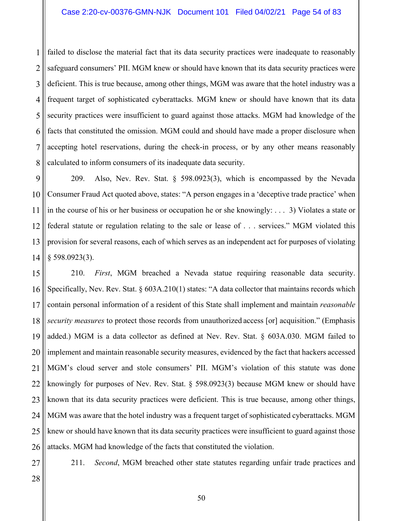1 2 3 4 5 6 7 8 failed to disclose the material fact that its data security practices were inadequate to reasonably safeguard consumers' PII. MGM knew or should have known that its data security practices were deficient. This is true because, among other things, MGM was aware that the hotel industry was a frequent target of sophisticated cyberattacks. MGM knew or should have known that its data security practices were insufficient to guard against those attacks. MGM had knowledge of the facts that constituted the omission. MGM could and should have made a proper disclosure when accepting hotel reservations, during the check-in process, or by any other means reasonably calculated to inform consumers of its inadequate data security.

9 10 11 12 13 14 209. Also, Nev. Rev. Stat. § 598.0923(3), which is encompassed by the Nevada Consumer Fraud Act quoted above, states: "A person engages in a 'deceptive trade practice' when in the course of his or her business or occupation he or she knowingly: . . . 3) Violates a state or federal statute or regulation relating to the sale or lease of . . . services." MGM violated this provision for several reasons, each of which serves as an independent act for purposes of violating § 598.0923(3).

15 16 17 18 19 20 21 22 23 24 25 26 210. *First*, MGM breached a Nevada statue requiring reasonable data security. Specifically, Nev. Rev. Stat. § 603A.210(1) states: "A data collector that maintains records which contain personal information of a resident of this State shall implement and maintain *reasonable security measures* to protect those records from unauthorized access [or] acquisition." (Emphasis added.) MGM is a data collector as defined at Nev. Rev. Stat. § 603A.030. MGM failed to implement and maintain reasonable security measures, evidenced by the fact that hackers accessed MGM's cloud server and stole consumers' PII. MGM's violation of this statute was done knowingly for purposes of Nev. Rev. Stat. § 598.0923(3) because MGM knew or should have known that its data security practices were deficient. This is true because, among other things, MGM was aware that the hotel industry was a frequent target of sophisticated cyberattacks. MGM knew or should have known that its data security practices were insufficient to guard against those attacks. MGM had knowledge of the facts that constituted the violation.

27

211. *Second*, MGM breached other state statutes regarding unfair trade practices and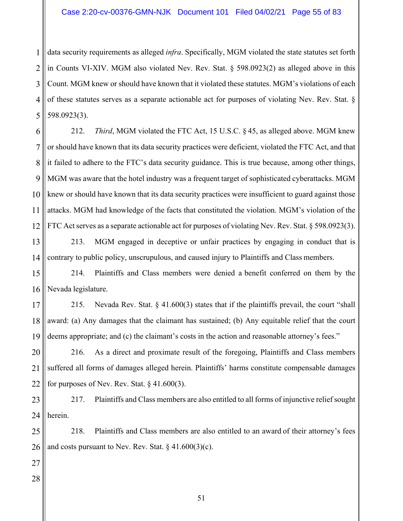1 2 3 4 5 data security requirements as alleged *infra*. Specifically, MGM violated the state statutes set forth in Counts VI-XIV. MGM also violated Nev. Rev. Stat. § 598.0923(2) as alleged above in this Count. MGM knew or should have known that it violated these statutes. MGM's violations of each of these statutes serves as a separate actionable act for purposes of violating Nev. Rev. Stat. § 598.0923(3).

6 7 8 9 10 11 12 212. *Third*, MGM violated the FTC Act, 15 U.S.C. § 45, as alleged above. MGM knew or should have known that its data security practices were deficient, violated the FTC Act, and that it failed to adhere to the FTC's data security guidance. This is true because, among other things, MGM was aware that the hotel industry was a frequent target of sophisticated cyberattacks. MGM knew or should have known that its data security practices were insufficient to guard against those attacks. MGM had knowledge of the facts that constituted the violation. MGM's violation of the FTC Act serves as a separate actionable act for purposes of violating Nev. Rev. Stat. § 598.0923(3).

13 14 213. MGM engaged in deceptive or unfair practices by engaging in conduct that is contrary to public policy, unscrupulous, and caused injury to Plaintiffs and Class members.

15 16 214. Plaintiffs and Class members were denied a benefit conferred on them by the Nevada legislature.

17 18 19 215. Nevada Rev. Stat. § 41.600(3) states that if the plaintiffs prevail, the court "shall award: (a) Any damages that the claimant has sustained; (b) Any equitable relief that the court deems appropriate; and (c) the claimant's costs in the action and reasonable attorney's fees."

20 21 22 216. As a direct and proximate result of the foregoing, Plaintiffs and Class members suffered all forms of damages alleged herein. Plaintiffs' harms constitute compensable damages for purposes of Nev. Rev. Stat.  $\S$  41.600(3).

23 24 217. Plaintiffs and Class members are also entitled to all forms of injunctive relief sought herein.

25 26 218. Plaintiffs and Class members are also entitled to an award of their attorney's fees and costs pursuant to Nev. Rev. Stat.  $\S$  41.600(3)(c).

- 27
- 28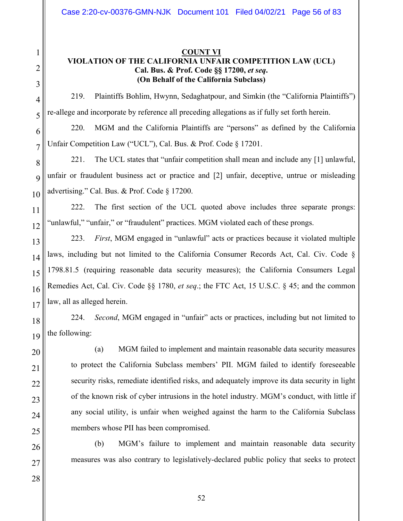# 1 2 3 4 5 6 7 8 9 10 11 12 13 14 15 16 17 18 19 20 21 22 23 24 25 26 27 28

# **COUNT VI VIOLATION OF THE CALIFORNIA UNFAIR COMPETITION LAW (UCL) Cal. Bus. & Prof. Code §§ 17200,** *et seq***. (On Behalf of the California Subclass)**

219. Plaintiffs Bohlim, Hwynn, Sedaghatpour, and Simkin (the "California Plaintiffs") re-allege and incorporate by reference all preceding allegations as if fully set forth herein.

220. MGM and the California Plaintiffs are "persons" as defined by the California Unfair Competition Law ("UCL"), Cal. Bus. & Prof. Code § 17201.

221. The UCL states that "unfair competition shall mean and include any [1] unlawful, unfair or fraudulent business act or practice and [2] unfair, deceptive, untrue or misleading advertising." Cal. Bus. & Prof. Code § 17200.

222. The first section of the UCL quoted above includes three separate prongs: "unlawful," "unfair," or "fraudulent" practices. MGM violated each of these prongs.

223. *First*, MGM engaged in "unlawful" acts or practices because it violated multiple laws, including but not limited to the California Consumer Records Act, Cal. Civ. Code § 1798.81.5 (requiring reasonable data security measures); the California Consumers Legal Remedies Act, Cal. Civ. Code §§ 1780, *et seq*.; the FTC Act, 15 U.S.C. § 45; and the common law, all as alleged herein.

224. *Second*, MGM engaged in "unfair" acts or practices, including but not limited to the following:

(a) MGM failed to implement and maintain reasonable data security measures to protect the California Subclass members' PII. MGM failed to identify foreseeable security risks, remediate identified risks, and adequately improve its data security in light of the known risk of cyber intrusions in the hotel industry. MGM's conduct, with little if any social utility, is unfair when weighed against the harm to the California Subclass members whose PII has been compromised.

(b) MGM's failure to implement and maintain reasonable data security measures was also contrary to legislatively-declared public policy that seeks to protect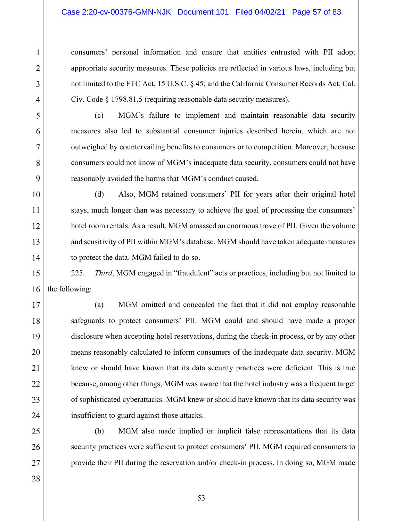#### Case 2:20-cv-00376-GMN-NJK Document 101 Filed 04/02/21 Page 57 of 83

consumers' personal information and ensure that entities entrusted with PII adopt appropriate security measures. These policies are reflected in various laws, including but not limited to the FTC Act, 15 U.S.C. § 45; and the California Consumer Records Act, Cal. Civ. Code § 1798.81.5 (requiring reasonable data security measures).

(c) MGM's failure to implement and maintain reasonable data security measures also led to substantial consumer injuries described herein, which are not outweighed by countervailing benefits to consumers or to competition. Moreover, because consumers could not know of MGM's inadequate data security, consumers could not have reasonably avoided the harms that MGM's conduct caused.

(d) Also, MGM retained consumers' PII for years after their original hotel stays, much longer than was necessary to achieve the goal of processing the consumers' hotel room rentals. As a result, MGM amassed an enormous trove of PII. Given the volume and sensitivity of PII within MGM's database, MGM should have taken adequate measures to protect the data. MGM failed to do so.

225. *Third*, MGM engaged in "fraudulent" acts or practices, including but not limited to the following:

(a) MGM omitted and concealed the fact that it did not employ reasonable safeguards to protect consumers' PII. MGM could and should have made a proper disclosure when accepting hotel reservations, during the check-in process, or by any other means reasonably calculated to inform consumers of the inadequate data security. MGM knew or should have known that its data security practices were deficient. This is true because, among other things, MGM was aware that the hotel industry was a frequent target of sophisticated cyberattacks. MGM knew or should have known that its data security was insufficient to guard against those attacks.

(b) MGM also made implied or implicit false representations that its data security practices were sufficient to protect consumers' PII. MGM required consumers to provide their PII during the reservation and/or check-in process. In doing so, MGM made

1

2

3

4

5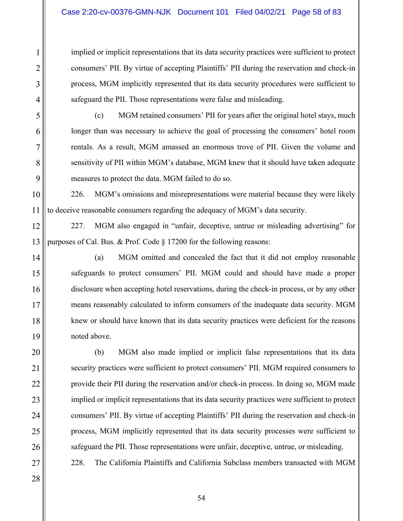# Case 2:20-cv-00376-GMN-NJK Document 101 Filed 04/02/21 Page 58 of 83

implied or implicit representations that its data security practices were sufficient to protect consumers' PII. By virtue of accepting Plaintiffs' PII during the reservation and check-in process, MGM implicitly represented that its data security procedures were sufficient to safeguard the PII. Those representations were false and misleading.

5

1

2

3

4

6

7

8

9

11

14

15

16

17

18

19

20

21

22

23

24

25

26

(c) MGM retained consumers' PII for years after the original hotel stays, much longer than was necessary to achieve the goal of processing the consumers' hotel room rentals. As a result, MGM amassed an enormous trove of PII. Given the volume and sensitivity of PII within MGM's database, MGM knew that it should have taken adequate measures to protect the data. MGM failed to do so.

10 226. MGM's omissions and misrepresentations were material because they were likely to deceive reasonable consumers regarding the adequacy of MGM's data security.

12 13 227. MGM also engaged in "unfair, deceptive, untrue or misleading advertising" for purposes of Cal. Bus. & Prof. Code § 17200 for the following reasons:

(a) MGM omitted and concealed the fact that it did not employ reasonable safeguards to protect consumers' PII. MGM could and should have made a proper disclosure when accepting hotel reservations, during the check-in process, or by any other means reasonably calculated to inform consumers of the inadequate data security. MGM knew or should have known that its data security practices were deficient for the reasons noted above.

(b) MGM also made implied or implicit false representations that its data security practices were sufficient to protect consumers' PII. MGM required consumers to provide their PII during the reservation and/or check-in process. In doing so, MGM made implied or implicit representations that its data security practices were sufficient to protect consumers' PII. By virtue of accepting Plaintiffs' PII during the reservation and check-in process, MGM implicitly represented that its data security processes were sufficient to safeguard the PII. Those representations were unfair, deceptive, untrue, or misleading. 228. The California Plaintiffs and California Subclass members transacted with MGM

27 28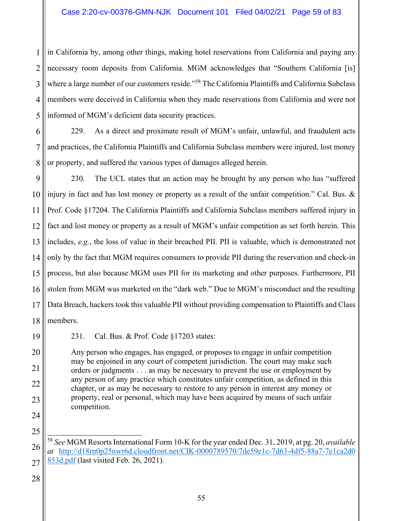1 2 3 4 5 in California by, among other things, making hotel reservations from California and paying any necessary room deposits from California. MGM acknowledges that "Southern California [is] where a large number of our customers reside."<sup>58</sup> The California Plaintiffs and California Subclass members were deceived in California when they made reservations from California and were not informed of MGM's deficient data security practices.

6 7 8 229. As a direct and proximate result of MGM's unfair, unlawful, and fraudulent acts and practices, the California Plaintiffs and California Subclass members were injured, lost money or property, and suffered the various types of damages alleged herein.

9 10 11 12 13 14 15 16 17 18 230. The UCL states that an action may be brought by any person who has "suffered injury in fact and has lost money or property as a result of the unfair competition." Cal. Bus. & Prof. Code §17204. The California Plaintiffs and California Subclass members suffered injury in fact and lost money or property as a result of MGM's unfair competition as set forth herein. This includes, *e.g.*, the loss of value in their breached PII. PII is valuable, which is demonstrated not only by the fact that MGM requires consumers to provide PII during the reservation and check-in process, but also because MGM uses PII for its marketing and other purposes. Furthermore, PII stolen from MGM was marketed on the "dark web." Due to MGM's misconduct and the resulting Data Breach, hackers took this valuable PII without providing compensation to Plaintiffs and Class members.

19

20

21

22

23

24

25

231. Cal. Bus. & Prof. Code §17203 states:

Any person who engages, has engaged, or proposes to engage in unfair competition may be enjoined in any court of competent jurisdiction. The court may make such orders or judgments . . . as may be necessary to prevent the use or employment by any person of any practice which constitutes unfair competition, as defined in this chapter, or as may be necessary to restore to any person in interest any money or property, real or personal, which may have been acquired by means of such unfair competition.

26 27  $\overline{\phantom{a}}$ <sup>58</sup> *See* MGM Resorts International Form 10-K for the year ended Dec. 31, 2019, at pg. 20, *available at* http://d18rn0p25nwr6d.cloudfront.net/CIK-0000789570/7de59e1c-7d63-4df5-88a7-7e1ca2d0 853d.pdf (last visited Feb. 26, 2021).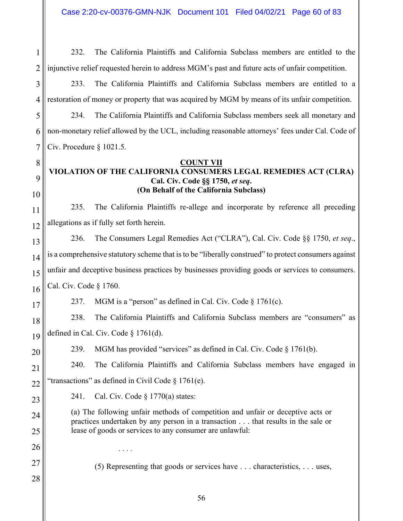1 2 232. The California Plaintiffs and California Subclass members are entitled to the injunctive relief requested herein to address MGM's past and future acts of unfair competition.

3 4 233. The California Plaintiffs and California Subclass members are entitled to a restoration of money or property that was acquired by MGM by means of its unfair competition.

5 6 7 234. The California Plaintiffs and California Subclass members seek all monetary and non-monetary relief allowed by the UCL, including reasonable attorneys' fees under Cal. Code of Civ. Procedure § 1021.5.

#### **COUNT VII**

# **VIOLATION OF THE CALIFORNIA CONSUMERS LEGAL REMEDIES ACT (CLRA) Cal. Civ. Code §§ 1750,** *et seq***. (On Behalf of the California Subclass)**

11 12 235. The California Plaintiffs re-allege and incorporate by reference all preceding allegations as if fully set forth herein.

13 14 15 16 236. The Consumers Legal Remedies Act ("CLRA"), Cal. Civ. Code §§ 1750, *et seq*., is a comprehensive statutory scheme that is to be "liberally construed" to protect consumers against unfair and deceptive business practices by businesses providing goods or services to consumers. Cal. Civ. Code § 1760.

17

20

23

24

25

26

27

28

8

9

10

237. MGM is a "person" as defined in Cal. Civ. Code  $\S 1761(c)$ .

18 19 238. The California Plaintiffs and California Subclass members are "consumers" as defined in Cal. Civ. Code § 1761(d).

239. MGM has provided "services" as defined in Cal. Civ. Code § 1761(b).

21 22 240. The California Plaintiffs and California Subclass members have engaged in "transactions" as defined in Civil Code  $\S 1761(e)$ .

241. Cal. Civ. Code  $\S 1770(a)$  states:

. . . .

(a) The following unfair methods of competition and unfair or deceptive acts or practices undertaken by any person in a transaction . . . that results in the sale or lease of goods or services to any consumer are unlawful:

(5) Representing that goods or services have . . . characteristics, . . . uses,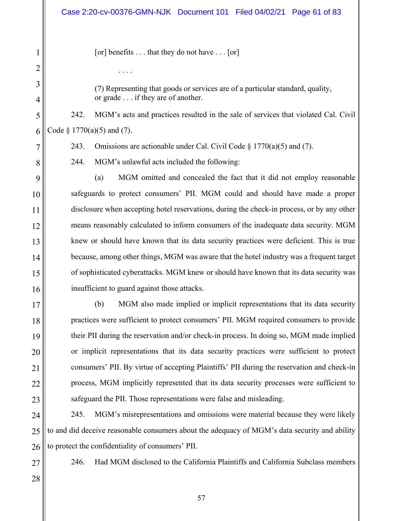[or] benefits  $\dots$  that they do not have  $\dots$  [or]

(7) Representing that goods or services are of a particular standard, quality, or grade . . . if they are of another.

242. MGM's acts and practices resulted in the sale of services that violated Cal. Civil Code  $\S 1770(a)(5)$  and (7).

243. Omissions are actionable under Cal. Civil Code  $\S 1770(a)(5)$  and (7).

244. MGM's unlawful acts included the following:

(a) MGM omitted and concealed the fact that it did not employ reasonable safeguards to protect consumers' PII. MGM could and should have made a proper disclosure when accepting hotel reservations, during the check-in process, or by any other means reasonably calculated to inform consumers of the inadequate data security. MGM knew or should have known that its data security practices were deficient. This is true because, among other things, MGM was aware that the hotel industry was a frequent target of sophisticated cyberattacks. MGM knew or should have known that its data security was insufficient to guard against those attacks.

(b) MGM also made implied or implicit representations that its data security practices were sufficient to protect consumers' PII. MGM required consumers to provide their PII during the reservation and/or check-in process. In doing so, MGM made implied or implicit representations that its data security practices were sufficient to protect consumers' PII. By virtue of accepting Plaintiffs' PII during the reservation and check-in process, MGM implicitly represented that its data security processes were sufficient to safeguard the PII. Those representations were false and misleading.

24 25 26 245. MGM's misrepresentations and omissions were material because they were likely to and did deceive reasonable consumers about the adequacy of MGM's data security and ability to protect the confidentiality of consumers' PII.

27

1

2

. . . .

3

4

5

6

7

8

9

10

11

12

13

14

15

16

17

18

19

20

21

22

23

246. Had MGM disclosed to the California Plaintiffs and California Subclass members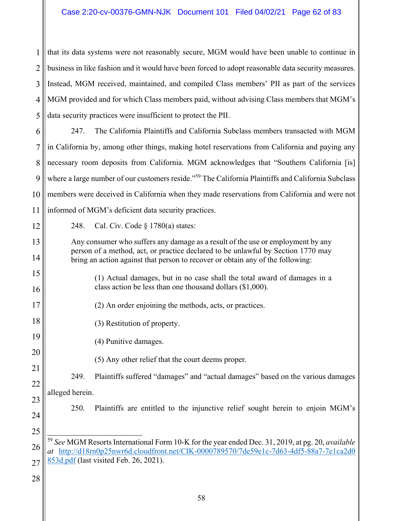1 2 3 4 5 that its data systems were not reasonably secure, MGM would have been unable to continue in business in like fashion and it would have been forced to adopt reasonable data security measures. Instead, MGM received, maintained, and compiled Class members' PII as part of the services MGM provided and for which Class members paid, without advising Class members that MGM's data security practices were insufficient to protect the PII.

6 7 8 9 10 11 247. The California Plaintiffs and California Subclass members transacted with MGM in California by, among other things, making hotel reservations from California and paying any necessary room deposits from California. MGM acknowledges that "Southern California [is] where a large number of our customers reside."<sup>59</sup> The California Plaintiffs and California Subclass members were deceived in California when they made reservations from California and were not informed of MGM's deficient data security practices.

12

13

14

15

16

17

18

19

20

21

22

23

248. Cal. Civ. Code  $\S 1780(a)$  states:

Any consumer who suffers any damage as a result of the use or employment by any person of a method, act, or practice declared to be unlawful by Section 1770 may bring an action against that person to recover or obtain any of the following:

- (1) Actual damages, but in no case shall the total award of damages in a class action be less than one thousand dollars (\$1,000).
- (2) An order enjoining the methods, acts, or practices.
	- (3) Restitution of property.
	- (4) Punitive damages.
		- (5) Any other relief that the court deems proper.

249. Plaintiffs suffered "damages" and "actual damages" based on the various damages alleged herein.

24

25

250. Plaintiffs are entitled to the injunctive relief sought herein to enjoin MGM's

<sup>26</sup> 27  $\overline{\phantom{a}}$ <sup>59</sup> *See* MGM Resorts International Form 10-K for the year ended Dec. 31, 2019, at pg. 20, *available at* http://d18rn0p25nwr6d.cloudfront.net/CIK-0000789570/7de59e1c-7d63-4df5-88a7-7e1ca2d0 853d.pdf (last visited Feb. 26, 2021).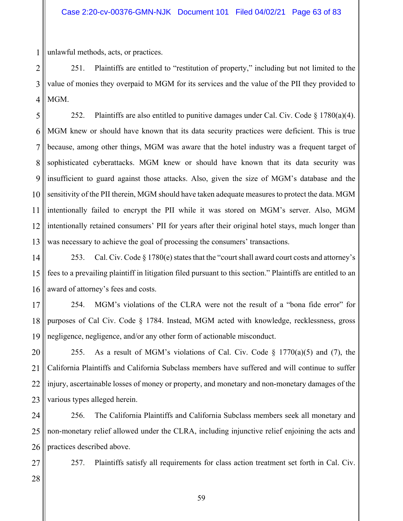1 unlawful methods, acts, or practices.

2 3 4 251. Plaintiffs are entitled to "restitution of property," including but not limited to the value of monies they overpaid to MGM for its services and the value of the PII they provided to MGM.

5 6 7 8 9 10 11 12 13 252. Plaintiffs are also entitled to punitive damages under Cal. Civ. Code  $\S 1780(a)(4)$ . MGM knew or should have known that its data security practices were deficient. This is true because, among other things, MGM was aware that the hotel industry was a frequent target of sophisticated cyberattacks. MGM knew or should have known that its data security was insufficient to guard against those attacks. Also, given the size of MGM's database and the sensitivity of the PII therein, MGM should have taken adequate measures to protect the data. MGM intentionally failed to encrypt the PII while it was stored on MGM's server. Also, MGM intentionally retained consumers' PII for years after their original hotel stays, much longer than was necessary to achieve the goal of processing the consumers' transactions.

14 15 16 253. Cal. Civ. Code  $\S 1780(e)$  states that the "court shall award court costs and attorney's fees to a prevailing plaintiff in litigation filed pursuant to this section." Plaintiffs are entitled to an award of attorney's fees and costs.

17 18 19 254. MGM's violations of the CLRA were not the result of a "bona fide error" for purposes of Cal Civ. Code § 1784. Instead, MGM acted with knowledge, recklessness, gross negligence, negligence, and/or any other form of actionable misconduct.

20 21 22 23 255. As a result of MGM's violations of Cal. Civ. Code  $\S$  1770(a)(5) and (7), the California Plaintiffs and California Subclass members have suffered and will continue to suffer injury, ascertainable losses of money or property, and monetary and non-monetary damages of the various types alleged herein.

24 25 26 256. The California Plaintiffs and California Subclass members seek all monetary and non-monetary relief allowed under the CLRA, including injunctive relief enjoining the acts and practices described above.

257. Plaintiffs satisfy all requirements for class action treatment set forth in Cal. Civ.

59

27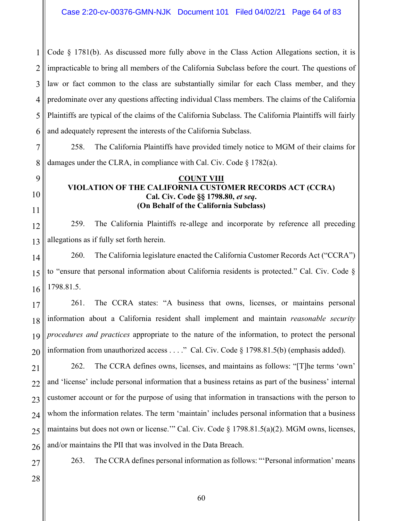1 2 3 4 5 6 Code  $\S$  1781(b). As discussed more fully above in the Class Action Allegations section, it is impracticable to bring all members of the California Subclass before the court. The questions of law or fact common to the class are substantially similar for each Class member, and they predominate over any questions affecting individual Class members. The claims of the California Plaintiffs are typical of the claims of the California Subclass. The California Plaintiffs will fairly and adequately represent the interests of the California Subclass.

7 8 258. The California Plaintiffs have provided timely notice to MGM of their claims for damages under the CLRA, in compliance with Cal. Civ. Code § 1782(a).

#### **COUNT VIII VIOLATION OF THE CALIFORNIA CUSTOMER RECORDS ACT (CCRA) Cal. Civ. Code §§ 1798.80,** *et seq***. (On Behalf of the California Subclass)**

12 13 259. The California Plaintiffs re-allege and incorporate by reference all preceding allegations as if fully set forth herein.

14 15 16 260. The California legislature enacted the California Customer Records Act ("CCRA") to "ensure that personal information about California residents is protected." Cal. Civ. Code § 1798.81.5.

17 18 19 20 261. The CCRA states: "A business that owns, licenses, or maintains personal information about a California resident shall implement and maintain *reasonable security procedures and practices* appropriate to the nature of the information, to protect the personal information from unauthorized access . . . ." Cal. Civ. Code § 1798.81.5(b) (emphasis added).

21 22 23 24 25 26 262. The CCRA defines owns, licenses, and maintains as follows: "[T]he terms 'own' and 'license' include personal information that a business retains as part of the business' internal customer account or for the purpose of using that information in transactions with the person to whom the information relates. The term 'maintain' includes personal information that a business maintains but does not own or license."" Cal. Civ. Code § 1798.81.5(a)(2). MGM owns, licenses, and/or maintains the PII that was involved in the Data Breach.

27

9

10

11

263. The CCRA defines personal information as follows: "'Personal information' means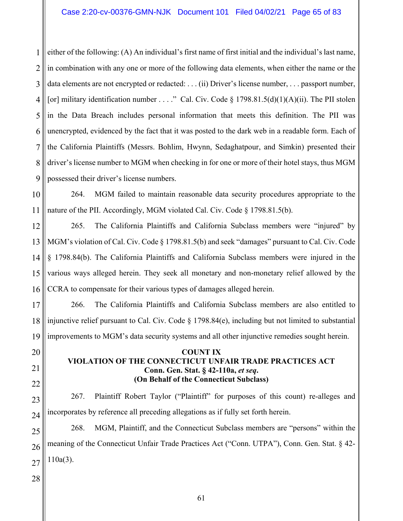1 2 3 4 5 6 7 8 9 either of the following: (A) An individual's first name of first initial and the individual's last name, in combination with any one or more of the following data elements, when either the name or the data elements are not encrypted or redacted: . . . (ii) Driver's license number, . . . passport number, [or] military identification number . . . ." Cal. Civ. Code  $\S$  1798.81.5(d)(1)(A)(ii). The PII stolen in the Data Breach includes personal information that meets this definition. The PII was unencrypted, evidenced by the fact that it was posted to the dark web in a readable form. Each of the California Plaintiffs (Messrs. Bohlim, Hwynn, Sedaghatpour, and Simkin) presented their driver's license number to MGM when checking in for one or more of their hotel stays, thus MGM possessed their driver's license numbers.

10 11 264. MGM failed to maintain reasonable data security procedures appropriate to the nature of the PII. Accordingly, MGM violated Cal. Civ. Code § 1798.81.5(b).

12 13 14 15 16 265. The California Plaintiffs and California Subclass members were "injured" by MGM's violation of Cal. Civ. Code § 1798.81.5(b) and seek "damages" pursuant to Cal. Civ. Code § 1798.84(b). The California Plaintiffs and California Subclass members were injured in the various ways alleged herein. They seek all monetary and non-monetary relief allowed by the CCRA to compensate for their various types of damages alleged herein.

17 18 19 266. The California Plaintiffs and California Subclass members are also entitled to injunctive relief pursuant to Cal. Civ. Code § 1798.84(e), including but not limited to substantial improvements to MGM's data security systems and all other injunctive remedies sought herein.

# **COUNT IX VIOLATION OF THE CONNECTICUT UNFAIR TRADE PRACTICES ACT Conn. Gen. Stat. § 42-110a,** *et seq***. (On Behalf of the Connecticut Subclass)**

23 24 267. Plaintiff Robert Taylor ("Plaintiff" for purposes of this count) re-alleges and incorporates by reference all preceding allegations as if fully set forth herein.

25 26 27 268. MGM, Plaintiff, and the Connecticut Subclass members are "persons" within the meaning of the Connecticut Unfair Trade Practices Act ("Conn. UTPA"), Conn. Gen. Stat. § 42- 110a(3).

28

20

21

22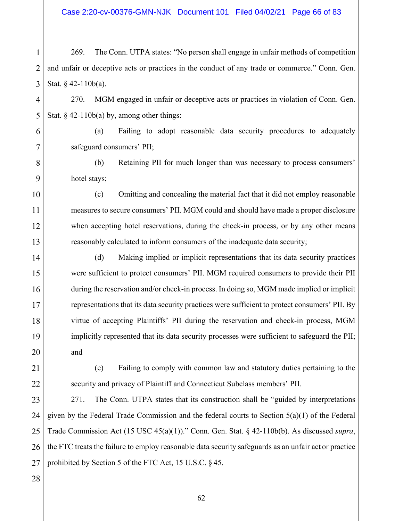2 3 269. The Conn. UTPA states: "No person shall engage in unfair methods of competition and unfair or deceptive acts or practices in the conduct of any trade or commerce." Conn. Gen. Stat. § 42-110b(a).

4 5 270. MGM engaged in unfair or deceptive acts or practices in violation of Conn. Gen. Stat.  $§$  42-110b(a) by, among other things:

(a) Failing to adopt reasonable data security procedures to adequately safeguard consumers' PII;

8 9 (b) Retaining PII for much longer than was necessary to process consumers' hotel stays;

(c) Omitting and concealing the material fact that it did not employ reasonable measures to secure consumers' PII. MGM could and should have made a proper disclosure when accepting hotel reservations, during the check-in process, or by any other means reasonably calculated to inform consumers of the inadequate data security;

(d) Making implied or implicit representations that its data security practices were sufficient to protect consumers' PII. MGM required consumers to provide their PII during the reservation and/or check-in process. In doing so, MGM made implied or implicit representations that its data security practices were sufficient to protect consumers' PII. By virtue of accepting Plaintiffs' PII during the reservation and check-in process, MGM implicitly represented that its data security processes were sufficient to safeguard the PII; and

21

1

6

7

10

11

12

13

14

15

16

17

18

19

20

22

(e) Failing to comply with common law and statutory duties pertaining to the security and privacy of Plaintiff and Connecticut Subclass members' PII.

23 24 25 26 27 271. The Conn. UTPA states that its construction shall be "guided by interpretations given by the Federal Trade Commission and the federal courts to Section  $5(a)(1)$  of the Federal Trade Commission Act (15 USC 45(a)(1))." Conn. Gen. Stat. § 42-110b(b). As discussed *supra*, the FTC treats the failure to employ reasonable data security safeguards as an unfair act or practice prohibited by Section 5 of the FTC Act, 15 U.S.C. § 45.

28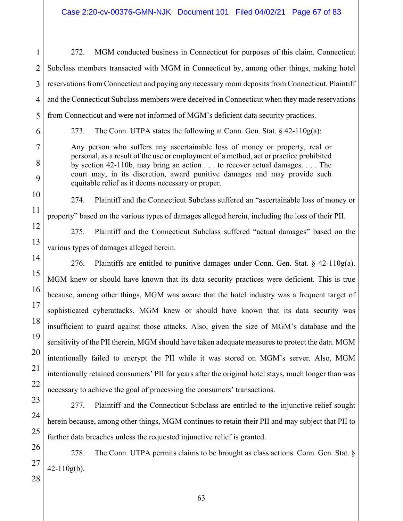272. MGM conducted business in Connecticut for purposes of this claim. Connecticut Subclass members transacted with MGM in Connecticut by, among other things, making hotel reservations from Connecticut and paying any necessary room deposits from Connecticut. Plaintiff and the Connecticut Subclass members were deceived in Connecticut when they made reservations from Connecticut and were not informed of MGM's deficient data security practices.

1

2

3

4

5

6

7

8

9

10

11

12

13

14

15

16

17

18

19

20

21

22

23

24

25

26

27

273. The Conn. UTPA states the following at Conn. Gen. Stat.  $\S 42{\text -}110g(a)$ :

Any person who suffers any ascertainable loss of money or property, real or personal, as a result of the use or employment of a method, act or practice prohibited by section 42-110b, may bring an action . . . to recover actual damages. . . . The court may, in its discretion, award punitive damages and may provide such equitable relief as it deems necessary or proper.

274. Plaintiff and the Connecticut Subclass suffered an "ascertainable loss of money or property" based on the various types of damages alleged herein, including the loss of their PII.

275. Plaintiff and the Connecticut Subclass suffered "actual damages" based on the various types of damages alleged herein.

276. Plaintiffs are entitled to punitive damages under Conn. Gen. Stat. § 42-110g(a). MGM knew or should have known that its data security practices were deficient. This is true because, among other things, MGM was aware that the hotel industry was a frequent target of sophisticated cyberattacks. MGM knew or should have known that its data security was insufficient to guard against those attacks. Also, given the size of MGM's database and the sensitivity of the PII therein, MGM should have taken adequate measures to protect the data. MGM intentionally failed to encrypt the PII while it was stored on MGM's server. Also, MGM intentionally retained consumers' PII for years after the original hotel stays, much longer than was necessary to achieve the goal of processing the consumers' transactions.

277. Plaintiff and the Connecticut Subclass are entitled to the injunctive relief sought herein because, among other things, MGM continues to retain their PII and may subject that PII to further data breaches unless the requested injunctive relief is granted.

278. The Conn. UTPA permits claims to be brought as class actions. Conn. Gen. Stat. §  $42 - 110g(b)$ .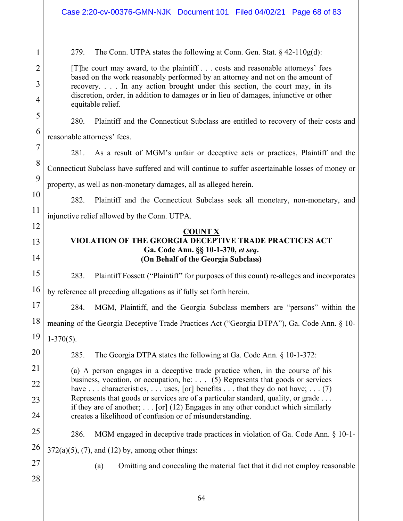1 2 3 4 5 6 7 8 9 10 11 12 13 14 15 16 17 18 19 20 21 22 23 24 25 26 27 28 279. The Conn. UTPA states the following at Conn. Gen. Stat.  $\S 42{\text -}110g(d)$ : [T]he court may award, to the plaintiff . . . costs and reasonable attorneys' fees based on the work reasonably performed by an attorney and not on the amount of recovery. . . . In any action brought under this section, the court may, in its discretion, order, in addition to damages or in lieu of damages, injunctive or other equitable relief. 280. Plaintiff and the Connecticut Subclass are entitled to recovery of their costs and reasonable attorneys' fees. 281. As a result of MGM's unfair or deceptive acts or practices, Plaintiff and the Connecticut Subclass have suffered and will continue to suffer ascertainable losses of money or property, as well as non-monetary damages, all as alleged herein. 282. Plaintiff and the Connecticut Subclass seek all monetary, non-monetary, and injunctive relief allowed by the Conn. UTPA. **COUNT X VIOLATION OF THE GEORGIA DECEPTIVE TRADE PRACTICES ACT Ga. Code Ann. §§ 10-1-370,** *et seq***. (On Behalf of the Georgia Subclass)**  283. Plaintiff Fossett ("Plaintiff" for purposes of this count) re-alleges and incorporates by reference all preceding allegations as if fully set forth herein. 284. MGM, Plaintiff, and the Georgia Subclass members are "persons" within the meaning of the Georgia Deceptive Trade Practices Act ("Georgia DTPA"), Ga. Code Ann. § 10-  $1-370(5)$ . 285. The Georgia DTPA states the following at Ga. Code Ann. § 10-1-372: (a) A person engages in a deceptive trade practice when, in the course of his business, vocation, or occupation, he: . . . (5) Represents that goods or services have  $\dots$  characteristics,  $\dots$  uses, [or] benefits  $\dots$  that they do not have;  $\dots$  (7) Represents that goods or services are of a particular standard, quality, or grade . . . if they are of another; . . . [or] (12) Engages in any other conduct which similarly creates a likelihood of confusion or of misunderstanding. 286. MGM engaged in deceptive trade practices in violation of Ga. Code Ann. § 10-1-  $372(a)(5)$ , (7), and (12) by, among other things: (a) Omitting and concealing the material fact that it did not employ reasonable Case 2:20-cv-00376-GMN-NJK Document 101 Filed 04/02/21 Page 68 of 83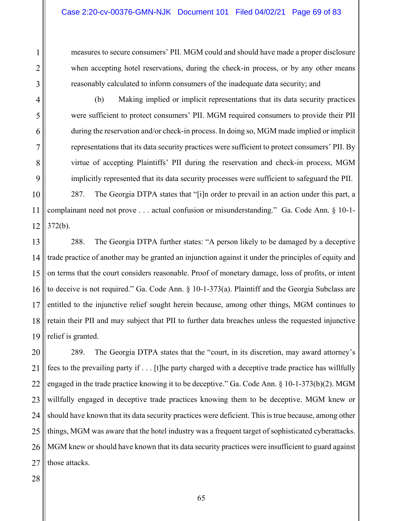measures to secure consumers' PII. MGM could and should have made a proper disclosure when accepting hotel reservations, during the check-in process, or by any other means reasonably calculated to inform consumers of the inadequate data security; and

(b) Making implied or implicit representations that its data security practices were sufficient to protect consumers' PII. MGM required consumers to provide their PII during the reservation and/or check-in process. In doing so, MGM made implied or implicit representations that its data security practices were sufficient to protect consumers' PII. By virtue of accepting Plaintiffs' PII during the reservation and check-in process, MGM implicitly represented that its data security processes were sufficient to safeguard the PII.

10 11 12 287. The Georgia DTPA states that "[i]n order to prevail in an action under this part, a complainant need not prove . . . actual confusion or misunderstanding." Ga. Code Ann. § 10-1- 372(b).

13 14 15 16 17 18 19 288. The Georgia DTPA further states: "A person likely to be damaged by a deceptive trade practice of another may be granted an injunction against it under the principles of equity and on terms that the court considers reasonable. Proof of monetary damage, loss of profits, or intent to deceive is not required." Ga. Code Ann. § 10-1-373(a). Plaintiff and the Georgia Subclass are entitled to the injunctive relief sought herein because, among other things, MGM continues to retain their PII and may subject that PII to further data breaches unless the requested injunctive relief is granted.

20 21 22 23 24 25 26 27 289. The Georgia DTPA states that the "court, in its discretion, may award attorney's fees to the prevailing party if . . . [t]he party charged with a deceptive trade practice has willfully engaged in the trade practice knowing it to be deceptive." Ga. Code Ann. § 10-1-373(b)(2). MGM willfully engaged in deceptive trade practices knowing them to be deceptive. MGM knew or should have known that its data security practices were deficient. This is true because, among other things, MGM was aware that the hotel industry was a frequent target of sophisticated cyberattacks. MGM knew or should have known that its data security practices were insufficient to guard against those attacks.

1

2

3

4

5

6

7

8

9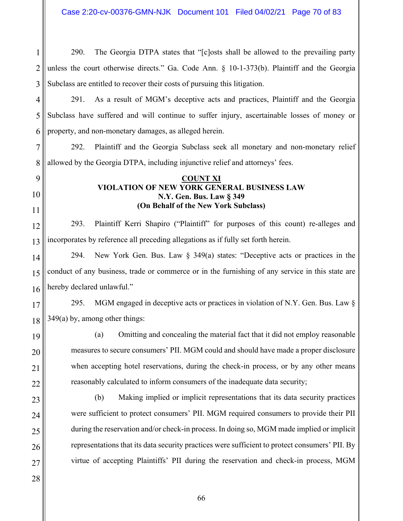1 2 3 290. The Georgia DTPA states that "[c]osts shall be allowed to the prevailing party unless the court otherwise directs." Ga. Code Ann. § 10-1-373(b). Plaintiff and the Georgia Subclass are entitled to recover their costs of pursuing this litigation.

4 5 6 291. As a result of MGM's deceptive acts and practices, Plaintiff and the Georgia Subclass have suffered and will continue to suffer injury, ascertainable losses of money or property, and non-monetary damages, as alleged herein.

7 8 292. Plaintiff and the Georgia Subclass seek all monetary and non-monetary relief allowed by the Georgia DTPA, including injunctive relief and attorneys' fees.

#### **COUNT XI VIOLATION OF NEW YORK GENERAL BUSINESS LAW N.Y. Gen. Bus. Law § 349 (On Behalf of the New York Subclass)**

12 13 293. Plaintiff Kerri Shapiro ("Plaintiff" for purposes of this count) re-alleges and incorporates by reference all preceding allegations as if fully set forth herein.

14 15 16 294. New York Gen. Bus. Law § 349(a) states: "Deceptive acts or practices in the conduct of any business, trade or commerce or in the furnishing of any service in this state are hereby declared unlawful."

17 18 295. MGM engaged in deceptive acts or practices in violation of N.Y. Gen. Bus. Law § 349(a) by, among other things:

(a) Omitting and concealing the material fact that it did not employ reasonable measures to secure consumers' PII. MGM could and should have made a proper disclosure when accepting hotel reservations, during the check-in process, or by any other means reasonably calculated to inform consumers of the inadequate data security;

23 24 25 26 27 (b) Making implied or implicit representations that its data security practices were sufficient to protect consumers' PII. MGM required consumers to provide their PII during the reservation and/or check-in process. In doing so, MGM made implied or implicit representations that its data security practices were sufficient to protect consumers' PII. By virtue of accepting Plaintiffs' PII during the reservation and check-in process, MGM

28

9

10

11

19

20

21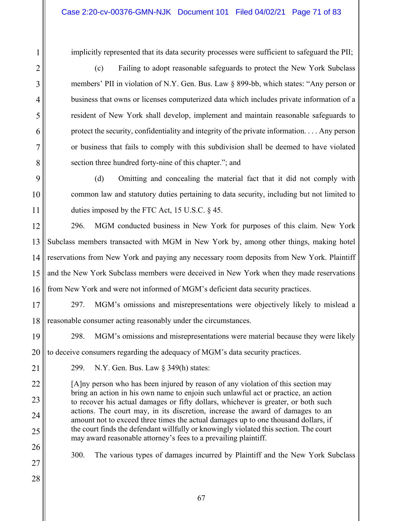implicitly represented that its data security processes were sufficient to safeguard the PII;

(c) Failing to adopt reasonable safeguards to protect the New York Subclass members' PII in violation of N.Y. Gen. Bus. Law § 899-bb, which states: "Any person or business that owns or licenses computerized data which includes private information of a resident of New York shall develop, implement and maintain reasonable safeguards to protect the security, confidentiality and integrity of the private information. . . . Any person or business that fails to comply with this subdivision shall be deemed to have violated section three hundred forty-nine of this chapter."; and

(d) Omitting and concealing the material fact that it did not comply with common law and statutory duties pertaining to data security, including but not limited to duties imposed by the FTC Act, 15 U.S.C. § 45.

12 13 14 15 16 296. MGM conducted business in New York for purposes of this claim. New York Subclass members transacted with MGM in New York by, among other things, making hotel reservations from New York and paying any necessary room deposits from New York. Plaintiff and the New York Subclass members were deceived in New York when they made reservations from New York and were not informed of MGM's deficient data security practices.

17 18 297. MGM's omissions and misrepresentations were objectively likely to mislead a reasonable consumer acting reasonably under the circumstances.

19 20 298. MGM's omissions and misrepresentations were material because they were likely to deceive consumers regarding the adequacy of MGM's data security practices.

21

22

23

24

25

1

2

3

4

5

6

7

8

9

10

11

299. N.Y. Gen. Bus. Law § 349(h) states:

[A]ny person who has been injured by reason of any violation of this section may bring an action in his own name to enjoin such unlawful act or practice, an action to recover his actual damages or fifty dollars, whichever is greater, or both such actions. The court may, in its discretion, increase the award of damages to an amount not to exceed three times the actual damages up to one thousand dollars, if the court finds the defendant willfully or knowingly violated this section. The court may award reasonable attorney's fees to a prevailing plaintiff.

26 27

300. The various types of damages incurred by Plaintiff and the New York Subclass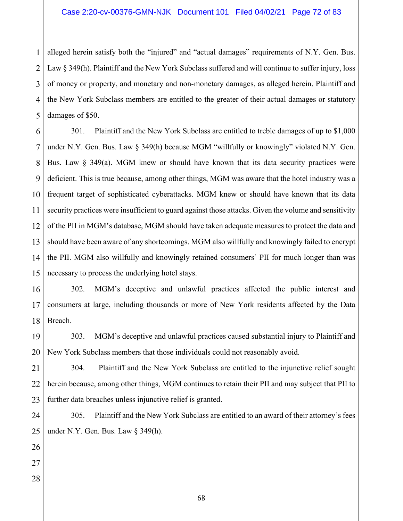1 2 3 4 5 alleged herein satisfy both the "injured" and "actual damages" requirements of N.Y. Gen. Bus. Law § 349(h). Plaintiff and the New York Subclass suffered and will continue to suffer injury, loss of money or property, and monetary and non-monetary damages, as alleged herein. Plaintiff and the New York Subclass members are entitled to the greater of their actual damages or statutory damages of \$50.

6 7 8 9 10 11 12 13 14 15 301. Plaintiff and the New York Subclass are entitled to treble damages of up to \$1,000 under N.Y. Gen. Bus. Law § 349(h) because MGM "willfully or knowingly" violated N.Y. Gen. Bus. Law § 349(a). MGM knew or should have known that its data security practices were deficient. This is true because, among other things, MGM was aware that the hotel industry was a frequent target of sophisticated cyberattacks. MGM knew or should have known that its data security practices were insufficient to guard against those attacks. Given the volume and sensitivity of the PII in MGM's database, MGM should have taken adequate measures to protect the data and should have been aware of any shortcomings. MGM also willfully and knowingly failed to encrypt the PII. MGM also willfully and knowingly retained consumers' PII for much longer than was necessary to process the underlying hotel stays.

16 17 18 302. MGM's deceptive and unlawful practices affected the public interest and consumers at large, including thousands or more of New York residents affected by the Data Breach.

19 20 303. MGM's deceptive and unlawful practices caused substantial injury to Plaintiff and New York Subclass members that those individuals could not reasonably avoid.

21 22 23 304. Plaintiff and the New York Subclass are entitled to the injunctive relief sought herein because, among other things, MGM continues to retain their PII and may subject that PII to further data breaches unless injunctive relief is granted.

24 25 305. Plaintiff and the New York Subclass are entitled to an award of their attorney's fees under N.Y. Gen. Bus. Law § 349(h).

26 27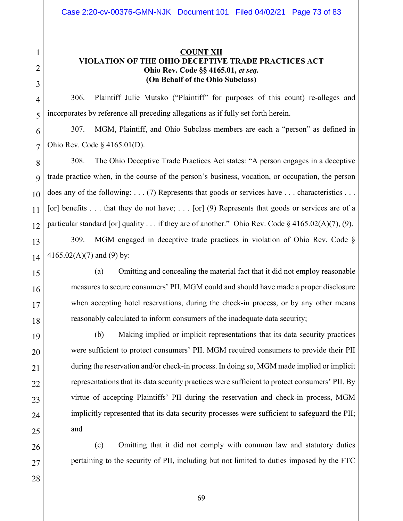### **COUNT XII VIOLATION OF THE OHIO DECEPTIVE TRADE PRACTICES ACT Ohio Rev. Code §§ 4165.01,** *et seq.* **(On Behalf of the Ohio Subclass)**

306. Plaintiff Julie Mutsko ("Plaintiff" for purposes of this count) re-alleges and incorporates by reference all preceding allegations as if fully set forth herein.

307. MGM, Plaintiff, and Ohio Subclass members are each a "person" as defined in Ohio Rev. Code § 4165.01(D).

308. The Ohio Deceptive Trade Practices Act states: "A person engages in a deceptive trade practice when, in the course of the person's business, vocation, or occupation, the person does any of the following:  $\dots$  (7) Represents that goods or services have  $\dots$  characteristics . . [or] benefits . . . that they do not have; . . . [or] (9) Represents that goods or services are of a particular standard [or] quality . . . if they are of another." Ohio Rev. Code § 4165.02(A)(7), (9).

309. MGM engaged in deceptive trade practices in violation of Ohio Rev. Code §  $4165.02(A)(7)$  and (9) by:

1

2

3

4

(a) Omitting and concealing the material fact that it did not employ reasonable measures to secure consumers' PII. MGM could and should have made a proper disclosure when accepting hotel reservations, during the check-in process, or by any other means reasonably calculated to inform consumers of the inadequate data security;

(b) Making implied or implicit representations that its data security practices were sufficient to protect consumers' PII. MGM required consumers to provide their PII during the reservation and/or check-in process. In doing so, MGM made implied or implicit representations that its data security practices were sufficient to protect consumers' PII. By virtue of accepting Plaintiffs' PII during the reservation and check-in process, MGM implicitly represented that its data security processes were sufficient to safeguard the PII; and

(c) Omitting that it did not comply with common law and statutory duties pertaining to the security of PII, including but not limited to duties imposed by the FTC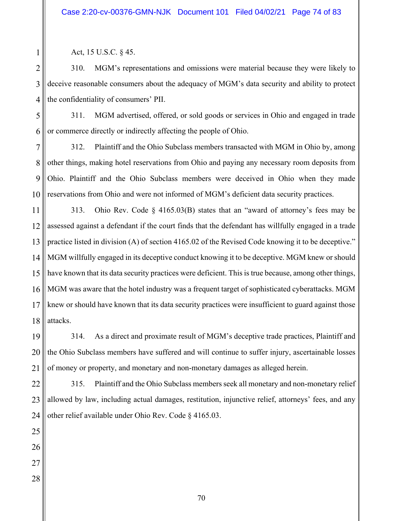Act, 15 U.S.C. § 45.

310. MGM's representations and omissions were material because they were likely to deceive reasonable consumers about the adequacy of MGM's data security and ability to protect the confidentiality of consumers' PII.

5 6 311. MGM advertised, offered, or sold goods or services in Ohio and engaged in trade or commerce directly or indirectly affecting the people of Ohio.

7 8 9 10 312. Plaintiff and the Ohio Subclass members transacted with MGM in Ohio by, among other things, making hotel reservations from Ohio and paying any necessary room deposits from Ohio. Plaintiff and the Ohio Subclass members were deceived in Ohio when they made reservations from Ohio and were not informed of MGM's deficient data security practices.

11 12 13 14 15 16 17 18 313. Ohio Rev. Code § 4165.03(B) states that an "award of attorney's fees may be assessed against a defendant if the court finds that the defendant has willfully engaged in a trade practice listed in division (A) of section 4165.02 of the Revised Code knowing it to be deceptive." MGM willfully engaged in its deceptive conduct knowing it to be deceptive. MGM knew or should have known that its data security practices were deficient. This is true because, among other things, MGM was aware that the hotel industry was a frequent target of sophisticated cyberattacks. MGM knew or should have known that its data security practices were insufficient to guard against those attacks.

19 20 21 314. As a direct and proximate result of MGM's deceptive trade practices, Plaintiff and the Ohio Subclass members have suffered and will continue to suffer injury, ascertainable losses of money or property, and monetary and non-monetary damages as alleged herein.

22 23 24 315. Plaintiff and the Ohio Subclass members seek all monetary and non-monetary relief allowed by law, including actual damages, restitution, injunctive relief, attorneys' fees, and any other relief available under Ohio Rev. Code § 4165.03.

25 26 27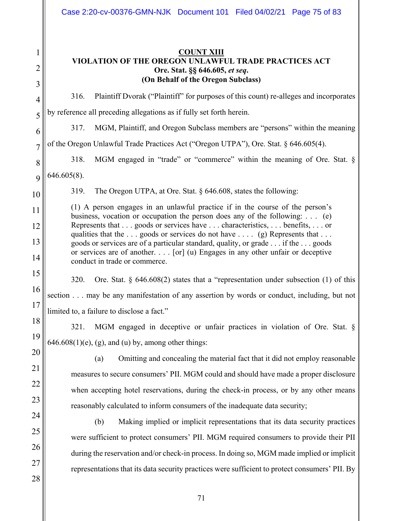| <b>COUNT XIII</b>                                    |
|------------------------------------------------------|
| VIOLATION OF THE OREGON UNLAWFUL TRADE PRACTICES ACT |
| Ore. Stat. §§ 646.605, et seq.                       |
| (On Behalf of the Oregon Subclass)                   |
|                                                      |

316. Plaintiff Dvorak ("Plaintiff" for purposes of this count) re-alleges and incorporates by reference all preceding allegations as if fully set forth herein.

317. MGM, Plaintiff, and Oregon Subclass members are "persons" within the meaning

7 of the Oregon Unlawful Trade Practices Act ("Oregon UTPA"), Ore. Stat. § 646.605(4).

318. MGM engaged in "trade" or "commerce" within the meaning of Ore. Stat. § 646.605(8).

1

2

3

4

5

6

8

9

10

11

12

13

14

15

16

17

18

19

20

21

22

23

24

25

26

27

28

319. The Oregon UTPA, at Ore. Stat. § 646.608, states the following:

(1) A person engages in an unlawful practice if in the course of the person's business, vocation or occupation the person does any of the following: . . . (e) Represents that . . . goods or services have . . . characteristics, . . . benefits, . . . or qualities that the  $\dots$  goods or services do not have  $\dots$  (g) Represents that  $\dots$ goods or services are of a particular standard, quality, or grade . . . if the . . . goods or services are of another. . . . [or] (u) Engages in any other unfair or deceptive conduct in trade or commerce.

# 320. Ore. Stat.  $\S$  646.608(2) states that a "representation under subsection (1) of this section . . . may be any manifestation of any assertion by words or conduct, including, but not limited to, a failure to disclose a fact."

321. MGM engaged in deceptive or unfair practices in violation of Ore. Stat. §  $646.608(1)(e)$ , (g), and (u) by, among other things:

(a) Omitting and concealing the material fact that it did not employ reasonable measures to secure consumers' PII. MGM could and should have made a proper disclosure when accepting hotel reservations, during the check-in process, or by any other means reasonably calculated to inform consumers of the inadequate data security;

(b) Making implied or implicit representations that its data security practices were sufficient to protect consumers' PII. MGM required consumers to provide their PII during the reservation and/or check-in process. In doing so, MGM made implied or implicit representations that its data security practices were sufficient to protect consumers' PII. By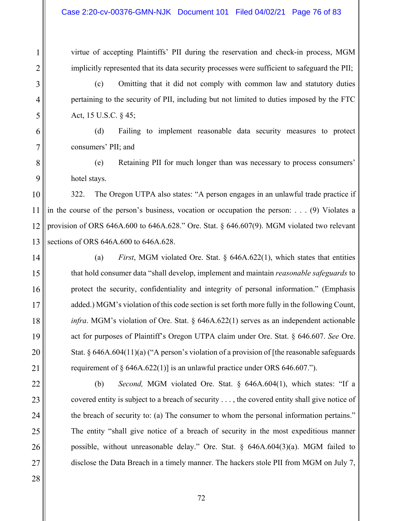virtue of accepting Plaintiffs' PII during the reservation and check-in process, MGM implicitly represented that its data security processes were sufficient to safeguard the PII;

(c) Omitting that it did not comply with common law and statutory duties pertaining to the security of PII, including but not limited to duties imposed by the FTC Act, 15 U.S.C. § 45;

(d) Failing to implement reasonable data security measures to protect consumers' PII; and

(e) Retaining PII for much longer than was necessary to process consumers' hotel stays.

322. The Oregon UTPA also states: "A person engages in an unlawful trade practice if in the course of the person's business, vocation or occupation the person: . . . (9) Violates a provision of ORS 646A.600 to 646A.628." Ore. Stat. § 646.607(9). MGM violated two relevant sections of ORS 646A.600 to 646A.628.

(a) *First*, MGM violated Ore. Stat. § 646A.622(1), which states that entities that hold consumer data "shall develop, implement and maintain *reasonable safeguards* to protect the security, confidentiality and integrity of personal information." (Emphasis added.) MGM's violation of this code section is set forth more fully in the following Count, *infra*. MGM's violation of Ore. Stat. § 646A.622(1) serves as an independent actionable act for purposes of Plaintiff's Oregon UTPA claim under Ore. Stat. § 646.607. *See* Ore. Stat.  $\S 646A.604(11)(a)$  ("A person's violation of a provision of [the reasonable safeguards requirement of  $\S$  646A.622(1)] is an unlawful practice under ORS 646.607.").

(b) *Second,* MGM violated Ore. Stat. § 646A.604(1), which states: "If a covered entity is subject to a breach of security . . . , the covered entity shall give notice of the breach of security to: (a) The consumer to whom the personal information pertains." The entity "shall give notice of a breach of security in the most expeditious manner possible, without unreasonable delay." Ore. Stat. § 646A.604(3)(a). MGM failed to disclose the Data Breach in a timely manner. The hackers stole PII from MGM on July 7,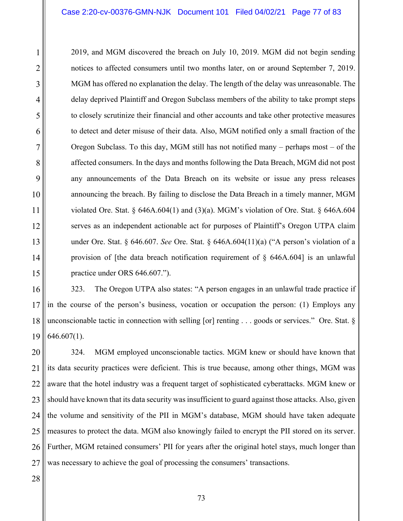2019, and MGM discovered the breach on July 10, 2019. MGM did not begin sending notices to affected consumers until two months later, on or around September 7, 2019. MGM has offered no explanation the delay. The length of the delay was unreasonable. The delay deprived Plaintiff and Oregon Subclass members of the ability to take prompt steps to closely scrutinize their financial and other accounts and take other protective measures to detect and deter misuse of their data. Also, MGM notified only a small fraction of the Oregon Subclass. To this day, MGM still has not notified many – perhaps most – of the affected consumers. In the days and months following the Data Breach, MGM did not post any announcements of the Data Breach on its website or issue any press releases announcing the breach. By failing to disclose the Data Breach in a timely manner, MGM violated Ore. Stat.  $\S$  646A.604(1) and (3)(a). MGM's violation of Ore. Stat.  $\S$  646A.604 serves as an independent actionable act for purposes of Plaintiff's Oregon UTPA claim under Ore. Stat. § 646.607. *See* Ore. Stat. § 646A.604(11)(a) ("A person's violation of a provision of [the data breach notification requirement of  $\S$  646A.604] is an unlawful practice under ORS 646.607.").

16 17 18 19 323. The Oregon UTPA also states: "A person engages in an unlawful trade practice if in the course of the person's business, vocation or occupation the person: (1) Employs any unconscionable tactic in connection with selling [or] renting . . . goods or services." Ore. Stat. § 646.607(1).

20 21 22 23 24 25 26 324. MGM employed unconscionable tactics. MGM knew or should have known that its data security practices were deficient. This is true because, among other things, MGM was aware that the hotel industry was a frequent target of sophisticated cyberattacks. MGM knew or should have known that its data security was insufficient to guard against those attacks. Also, given the volume and sensitivity of the PII in MGM's database, MGM should have taken adequate measures to protect the data. MGM also knowingly failed to encrypt the PII stored on its server. Further, MGM retained consumers' PII for years after the original hotel stays, much longer than was necessary to achieve the goal of processing the consumers' transactions.

1

2

3

4

5

6

7

8

9

10

11

12

13

14

15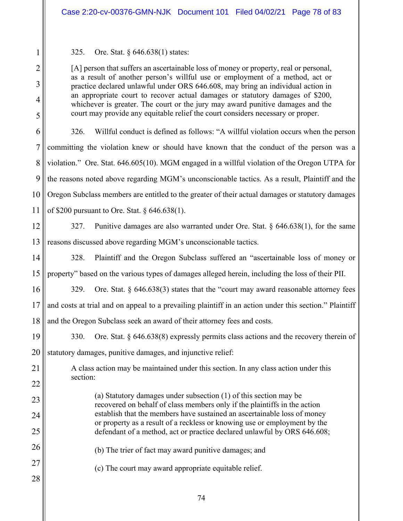### 325. Ore. Stat. § 646.638(1) states:

[A] person that suffers an ascertainable loss of money or property, real or personal, as a result of another person's willful use or employment of a method, act or practice declared unlawful under ORS 646.608, may bring an individual action in an appropriate court to recover actual damages or statutory damages of \$200, whichever is greater. The court or the jury may award punitive damages and the court may provide any equitable relief the court considers necessary or proper.

6 7 8 9 10 11 326. Willful conduct is defined as follows: "A willful violation occurs when the person committing the violation knew or should have known that the conduct of the person was a violation." Ore. Stat. 646.605(10). MGM engaged in a willful violation of the Oregon UTPA for the reasons noted above regarding MGM's unconscionable tactics. As a result, Plaintiff and the Oregon Subclass members are entitled to the greater of their actual damages or statutory damages of \$200 pursuant to Ore. Stat. § 646.638(1).

#### 12 13 327. Punitive damages are also warranted under Ore. Stat. § 646.638(1), for the same reasons discussed above regarding MGM's unconscionable tactics.

14 15 328. Plaintiff and the Oregon Subclass suffered an "ascertainable loss of money or property" based on the various types of damages alleged herein, including the loss of their PII.

16 17 18 329. Ore. Stat. § 646.638(3) states that the "court may award reasonable attorney fees and costs at trial and on appeal to a prevailing plaintiff in an action under this section." Plaintiff and the Oregon Subclass seek an award of their attorney fees and costs.

19 20 330. Ore. Stat. § 646.638(8) expressly permits class actions and the recovery therein of statutory damages, punitive damages, and injunctive relief:

A class action may be maintained under this section. In any class action under this section:

> (a) Statutory damages under subsection (1) of this section may be recovered on behalf of class members only if the plaintiffs in the action establish that the members have sustained an ascertainable loss of money or property as a result of a reckless or knowing use or employment by the defendant of a method, act or practice declared unlawful by ORS 646.608;

(b) The trier of fact may award punitive damages; and

(c) The court may award appropriate equitable relief.

27 28

21

22

23

24

25

26

1

2

3

4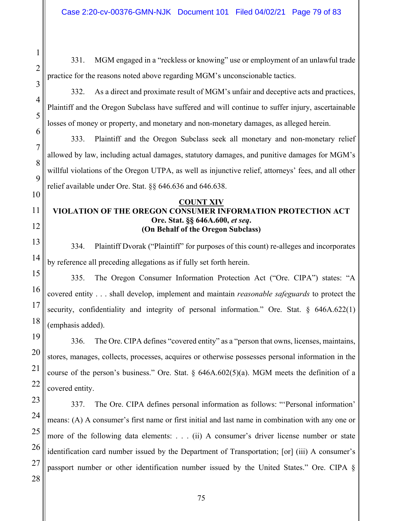331. MGM engaged in a "reckless or knowing" use or employment of an unlawful trade practice for the reasons noted above regarding MGM's unconscionable tactics.

332. As a direct and proximate result of MGM's unfair and deceptive acts and practices, Plaintiff and the Oregon Subclass have suffered and will continue to suffer injury, ascertainable losses of money or property, and monetary and non-monetary damages, as alleged herein.

333. Plaintiff and the Oregon Subclass seek all monetary and non-monetary relief allowed by law, including actual damages, statutory damages, and punitive damages for MGM's willful violations of the Oregon UTPA, as well as injunctive relief, attorneys' fees, and all other relief available under Ore. Stat. §§ 646.636 and 646.638.

#### **COUNT XIV**

## **VIOLATION OF THE OREGON CONSUMER INFORMATION PROTECTION ACT Ore. Stat. §§ 646A.600,** *et seq***. (On Behalf of the Oregon Subclass)**

334. Plaintiff Dvorak ("Plaintiff" for purposes of this count) re-alleges and incorporates by reference all preceding allegations as if fully set forth herein.

335. The Oregon Consumer Information Protection Act ("Ore. CIPA") states: "A covered entity . . . shall develop, implement and maintain *reasonable safeguards* to protect the security, confidentiality and integrity of personal information." Ore. Stat. § 646A.622(1) (emphasis added).

336. The Ore. CIPA defines "covered entity" as a "person that owns, licenses, maintains, stores, manages, collects, processes, acquires or otherwise possesses personal information in the course of the person's business." Ore. Stat.  $\S$  646A.602(5)(a). MGM meets the definition of a covered entity.

337. The Ore. CIPA defines personal information as follows: "'Personal information' means: (A) A consumer's first name or first initial and last name in combination with any one or more of the following data elements: . . . (ii) A consumer's driver license number or state identification card number issued by the Department of Transportation; [or] (iii) A consumer's passport number or other identification number issued by the United States." Ore. CIPA §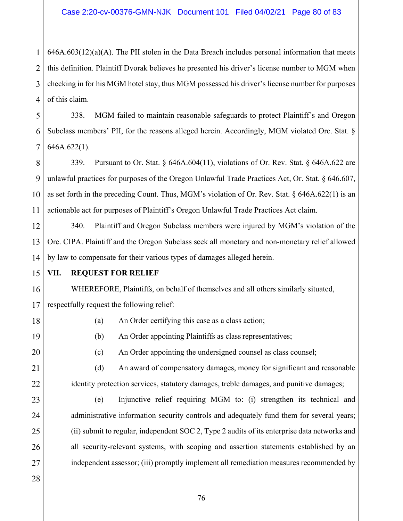1 2 3 4  $646A.603(12)(a)(A)$ . The PII stolen in the Data Breach includes personal information that meets this definition. Plaintiff Dvorak believes he presented his driver's license number to MGM when checking in for his MGM hotel stay, thus MGM possessed his driver's license number for purposes of this claim.

5 6 7 338. MGM failed to maintain reasonable safeguards to protect Plaintiff's and Oregon Subclass members' PII, for the reasons alleged herein. Accordingly, MGM violated Ore. Stat. § 646A.622(1).

8 9 10 11 339. Pursuant to Or. Stat. § 646A.604(11), violations of Or. Rev. Stat. § 646A.622 are unlawful practices for purposes of the Oregon Unlawful Trade Practices Act, Or. Stat. § 646.607, as set forth in the preceding Count. Thus, MGM's violation of Or. Rev. Stat. § 646A.622(1) is an actionable act for purposes of Plaintiff's Oregon Unlawful Trade Practices Act claim.

12 13 14 340. Plaintiff and Oregon Subclass members were injured by MGM's violation of the Ore. CIPA. Plaintiff and the Oregon Subclass seek all monetary and non-monetary relief allowed by law to compensate for their various types of damages alleged herein.

15 **VII. REQUEST FOR RELIEF** 

> WHEREFORE, Plaintiffs, on behalf of themselves and all others similarly situated, respectfully request the following relief:

18 19

16

17

- (a) An Order certifying this case as a class action;
- (b) An Order appointing Plaintiffs as class representatives;

20 21

22

23

24

25

26

27

(c) An Order appointing the undersigned counsel as class counsel;

(d) An award of compensatory damages, money for significant and reasonable identity protection services, statutory damages, treble damages, and punitive damages;

(e) Injunctive relief requiring MGM to: (i) strengthen its technical and administrative information security controls and adequately fund them for several years; (ii) submit to regular, independent SOC 2, Type 2 audits of its enterprise data networks and all security-relevant systems, with scoping and assertion statements established by an independent assessor; (iii) promptly implement all remediation measures recommended by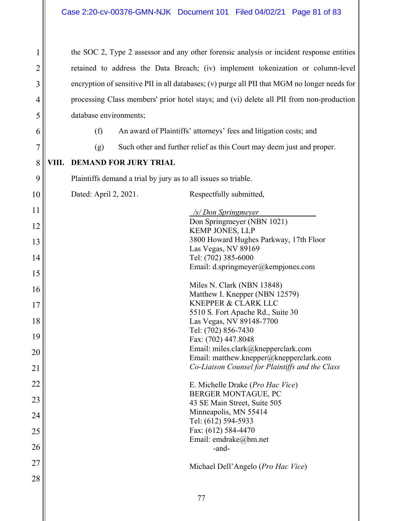the SOC 2, Type 2 assessor and any other forensic analysis or incident response entities retained to address the Data Breach; (iv) implement tokenization or column-level encryption of sensitive PII in all databases; (v) purge all PII that MGM no longer needs for processing Class members' prior hotel stays; and (vi) delete all PII from non-production database environments;

1

2

3

4

5

6

7

9

# (f) An award of Plaintiffs' attorneys' fees and litigation costs; and

(g) Such other and further relief as this Court may deem just and proper.

#### 8 **VIII. DEMAND FOR JURY TRIAL**

Plaintiffs demand a trial by jury as to all issues so triable.

10 11 12 13 14 15 16 17 18 19 20 21 22 23 24 25 26 27 28 Dated: April 2, 2021. Respectfully submitted, */s/ Don Springmeyer* . Don Springmeyer (NBN 1021) KEMP JONES, LLP 3800 Howard Hughes Parkway, 17th Floor Las Vegas, NV 89169 Tel: (702) 385-6000 Email: d.springmeyer@kempjones.com Miles N. Clark (NBN 13848) Matthew I. Knepper (NBN 12579) KNEPPER & CLARK LLC 5510 S. Fort Apache Rd., Suite 30 Las Vegas, NV 89148-7700 Tel: (702) 856-7430 Fax: (702) 447.8048 Email: miles.clark@knepperclark.com Email: matthew.knepper@knepperclark.com *Co-Liaison Counsel for Plaintiffs and the Class*  E. Michelle Drake (*Pro Hac Vice*) BERGER MONTAGUE, PC 43 SE Main Street, Suite 505 Minneapolis, MN 55414 Tel: (612) 594-5933 Fax: (612) 584-4470 Email: emdrake@bm.net -and-Michael Dell'Angelo (*Pro Hac Vice*)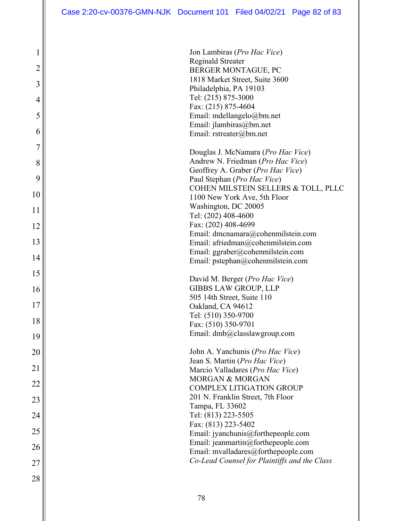|                      | 1            |
|----------------------|--------------|
|                      |              |
|                      |              |
|                      | 4            |
|                      | 5            |
|                      | 6            |
|                      | 7            |
|                      | 8            |
|                      | 9            |
|                      | 10           |
| 1                    | $\mathbf{1}$ |
| 1                    |              |
| 1                    |              |
| 1                    | 4            |
|                      | 15           |
| 1                    | 6            |
| 17                   |              |
| $1\overline{\delta}$ |              |
| $\mathbf{l}$         |              |
|                      | $20\,$       |
| $\overline{21}$      |              |
|                      | 22           |
|                      | 23           |
|                      | 24           |
|                      | 25           |
|                      | 26           |
|                      | 27           |
| 28                   |              |
|                      |              |

| <b>Reginald Streater</b>            |
|-------------------------------------|
| BERGER MONTAGUE, PC                 |
| 1818 Market Street, Suite 3600      |
| Philadelphia, PA 19103              |
| Tel: (215) 875-3000                 |
| Fax: (215) 875-4604                 |
| Email: mdellangelo@bm.net           |
| Email: jlambiras@bm.net             |
| Email: $rstream(a)$ bm.net          |
|                                     |
| Douglas J. McNamara (Pro Hac Vice)  |
| Andrew N. Friedman (Pro Hac Vice)   |
| Geoffrey A. Graber (Pro Hac Vice)   |
| Paul Stephan (Pro Hac Vice)         |
| COHEN MILSTEIN SELLERS & TOLL, PLLC |
| 1100 New York Ave, 5th Floor        |
| Washington, DC 20005                |
| Tel: (202) 408-4600                 |
| Fax: (202) 408-4699                 |
| Email: dmcnamara@cohenmilstein.com  |
| Email: afriedman@cohenmilstein.com  |
| Email: ggraber@cohenmilstein.com    |
| Email: pstephan@cohenmilstein.com   |
|                                     |
| David M. Berger (Pro Hac Vice)      |
| <b>GIBBS LAW GROUP, LLP</b>         |
| 505 14th Street, Suite 110          |
| Oakland, CA 94612                   |
| Tel: (510) 350-9700                 |
| Fax: (510) 350-9701                 |
| Email: dmb@classlawgroup.com        |
|                                     |
| John A. Yanchunis (Pro Hac Vice)    |
| Jean S. Martin (Pro Hac Vice)       |
| Marcio Valladares (Pro Hac Vice)    |
| <b>MORGAN &amp; MORGAN</b>          |
| <b>COMPLEX LITIGATION GROUP</b>     |
| 201 N. Franklin Street, 7th Floor   |
|                                     |

Jon Lambiras (*Pro Hac Vice*)

Tampa, FL 33602 Tel: (813) 223-5505 Fax: (813) 223-5402

Email: jyanchunis@forthepeople.com Email: jeanmartin@forthepeople.com Email: mvalladares@forthepeople.com *Co-Lead Counsel for Plaintiffs and the Class*